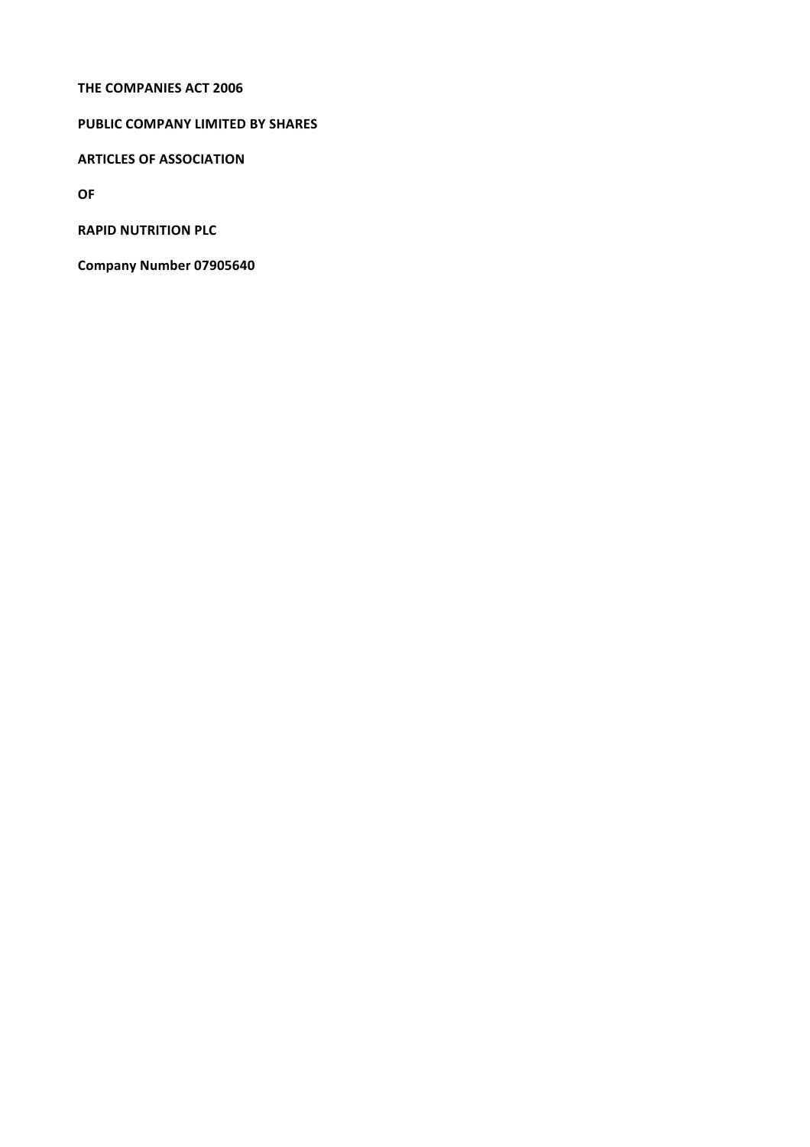#### **THE COMPANIES ACT 2006**

# **PUBLIC COMPANY LIMITED BY SHARES**

**ARTICLES OF ASSOCIATION**

**OF**

**RAPID NUTRITION PLC** 

**Company Number 07905640**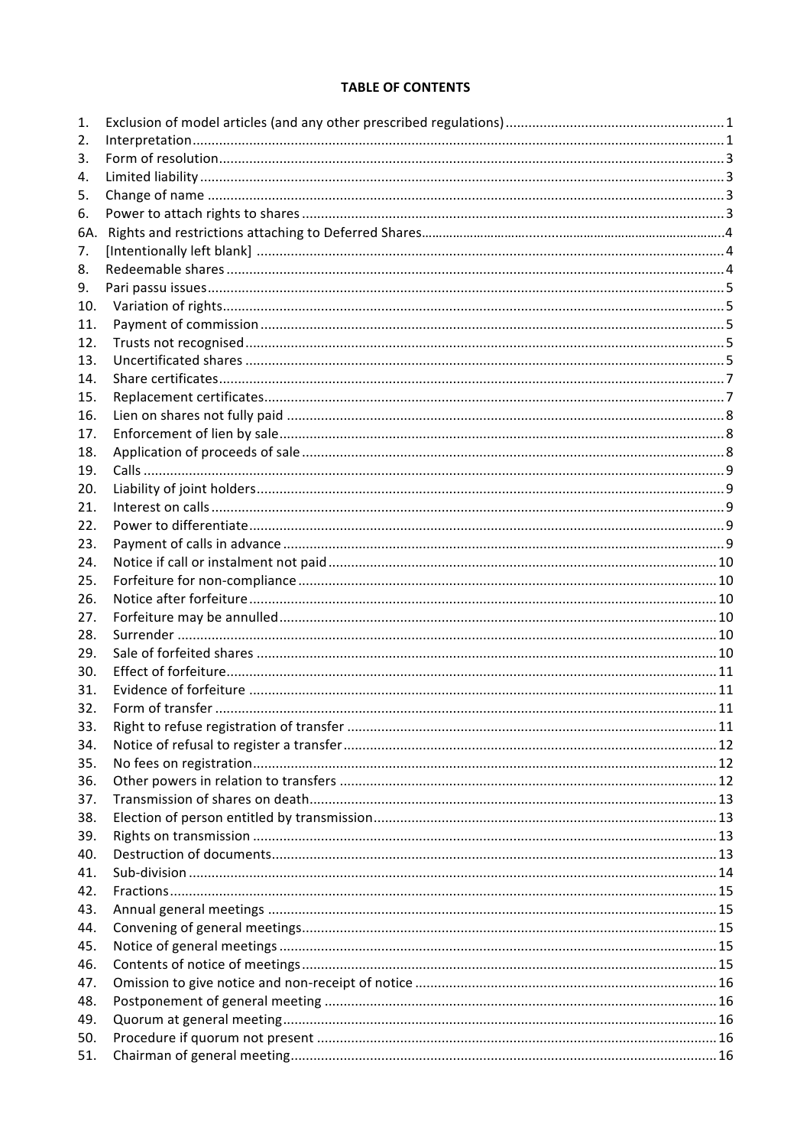# **TABLE OF CONTENTS**

| 1.         |  |
|------------|--|
| 2.         |  |
| 3.         |  |
| 4.         |  |
| 5.         |  |
| 6.         |  |
| 6A.        |  |
| 7.         |  |
| 8.         |  |
| 9.         |  |
| 10.        |  |
| 11.        |  |
| 12.        |  |
| 13.        |  |
| 14.        |  |
| 15.        |  |
| 16.        |  |
| 17.        |  |
| 18.        |  |
| 19.        |  |
| 20.        |  |
| 21.        |  |
| 22.        |  |
| 23.        |  |
| 24.        |  |
| 25.        |  |
| 26.        |  |
| 27.        |  |
| 28.        |  |
| 29.        |  |
| 30.        |  |
| 31.        |  |
| 32.        |  |
| 33.        |  |
| 34.        |  |
| 35.        |  |
| 36.        |  |
| 37.        |  |
| 38.        |  |
| 39.        |  |
| 40.        |  |
| 41.        |  |
| 42.        |  |
| 43.        |  |
| 44.        |  |
| 45.        |  |
| 46.        |  |
| 47.        |  |
| 48.        |  |
| 49.<br>50. |  |
| 51.        |  |
|            |  |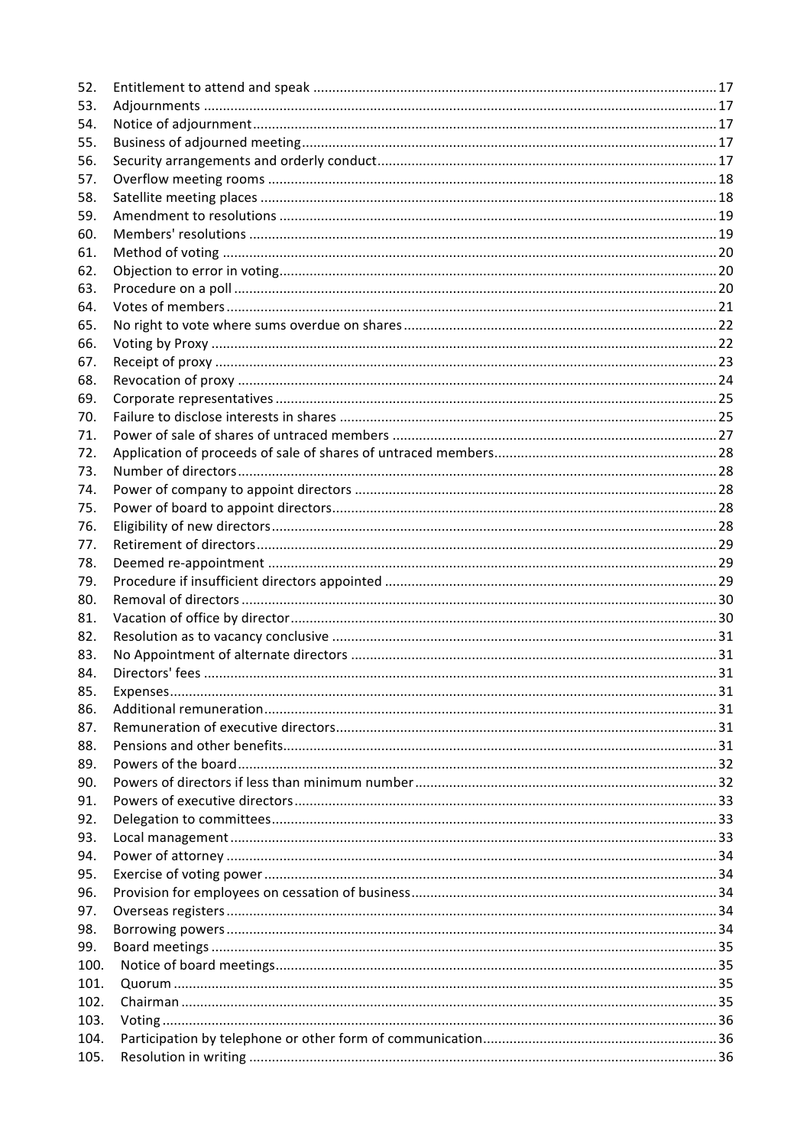| 52.  |  |
|------|--|
| 53.  |  |
| 54.  |  |
| 55.  |  |
| 56.  |  |
| 57.  |  |
| 58.  |  |
| 59.  |  |
| 60.  |  |
| 61.  |  |
| 62.  |  |
| 63.  |  |
| 64.  |  |
| 65.  |  |
| 66.  |  |
| 67.  |  |
| 68.  |  |
| 69.  |  |
| 70.  |  |
| 71.  |  |
| 72.  |  |
| 73.  |  |
| 74.  |  |
| 75.  |  |
| 76.  |  |
| 77.  |  |
| 78.  |  |
| 79.  |  |
| 80.  |  |
| 81.  |  |
| 82.  |  |
| 83.  |  |
| 84.  |  |
| 85.  |  |
| 86.  |  |
| 87.  |  |
| 88.  |  |
| 89.  |  |
| 90.  |  |
| 91.  |  |
| 92.  |  |
| 93.  |  |
| 94.  |  |
| 95.  |  |
| 96.  |  |
| 97.  |  |
| 98.  |  |
| 99.  |  |
| 100. |  |
| 101. |  |
| 102. |  |
| 103. |  |
| 104. |  |
| 105. |  |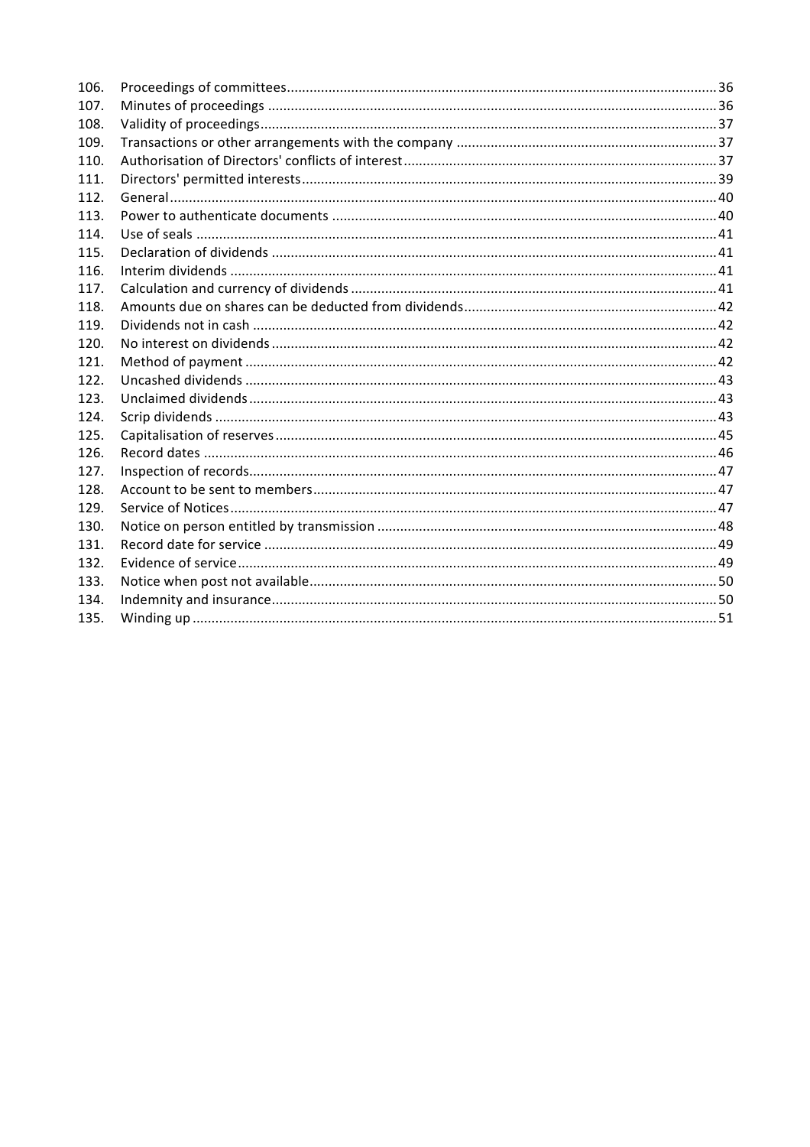| 106. |  |
|------|--|
| 107. |  |
| 108. |  |
| 109. |  |
| 110. |  |
| 111. |  |
| 112. |  |
| 113. |  |
| 114. |  |
| 115. |  |
| 116. |  |
| 117. |  |
| 118. |  |
| 119. |  |
| 120. |  |
| 121. |  |
| 122. |  |
| 123. |  |
| 124. |  |
| 125. |  |
| 126. |  |
| 127. |  |
| 128. |  |
| 129. |  |
| 130. |  |
| 131. |  |
| 132. |  |
| 133. |  |
| 134. |  |
| 135. |  |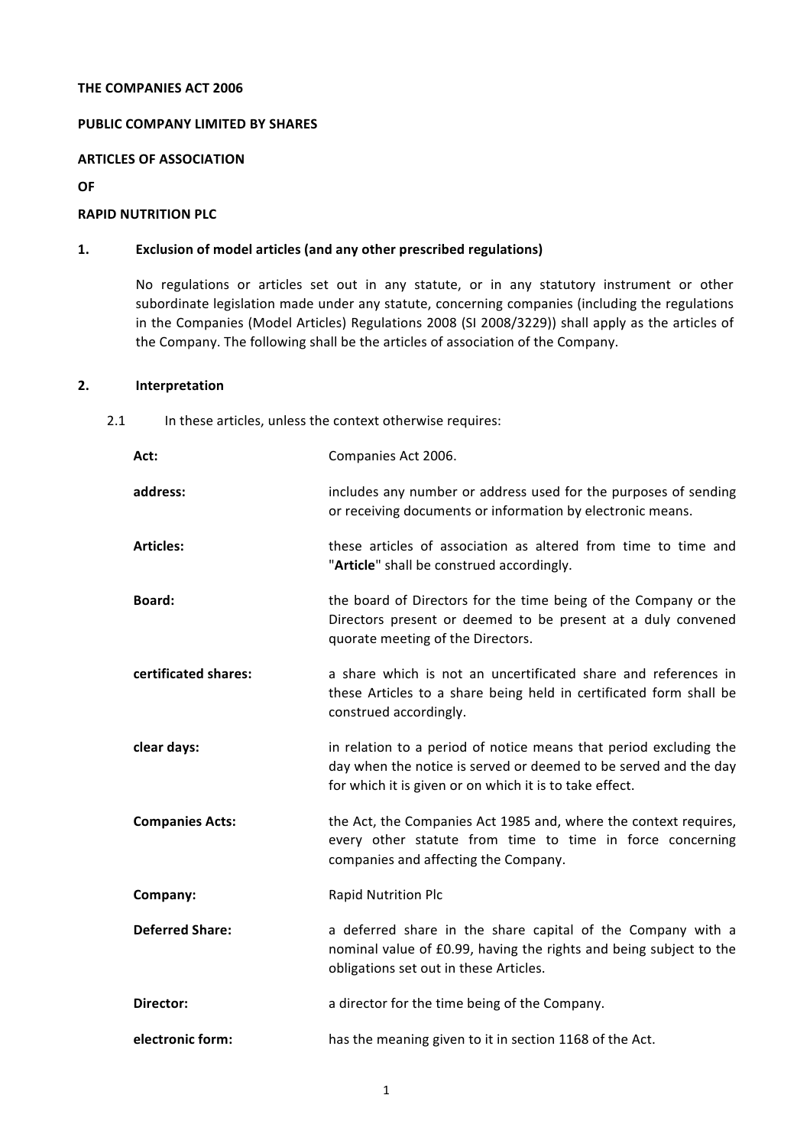#### **THE COMPANIES ACT 2006**

#### **PUBLIC COMPANY LIMITED BY SHARES**

#### **ARTICLES OF ASSOCIATION**

#### **OF**

### **RAPID NUTRITION PLC**

### 1. **Exclusion of model articles (and any other prescribed regulations)**

No regulations or articles set out in any statute, or in any statutory instrument or other subordinate legislation made under any statute, concerning companies (including the regulations in the Companies (Model Articles) Regulations 2008 (SI 2008/3229)) shall apply as the articles of the Company. The following shall be the articles of association of the Company.

### **2. Interpretation**

### 2.1 In these articles, unless the context otherwise requires:

| Act:                   | Companies Act 2006.                                                                                                                                                                              |
|------------------------|--------------------------------------------------------------------------------------------------------------------------------------------------------------------------------------------------|
| address:               | includes any number or address used for the purposes of sending<br>or receiving documents or information by electronic means.                                                                    |
| <b>Articles:</b>       | these articles of association as altered from time to time and<br>"Article" shall be construed accordingly.                                                                                      |
| Board:                 | the board of Directors for the time being of the Company or the<br>Directors present or deemed to be present at a duly convened<br>quorate meeting of the Directors.                             |
| certificated shares:   | a share which is not an uncertificated share and references in<br>these Articles to a share being held in certificated form shall be<br>construed accordingly.                                   |
| clear days:            | in relation to a period of notice means that period excluding the<br>day when the notice is served or deemed to be served and the day<br>for which it is given or on which it is to take effect. |
| <b>Companies Acts:</b> | the Act, the Companies Act 1985 and, where the context requires,<br>every other statute from time to time in force concerning<br>companies and affecting the Company.                            |
| Company:               | Rapid Nutrition Plc                                                                                                                                                                              |
| <b>Deferred Share:</b> | a deferred share in the share capital of the Company with a<br>nominal value of £0.99, having the rights and being subject to the<br>obligations set out in these Articles.                      |
| Director:              | a director for the time being of the Company.                                                                                                                                                    |
| electronic form:       | has the meaning given to it in section 1168 of the Act.                                                                                                                                          |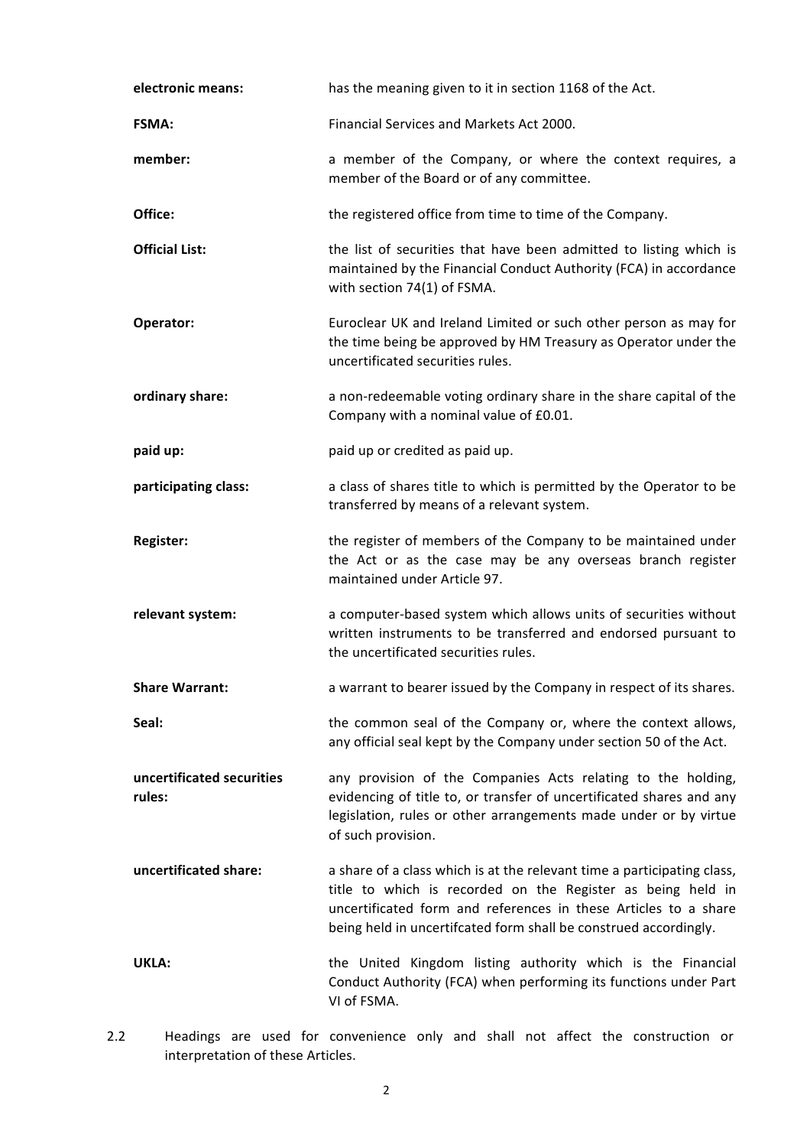| electronic means:                   | has the meaning given to it in section 1168 of the Act.                                                                                                                                                                                                                       |
|-------------------------------------|-------------------------------------------------------------------------------------------------------------------------------------------------------------------------------------------------------------------------------------------------------------------------------|
| <b>FSMA:</b>                        | Financial Services and Markets Act 2000.                                                                                                                                                                                                                                      |
| member:                             | a member of the Company, or where the context requires, a<br>member of the Board or of any committee.                                                                                                                                                                         |
| Office:                             | the registered office from time to time of the Company.                                                                                                                                                                                                                       |
| <b>Official List:</b>               | the list of securities that have been admitted to listing which is<br>maintained by the Financial Conduct Authority (FCA) in accordance<br>with section 74(1) of FSMA.                                                                                                        |
| Operator:                           | Euroclear UK and Ireland Limited or such other person as may for<br>the time being be approved by HM Treasury as Operator under the<br>uncertificated securities rules.                                                                                                       |
| ordinary share:                     | a non-redeemable voting ordinary share in the share capital of the<br>Company with a nominal value of £0.01.                                                                                                                                                                  |
| paid up:                            | paid up or credited as paid up.                                                                                                                                                                                                                                               |
| participating class:                | a class of shares title to which is permitted by the Operator to be<br>transferred by means of a relevant system.                                                                                                                                                             |
| Register:                           | the register of members of the Company to be maintained under<br>the Act or as the case may be any overseas branch register<br>maintained under Article 97.                                                                                                                   |
| relevant system:                    | a computer-based system which allows units of securities without<br>written instruments to be transferred and endorsed pursuant to<br>the uncertificated securities rules.                                                                                                    |
| <b>Share Warrant:</b>               | a warrant to bearer issued by the Company in respect of its shares.                                                                                                                                                                                                           |
| Seal:                               | the common seal of the Company or, where the context allows,<br>any official seal kept by the Company under section 50 of the Act.                                                                                                                                            |
| uncertificated securities<br>rules: | any provision of the Companies Acts relating to the holding,<br>evidencing of title to, or transfer of uncertificated shares and any<br>legislation, rules or other arrangements made under or by virtue<br>of such provision.                                                |
| uncertificated share:               | a share of a class which is at the relevant time a participating class,<br>title to which is recorded on the Register as being held in<br>uncertificated form and references in these Articles to a share<br>being held in uncertifcated form shall be construed accordingly. |
| UKLA:                               | the United Kingdom listing authority which is the Financial<br>Conduct Authority (FCA) when performing its functions under Part<br>VI of FSMA.                                                                                                                                |
|                                     | Hoadings are used for convenience only and shall not affect the construction or                                                                                                                                                                                               |

2.2 Headings are used for convenience only and shall not affect the construction or interpretation of these Articles.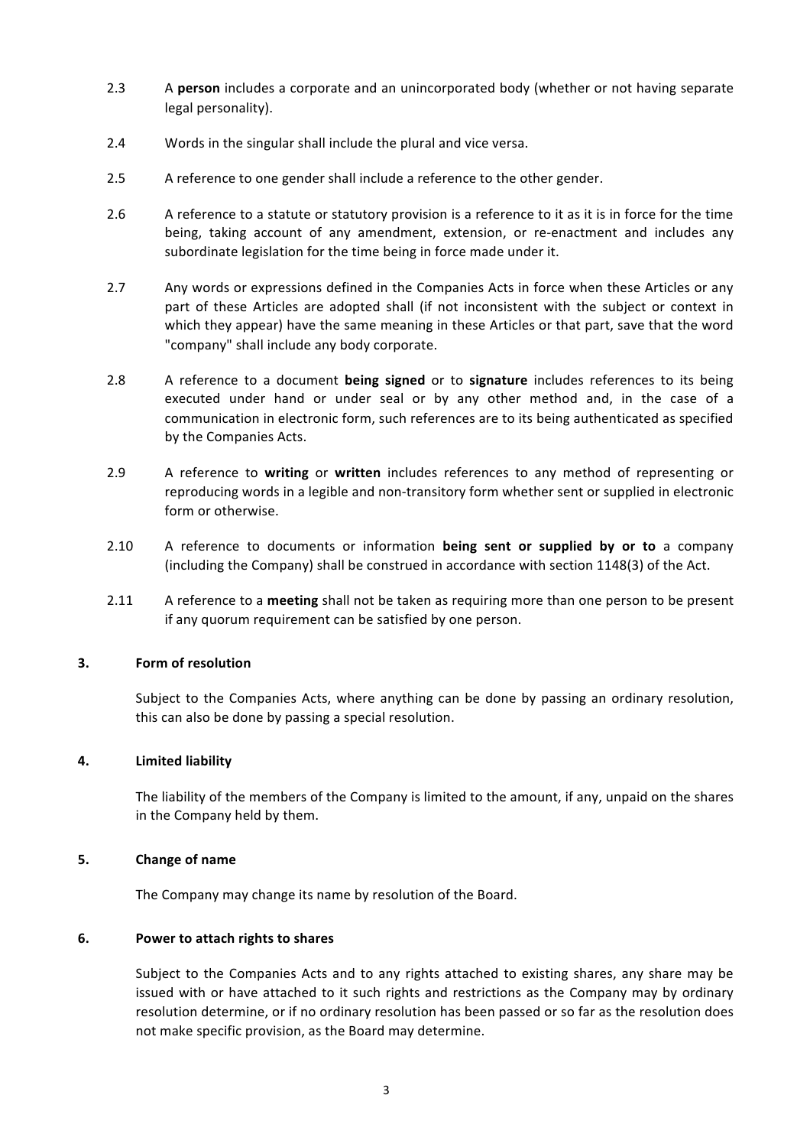- 2.3 A **person** includes a corporate and an unincorporated body (whether or not having separate legal personality).
- 2.4 Words in the singular shall include the plural and vice versa.
- 2.5 A reference to one gender shall include a reference to the other gender.
- 2.6 A reference to a statute or statutory provision is a reference to it as it is in force for the time being, taking account of any amendment, extension, or re-enactment and includes any subordinate legislation for the time being in force made under it.
- 2.7 Any words or expressions defined in the Companies Acts in force when these Articles or any part of these Articles are adopted shall (if not inconsistent with the subject or context in which they appear) have the same meaning in these Articles or that part, save that the word "company" shall include any body corporate.
- 2.8 A reference to a document **being signed** or to **signature** includes references to its being executed under hand or under seal or by any other method and, in the case of a communication in electronic form, such references are to its being authenticated as specified by the Companies Acts.
- 2.9 A reference to writing or written includes references to any method of representing or reproducing words in a legible and non-transitory form whether sent or supplied in electronic form or otherwise.
- 2.10 A reference to documents or information **being sent or supplied by or to** a company (including the Company) shall be construed in accordance with section  $1148(3)$  of the Act.
- 2.11 A reference to a **meeting** shall not be taken as requiring more than one person to be present if any quorum requirement can be satisfied by one person.

### **3. Form of resolution**

Subject to the Companies Acts, where anything can be done by passing an ordinary resolution, this can also be done by passing a special resolution.

### **4. Limited liability**

The liability of the members of the Company is limited to the amount, if any, unpaid on the shares in the Company held by them.

### **5. Change of name**

The Company may change its name by resolution of the Board.

### **6. Power to attach rights to shares**

Subject to the Companies Acts and to any rights attached to existing shares, any share may be issued with or have attached to it such rights and restrictions as the Company may by ordinary resolution determine, or if no ordinary resolution has been passed or so far as the resolution does not make specific provision, as the Board may determine.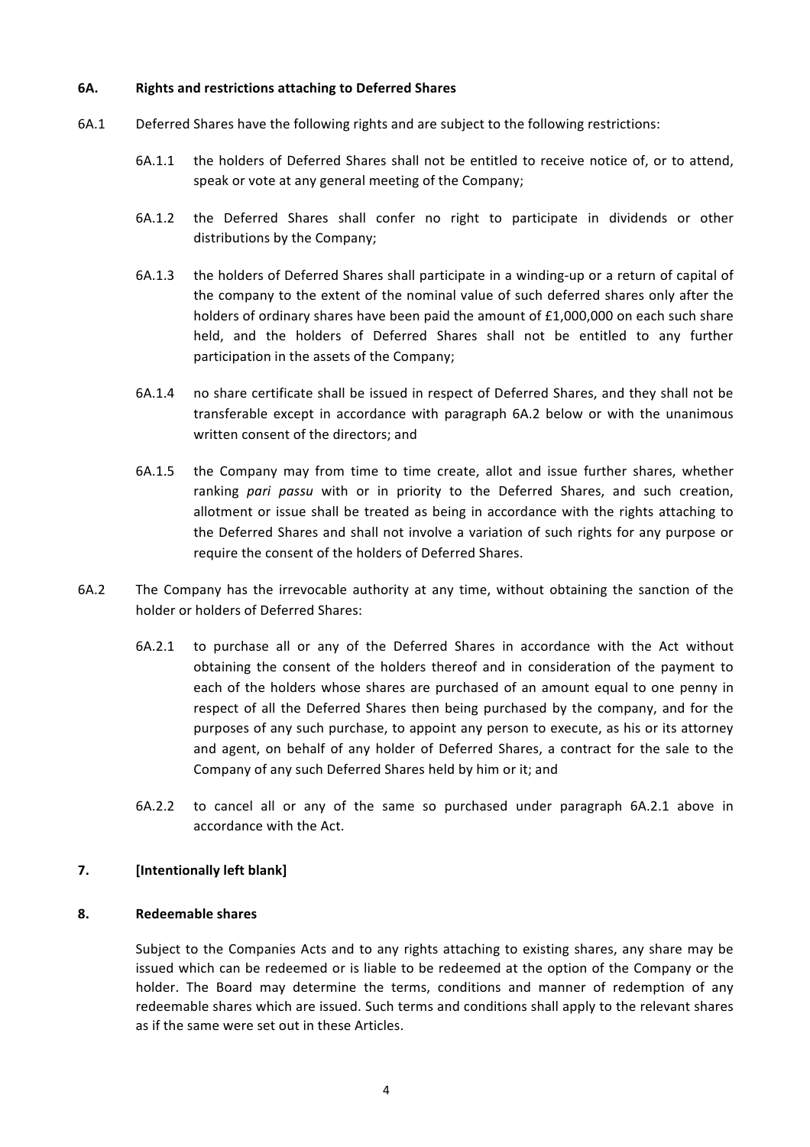### **6A. Rights and restrictions attaching to Deferred Shares**

- 6A.1 Deferred Shares have the following rights and are subject to the following restrictions:
	- 6A.1.1 the holders of Deferred Shares shall not be entitled to receive notice of, or to attend, speak or vote at any general meeting of the Company;
	- 6A.1.2 the Deferred Shares shall confer no right to participate in dividends or other distributions by the Company;
	- 6A.1.3 the holders of Deferred Shares shall participate in a winding-up or a return of capital of the company to the extent of the nominal value of such deferred shares only after the holders of ordinary shares have been paid the amount of  $£1,000,000$  on each such share held, and the holders of Deferred Shares shall not be entitled to any further participation in the assets of the Company;
	- 6A.1.4 no share certificate shall be issued in respect of Deferred Shares, and they shall not be transferable except in accordance with paragraph 6A.2 below or with the unanimous written consent of the directors; and
	- 6A.1.5 the Company may from time to time create, allot and issue further shares, whether ranking pari passu with or in priority to the Deferred Shares, and such creation, allotment or issue shall be treated as being in accordance with the rights attaching to the Deferred Shares and shall not involve a variation of such rights for any purpose or require the consent of the holders of Deferred Shares.
- 6A.2 The Company has the irrevocable authority at any time, without obtaining the sanction of the holder or holders of Deferred Shares:
	- 6A.2.1 to purchase all or any of the Deferred Shares in accordance with the Act without obtaining the consent of the holders thereof and in consideration of the payment to each of the holders whose shares are purchased of an amount equal to one penny in respect of all the Deferred Shares then being purchased by the company, and for the purposes of any such purchase, to appoint any person to execute, as his or its attorney and agent, on behalf of any holder of Deferred Shares, a contract for the sale to the Company of any such Deferred Shares held by him or it; and
	- 6A.2.2 to cancel all or any of the same so purchased under paragraph 6A.2.1 above in accordance with the Act.

## **7.** [Intentionally left blank]

### **8. Redeemable shares**

Subject to the Companies Acts and to any rights attaching to existing shares, any share may be issued which can be redeemed or is liable to be redeemed at the option of the Company or the holder. The Board may determine the terms, conditions and manner of redemption of any redeemable shares which are issued. Such terms and conditions shall apply to the relevant shares as if the same were set out in these Articles.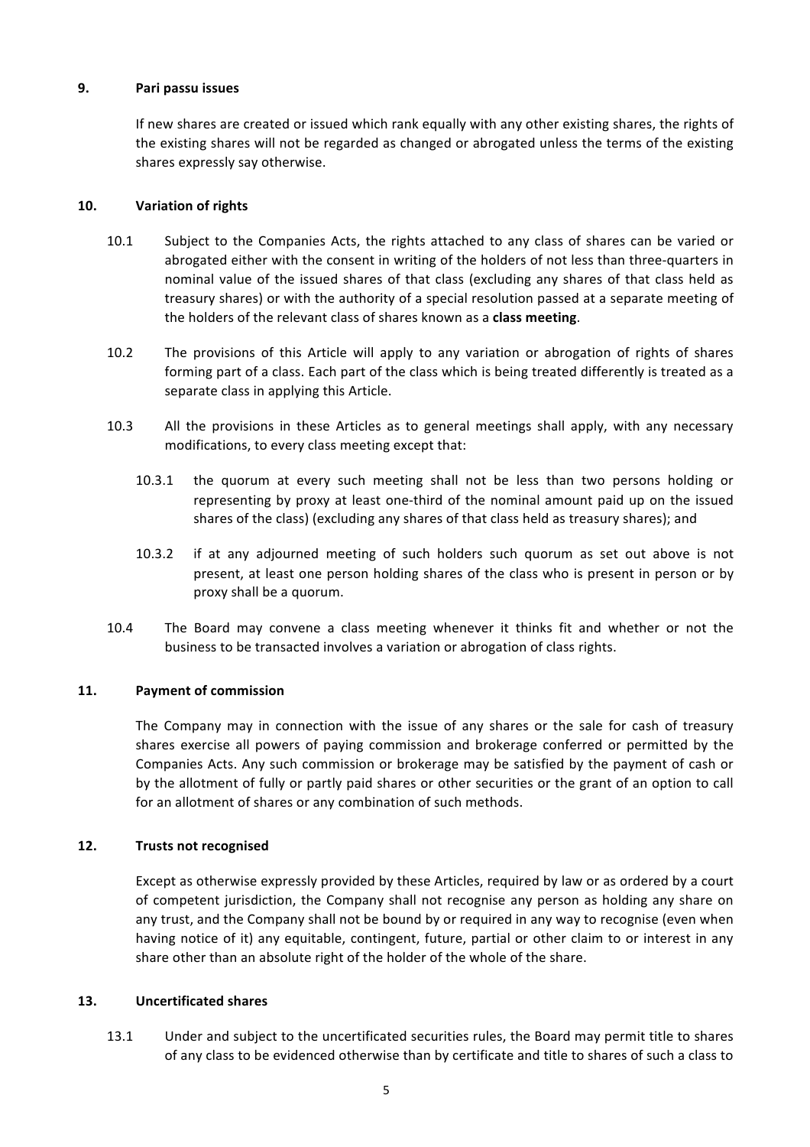### **9. Pari passu issues**

If new shares are created or issued which rank equally with any other existing shares, the rights of the existing shares will not be regarded as changed or abrogated unless the terms of the existing shares expressly say otherwise.

## 10. **Variation of rights**

- 10.1 Subject to the Companies Acts, the rights attached to any class of shares can be varied or abrogated either with the consent in writing of the holders of not less than three-quarters in nominal value of the issued shares of that class (excluding any shares of that class held as treasury shares) or with the authority of a special resolution passed at a separate meeting of the holders of the relevant class of shares known as a **class meeting**.
- 10.2 The provisions of this Article will apply to any variation or abrogation of rights of shares forming part of a class. Each part of the class which is being treated differently is treated as a separate class in applying this Article.
- 10.3 All the provisions in these Articles as to general meetings shall apply, with any necessary modifications, to every class meeting except that:
	- 10.3.1 the quorum at every such meeting shall not be less than two persons holding or representing by proxy at least one-third of the nominal amount paid up on the issued shares of the class) (excluding any shares of that class held as treasury shares); and
	- 10.3.2 if at any adjourned meeting of such holders such quorum as set out above is not present, at least one person holding shares of the class who is present in person or by proxy shall be a quorum.
- 10.4 The Board may convene a class meeting whenever it thinks fit and whether or not the business to be transacted involves a variation or abrogation of class rights.

# 11. **Payment of commission**

The Company may in connection with the issue of any shares or the sale for cash of treasury shares exercise all powers of paying commission and brokerage conferred or permitted by the Companies Acts. Any such commission or brokerage may be satisfied by the payment of cash or by the allotment of fully or partly paid shares or other securities or the grant of an option to call for an allotment of shares or any combination of such methods.

# **12.** Trusts not recognised

Except as otherwise expressly provided by these Articles, required by law or as ordered by a court of competent jurisdiction, the Company shall not recognise any person as holding any share on any trust, and the Company shall not be bound by or required in any way to recognise (even when having notice of it) any equitable, contingent, future, partial or other claim to or interest in any share other than an absolute right of the holder of the whole of the share.

### **13. Uncertificated shares**

13.1 Under and subject to the uncertificated securities rules, the Board may permit title to shares of any class to be evidenced otherwise than by certificate and title to shares of such a class to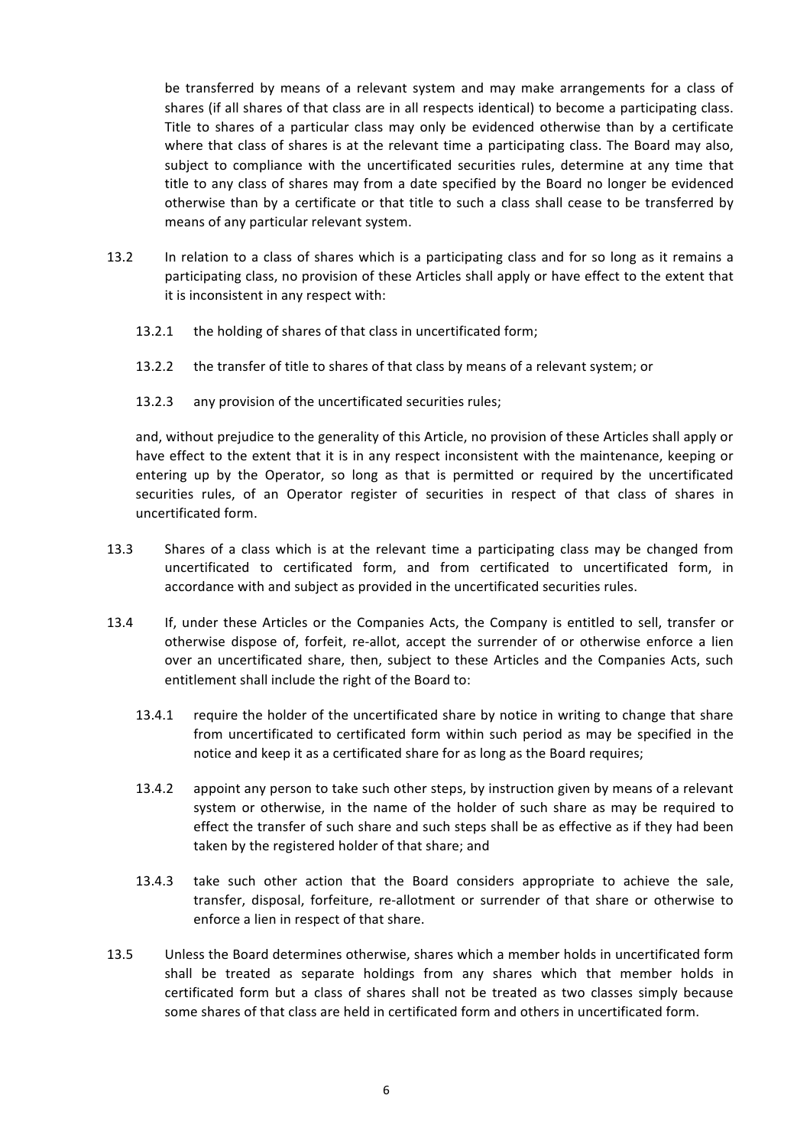be transferred by means of a relevant system and may make arrangements for a class of shares (if all shares of that class are in all respects identical) to become a participating class. Title to shares of a particular class may only be evidenced otherwise than by a certificate where that class of shares is at the relevant time a participating class. The Board may also, subject to compliance with the uncertificated securities rules, determine at any time that title to any class of shares may from a date specified by the Board no longer be evidenced otherwise than by a certificate or that title to such a class shall cease to be transferred by means of any particular relevant system.

- 13.2 In relation to a class of shares which is a participating class and for so long as it remains a participating class, no provision of these Articles shall apply or have effect to the extent that it is inconsistent in any respect with:
	- 13.2.1 the holding of shares of that class in uncertificated form;
	- 13.2.2 the transfer of title to shares of that class by means of a relevant system; or
	- 13.2.3 any provision of the uncertificated securities rules;

and, without prejudice to the generality of this Article, no provision of these Articles shall apply or have effect to the extent that it is in any respect inconsistent with the maintenance, keeping or entering up by the Operator, so long as that is permitted or required by the uncertificated securities rules, of an Operator register of securities in respect of that class of shares in uncertificated form.

- 13.3 Shares of a class which is at the relevant time a participating class may be changed from uncertificated to certificated form, and from certificated to uncertificated form, in accordance with and subject as provided in the uncertificated securities rules.
- 13.4 If, under these Articles or the Companies Acts, the Company is entitled to sell, transfer or otherwise dispose of, forfeit, re-allot, accept the surrender of or otherwise enforce a lien over an uncertificated share, then, subject to these Articles and the Companies Acts, such entitlement shall include the right of the Board to:
	- 13.4.1 require the holder of the uncertificated share by notice in writing to change that share from uncertificated to certificated form within such period as may be specified in the notice and keep it as a certificated share for as long as the Board requires;
	- 13.4.2 appoint any person to take such other steps, by instruction given by means of a relevant system or otherwise, in the name of the holder of such share as may be required to effect the transfer of such share and such steps shall be as effective as if they had been taken by the registered holder of that share; and
	- 13.4.3 take such other action that the Board considers appropriate to achieve the sale, transfer, disposal, forfeiture, re-allotment or surrender of that share or otherwise to enforce a lien in respect of that share.
- 13.5 Unless the Board determines otherwise, shares which a member holds in uncertificated form shall be treated as separate holdings from any shares which that member holds in certificated form but a class of shares shall not be treated as two classes simply because some shares of that class are held in certificated form and others in uncertificated form.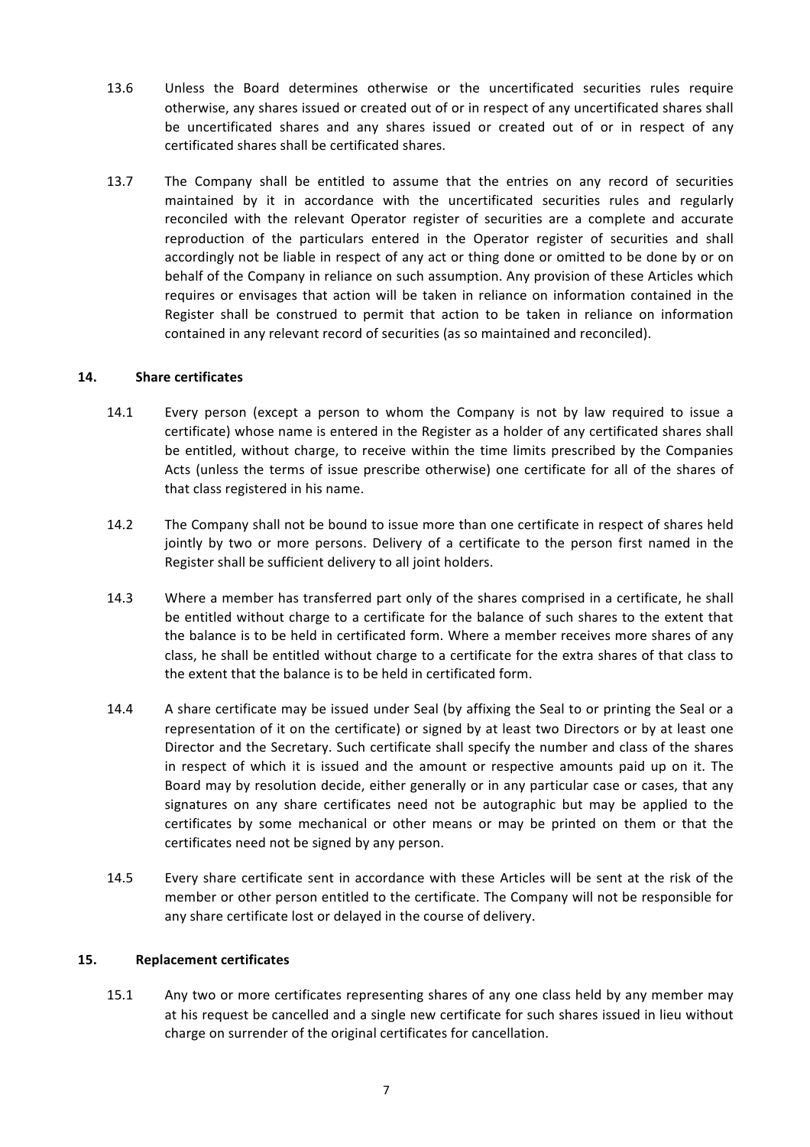- 13.6 Unless the Board determines otherwise or the uncertificated securities rules require otherwise, any shares issued or created out of or in respect of any uncertificated shares shall be uncertificated shares and any shares issued or created out of or in respect of any certificated shares shall be certificated shares.
- 13.7 The Company shall be entitled to assume that the entries on any record of securities maintained by it in accordance with the uncertificated securities rules and regularly reconciled with the relevant Operator register of securities are a complete and accurate reproduction of the particulars entered in the Operator register of securities and shall accordingly not be liable in respect of any act or thing done or omitted to be done by or on behalf of the Company in reliance on such assumption. Any provision of these Articles which requires or envisages that action will be taken in reliance on information contained in the Register shall be construed to permit that action to be taken in reliance on information contained in any relevant record of securities (as so maintained and reconciled).

## **14. Share certificates**

- 14.1 Every person (except a person to whom the Company is not by law required to issue a certificate) whose name is entered in the Register as a holder of any certificated shares shall be entitled, without charge, to receive within the time limits prescribed by the Companies Acts (unless the terms of issue prescribe otherwise) one certificate for all of the shares of that class registered in his name.
- 14.2 The Company shall not be bound to issue more than one certificate in respect of shares held jointly by two or more persons. Delivery of a certificate to the person first named in the Register shall be sufficient delivery to all joint holders.
- 14.3 Where a member has transferred part only of the shares comprised in a certificate, he shall be entitled without charge to a certificate for the balance of such shares to the extent that the balance is to be held in certificated form. Where a member receives more shares of any class, he shall be entitled without charge to a certificate for the extra shares of that class to the extent that the balance is to be held in certificated form.
- 14.4 A share certificate may be issued under Seal (by affixing the Seal to or printing the Seal or a representation of it on the certificate) or signed by at least two Directors or by at least one Director and the Secretary. Such certificate shall specify the number and class of the shares in respect of which it is issued and the amount or respective amounts paid up on it. The Board may by resolution decide, either generally or in any particular case or cases, that any signatures on any share certificates need not be autographic but may be applied to the certificates by some mechanical or other means or may be printed on them or that the certificates need not be signed by any person.
- 14.5 Every share certificate sent in accordance with these Articles will be sent at the risk of the member or other person entitled to the certificate. The Company will not be responsible for any share certificate lost or delayed in the course of delivery.

### **15. Replacement certificates**

15.1 Any two or more certificates representing shares of any one class held by any member may at his request be cancelled and a single new certificate for such shares issued in lieu without charge on surrender of the original certificates for cancellation.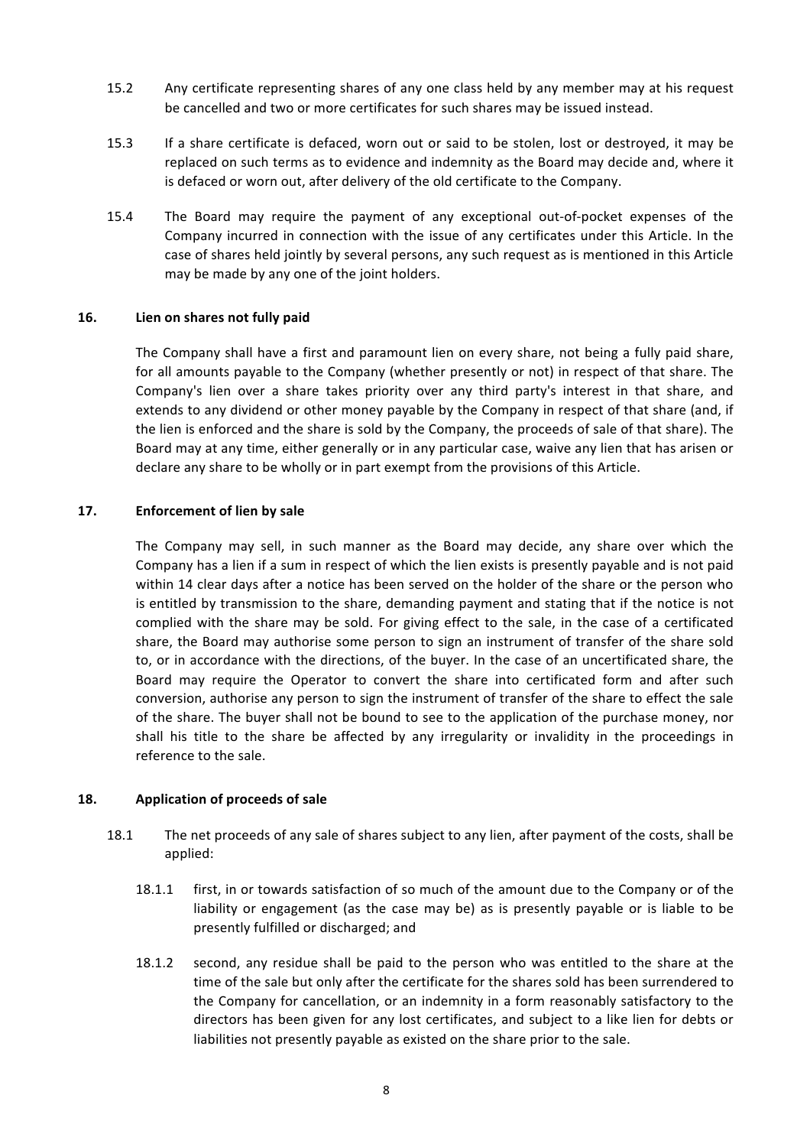- 15.2 Any certificate representing shares of any one class held by any member may at his request be cancelled and two or more certificates for such shares may be issued instead.
- 15.3 If a share certificate is defaced, worn out or said to be stolen, lost or destroyed, it may be replaced on such terms as to evidence and indemnity as the Board may decide and, where it is defaced or worn out, after delivery of the old certificate to the Company.
- 15.4 The Board may require the payment of any exceptional out-of-pocket expenses of the Company incurred in connection with the issue of any certificates under this Article. In the case of shares held jointly by several persons, any such request as is mentioned in this Article may be made by any one of the joint holders.

### **16. Lien on shares not fully paid**

The Company shall have a first and paramount lien on every share, not being a fully paid share, for all amounts payable to the Company (whether presently or not) in respect of that share. The Company's lien over a share takes priority over any third party's interest in that share, and extends to any dividend or other money payable by the Company in respect of that share (and, if the lien is enforced and the share is sold by the Company, the proceeds of sale of that share). The Board may at any time, either generally or in any particular case, waive any lien that has arisen or declare any share to be wholly or in part exempt from the provisions of this Article.

### **17. Enforcement of lien by sale**

The Company may sell, in such manner as the Board may decide, any share over which the Company has a lien if a sum in respect of which the lien exists is presently payable and is not paid within 14 clear days after a notice has been served on the holder of the share or the person who is entitled by transmission to the share, demanding payment and stating that if the notice is not complied with the share may be sold. For giving effect to the sale, in the case of a certificated share, the Board may authorise some person to sign an instrument of transfer of the share sold to, or in accordance with the directions, of the buyer. In the case of an uncertificated share, the Board may require the Operator to convert the share into certificated form and after such conversion, authorise any person to sign the instrument of transfer of the share to effect the sale of the share. The buyer shall not be bound to see to the application of the purchase money, nor shall his title to the share be affected by any irregularity or invalidity in the proceedings in reference to the sale.

### 18. **Application of proceeds of sale**

- 18.1 The net proceeds of any sale of shares subject to any lien, after payment of the costs, shall be applied:
	- 18.1.1 first, in or towards satisfaction of so much of the amount due to the Company or of the liability or engagement (as the case may be) as is presently payable or is liable to be presently fulfilled or discharged; and
	- 18.1.2 second, any residue shall be paid to the person who was entitled to the share at the time of the sale but only after the certificate for the shares sold has been surrendered to the Company for cancellation, or an indemnity in a form reasonably satisfactory to the directors has been given for any lost certificates, and subject to a like lien for debts or liabilities not presently payable as existed on the share prior to the sale.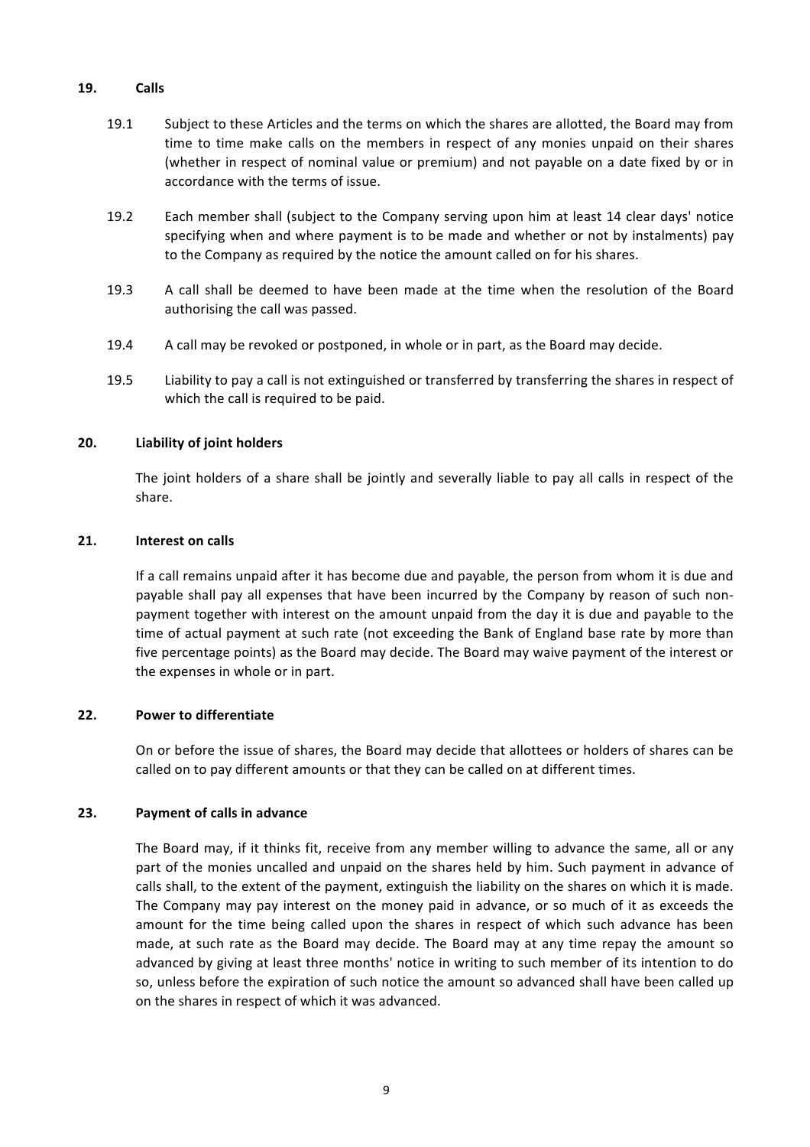### **19. Calls**

- 19.1 Subject to these Articles and the terms on which the shares are allotted, the Board may from time to time make calls on the members in respect of any monies unpaid on their shares (whether in respect of nominal value or premium) and not payable on a date fixed by or in accordance with the terms of issue.
- 19.2 Each member shall (subject to the Company serving upon him at least 14 clear days' notice specifying when and where payment is to be made and whether or not by instalments) pay to the Company as required by the notice the amount called on for his shares.
- 19.3 A call shall be deemed to have been made at the time when the resolution of the Board authorising the call was passed.
- 19.4 A call may be revoked or postponed, in whole or in part, as the Board may decide.
- 19.5 Liability to pay a call is not extinguished or transferred by transferring the shares in respect of which the call is required to be paid.

## **20. Liability of joint holders**

The joint holders of a share shall be jointly and severally liable to pay all calls in respect of the share.

### 21. **Interest on calls**

If a call remains unpaid after it has become due and payable, the person from whom it is due and payable shall pay all expenses that have been incurred by the Company by reason of such nonpayment together with interest on the amount unpaid from the day it is due and payable to the time of actual payment at such rate (not exceeding the Bank of England base rate by more than five percentage points) as the Board may decide. The Board may waive payment of the interest or the expenses in whole or in part.

### **22.** Power to differentiate

On or before the issue of shares, the Board may decide that allottees or holders of shares can be called on to pay different amounts or that they can be called on at different times.

### **23.** Payment of calls in advance

The Board may, if it thinks fit, receive from any member willing to advance the same, all or any part of the monies uncalled and unpaid on the shares held by him. Such payment in advance of calls shall, to the extent of the payment, extinguish the liability on the shares on which it is made. The Company may pay interest on the money paid in advance, or so much of it as exceeds the amount for the time being called upon the shares in respect of which such advance has been made, at such rate as the Board may decide. The Board may at any time repay the amount so advanced by giving at least three months' notice in writing to such member of its intention to do so, unless before the expiration of such notice the amount so advanced shall have been called up on the shares in respect of which it was advanced.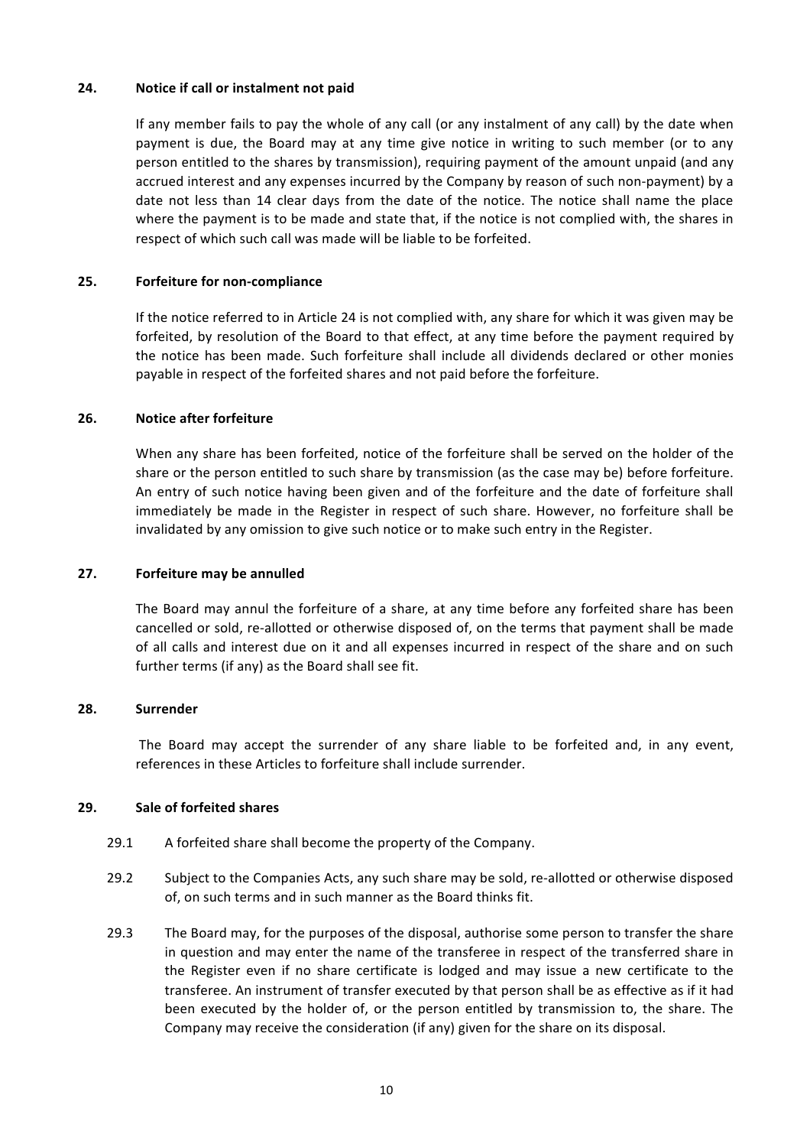### **24.** Notice if call or instalment not paid

If any member fails to pay the whole of any call (or any instalment of any call) by the date when payment is due, the Board may at any time give notice in writing to such member (or to any person entitled to the shares by transmission), requiring payment of the amount unpaid (and any accrued interest and any expenses incurred by the Company by reason of such non-payment) by a date not less than 14 clear days from the date of the notice. The notice shall name the place where the payment is to be made and state that, if the notice is not complied with, the shares in respect of which such call was made will be liable to be forfeited.

## **25. Forfeiture for non-compliance**

If the notice referred to in Article 24 is not complied with, any share for which it was given may be forfeited, by resolution of the Board to that effect, at any time before the payment required by the notice has been made. Such forfeiture shall include all dividends declared or other monies payable in respect of the forfeited shares and not paid before the forfeiture.

## **26.** Notice after forfeiture

When any share has been forfeited, notice of the forfeiture shall be served on the holder of the share or the person entitled to such share by transmission (as the case may be) before forfeiture. An entry of such notice having been given and of the forfeiture and the date of forfeiture shall immediately be made in the Register in respect of such share. However, no forfeiture shall be invalidated by any omission to give such notice or to make such entry in the Register.

### **27.** Forfeiture may be annulled

The Board may annul the forfeiture of a share, at any time before any forfeited share has been cancelled or sold, re-allotted or otherwise disposed of, on the terms that payment shall be made of all calls and interest due on it and all expenses incurred in respect of the share and on such further terms (if any) as the Board shall see fit.

### **28. Surrender**

The Board may accept the surrender of any share liable to be forfeited and, in any event, references in these Articles to forfeiture shall include surrender.

### **29. Sale of forfeited shares**

- 29.1 A forfeited share shall become the property of the Company.
- 29.2 Subject to the Companies Acts, any such share may be sold, re-allotted or otherwise disposed of, on such terms and in such manner as the Board thinks fit.
- 29.3 The Board may, for the purposes of the disposal, authorise some person to transfer the share in question and may enter the name of the transferee in respect of the transferred share in the Register even if no share certificate is lodged and may issue a new certificate to the transferee. An instrument of transfer executed by that person shall be as effective as if it had been executed by the holder of, or the person entitled by transmission to, the share. The Company may receive the consideration (if any) given for the share on its disposal.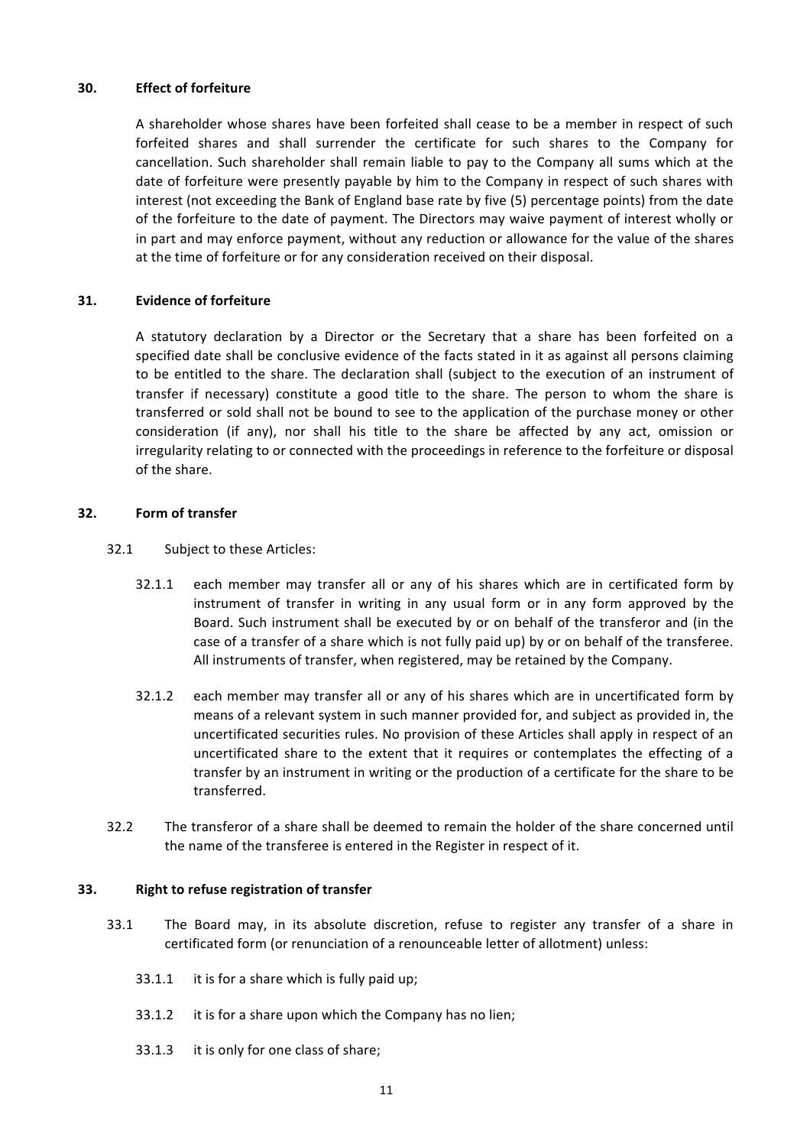### **30. Effect of forfeiture**

A shareholder whose shares have been forfeited shall cease to be a member in respect of such forfeited shares and shall surrender the certificate for such shares to the Company for cancellation. Such shareholder shall remain liable to pay to the Company all sums which at the date of forfeiture were presently payable by him to the Company in respect of such shares with interest (not exceeding the Bank of England base rate by five (5) percentage points) from the date of the forfeiture to the date of payment. The Directors may waive payment of interest wholly or in part and may enforce payment, without any reduction or allowance for the value of the shares at the time of forfeiture or for any consideration received on their disposal.

# **31. Evidence of forfeiture**

A statutory declaration by a Director or the Secretary that a share has been forfeited on a specified date shall be conclusive evidence of the facts stated in it as against all persons claiming to be entitled to the share. The declaration shall (subject to the execution of an instrument of transfer if necessary) constitute a good title to the share. The person to whom the share is transferred or sold shall not be bound to see to the application of the purchase money or other consideration (if any), nor shall his title to the share be affected by any act, omission or irregularity relating to or connected with the proceedings in reference to the forfeiture or disposal of the share.

## **32. Form of transfer**

- 32.1 Subject to these Articles:
	- 32.1.1 each member may transfer all or any of his shares which are in certificated form by instrument of transfer in writing in any usual form or in any form approved by the Board. Such instrument shall be executed by or on behalf of the transferor and (in the case of a transfer of a share which is not fully paid up) by or on behalf of the transferee. All instruments of transfer, when registered, may be retained by the Company.
	- 32.1.2 each member may transfer all or any of his shares which are in uncertificated form by means of a relevant system in such manner provided for, and subject as provided in, the uncertificated securities rules. No provision of these Articles shall apply in respect of an uncertificated share to the extent that it requires or contemplates the effecting of a transfer by an instrument in writing or the production of a certificate for the share to be transferred.
- 32.2 The transferor of a share shall be deemed to remain the holder of the share concerned until the name of the transferee is entered in the Register in respect of it.

### **33.** Right to refuse registration of transfer

- 33.1 The Board may, in its absolute discretion, refuse to register any transfer of a share in certificated form (or renunciation of a renounceable letter of allotment) unless:
	- $33.1.1$  it is for a share which is fully paid up;
	- 33.1.2 it is for a share upon which the Company has no lien;
	- 33.1.3 it is only for one class of share;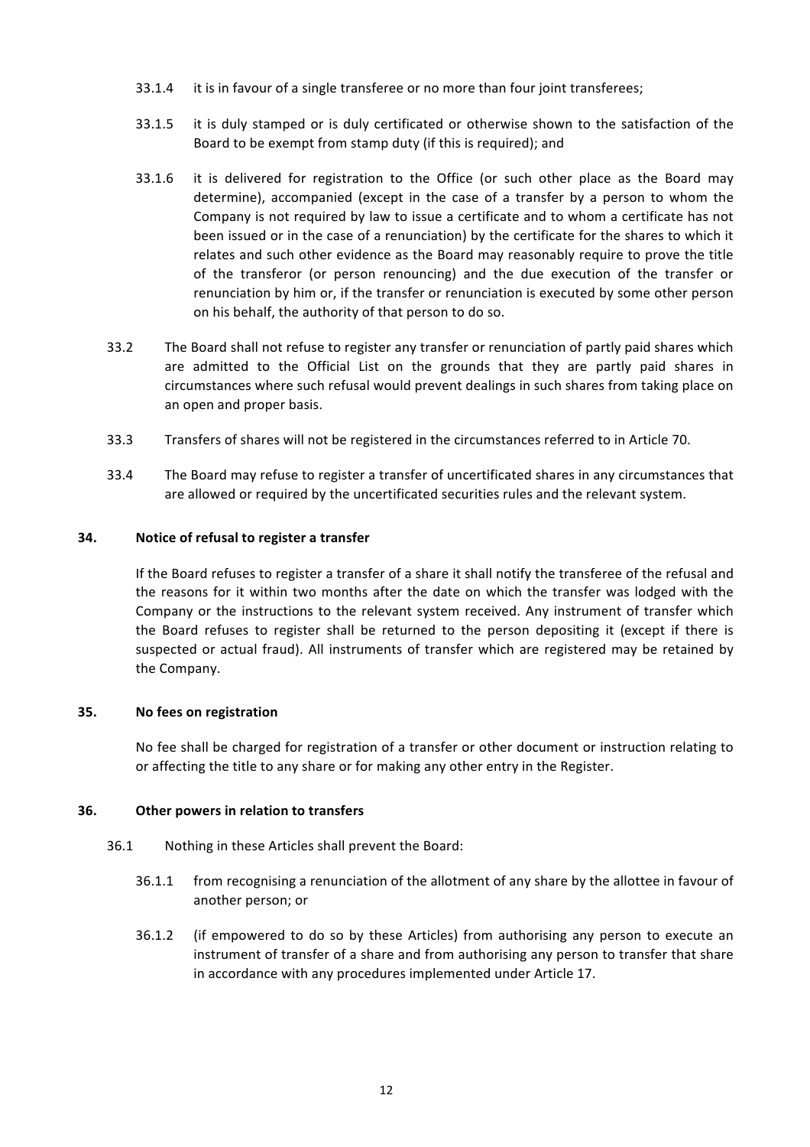- 33.1.4 it is in favour of a single transferee or no more than four joint transferees;
- 33.1.5 it is duly stamped or is duly certificated or otherwise shown to the satisfaction of the Board to be exempt from stamp duty (if this is required); and
- 33.1.6 it is delivered for registration to the Office (or such other place as the Board may determine), accompanied (except in the case of a transfer by a person to whom the Company is not required by law to issue a certificate and to whom a certificate has not been issued or in the case of a renunciation) by the certificate for the shares to which it relates and such other evidence as the Board may reasonably require to prove the title of the transferor (or person renouncing) and the due execution of the transfer or renunciation by him or, if the transfer or renunciation is executed by some other person on his behalf, the authority of that person to do so.
- 33.2 The Board shall not refuse to register any transfer or renunciation of partly paid shares which are admitted to the Official List on the grounds that they are partly paid shares in circumstances where such refusal would prevent dealings in such shares from taking place on an open and proper basis.
- 33.3 Transfers of shares will not be registered in the circumstances referred to in Article 70.
- 33.4 The Board may refuse to register a transfer of uncertificated shares in any circumstances that are allowed or required by the uncertificated securities rules and the relevant system.

## **34.** Notice of refusal to register a transfer

If the Board refuses to register a transfer of a share it shall notify the transferee of the refusal and the reasons for it within two months after the date on which the transfer was lodged with the Company or the instructions to the relevant system received. Any instrument of transfer which the Board refuses to register shall be returned to the person depositing it (except if there is suspected or actual fraud). All instruments of transfer which are registered may be retained by the Company.

### **35. No fees on registration**

No fee shall be charged for registration of a transfer or other document or instruction relating to or affecting the title to any share or for making any other entry in the Register.

### **36.** Other powers in relation to transfers

- 36.1 Nothing in these Articles shall prevent the Board:
	- 36.1.1 from recognising a renunciation of the allotment of any share by the allottee in favour of another person; or
	- 36.1.2 (if empowered to do so by these Articles) from authorising any person to execute an instrument of transfer of a share and from authorising any person to transfer that share in accordance with any procedures implemented under Article 17.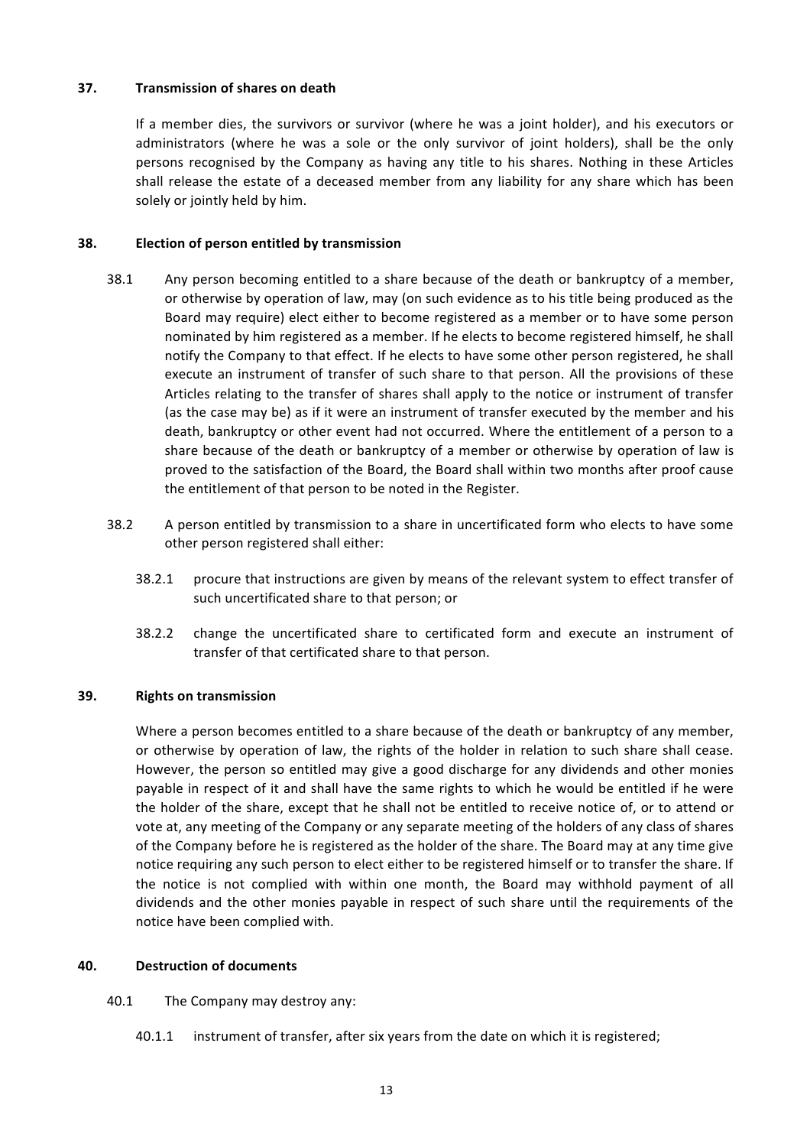### **37. Transmission of shares on death**

If a member dies, the survivors or survivor (where he was a joint holder), and his executors or administrators (where he was a sole or the only survivor of joint holders), shall be the only persons recognised by the Company as having any title to his shares. Nothing in these Articles shall release the estate of a deceased member from any liability for any share which has been solely or jointly held by him.

## **38. Election of person entitled by transmission**

- 38.1 Any person becoming entitled to a share because of the death or bankruptcy of a member, or otherwise by operation of law, may (on such evidence as to his title being produced as the Board may require) elect either to become registered as a member or to have some person nominated by him registered as a member. If he elects to become registered himself, he shall notify the Company to that effect. If he elects to have some other person registered, he shall execute an instrument of transfer of such share to that person. All the provisions of these Articles relating to the transfer of shares shall apply to the notice or instrument of transfer (as the case may be) as if it were an instrument of transfer executed by the member and his death, bankruptcy or other event had not occurred. Where the entitlement of a person to a share because of the death or bankruptcy of a member or otherwise by operation of law is proved to the satisfaction of the Board, the Board shall within two months after proof cause the entitlement of that person to be noted in the Register.
- 38.2 A person entitled by transmission to a share in uncertificated form who elects to have some other person registered shall either:
	- 38.2.1 procure that instructions are given by means of the relevant system to effect transfer of such uncertificated share to that person; or
	- 38.2.2 change the uncertificated share to certificated form and execute an instrument of transfer of that certificated share to that person.

### **39.** Rights on transmission

Where a person becomes entitled to a share because of the death or bankruptcy of any member, or otherwise by operation of law, the rights of the holder in relation to such share shall cease. However, the person so entitled may give a good discharge for any dividends and other monies payable in respect of it and shall have the same rights to which he would be entitled if he were the holder of the share, except that he shall not be entitled to receive notice of, or to attend or vote at, any meeting of the Company or any separate meeting of the holders of any class of shares of the Company before he is registered as the holder of the share. The Board may at any time give notice requiring any such person to elect either to be registered himself or to transfer the share. If the notice is not complied with within one month, the Board may withhold payment of all dividends and the other monies payable in respect of such share until the requirements of the notice have been complied with.

# **40. Destruction of documents**

- 40.1 The Company may destroy any:
	- 40.1.1 instrument of transfer, after six years from the date on which it is registered;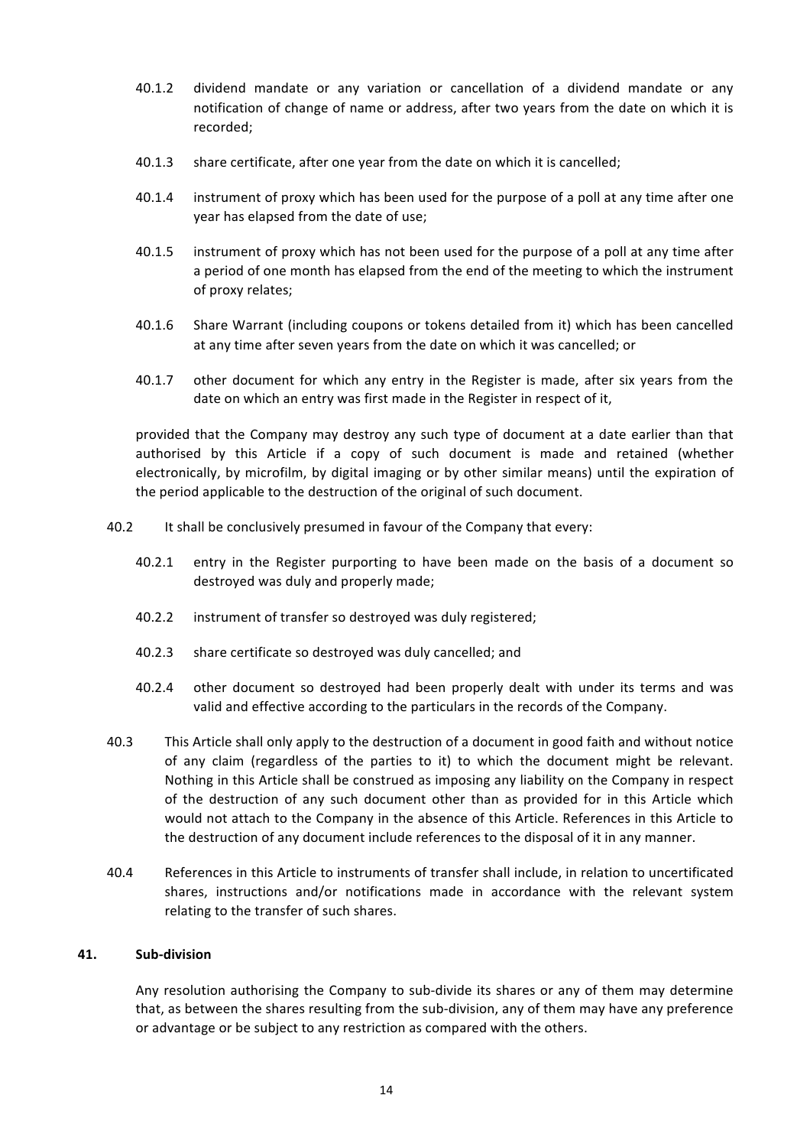- 40.1.2 dividend mandate or any variation or cancellation of a dividend mandate or any notification of change of name or address, after two years from the date on which it is recorded;
- 40.1.3 share certificate, after one year from the date on which it is cancelled;
- 40.1.4 instrument of proxy which has been used for the purpose of a poll at any time after one year has elapsed from the date of use;
- 40.1.5 instrument of proxy which has not been used for the purpose of a poll at any time after a period of one month has elapsed from the end of the meeting to which the instrument of proxy relates;
- 40.1.6 Share Warrant (including coupons or tokens detailed from it) which has been cancelled at any time after seven years from the date on which it was cancelled; or
- 40.1.7 other document for which any entry in the Register is made, after six years from the date on which an entry was first made in the Register in respect of it,

provided that the Company may destroy any such type of document at a date earlier than that authorised by this Article if a copy of such document is made and retained (whether electronically, by microfilm, by digital imaging or by other similar means) until the expiration of the period applicable to the destruction of the original of such document.

- 40.2 It shall be conclusively presumed in favour of the Company that every:
	- 40.2.1 entry in the Register purporting to have been made on the basis of a document so destroyed was duly and properly made;
	- 40.2.2 instrument of transfer so destroyed was duly registered;
	- 40.2.3 share certificate so destroyed was duly cancelled; and
	- 40.2.4 other document so destroyed had been properly dealt with under its terms and was valid and effective according to the particulars in the records of the Company.
- 40.3 This Article shall only apply to the destruction of a document in good faith and without notice of any claim (regardless of the parties to it) to which the document might be relevant. Nothing in this Article shall be construed as imposing any liability on the Company in respect of the destruction of any such document other than as provided for in this Article which would not attach to the Company in the absence of this Article. References in this Article to the destruction of any document include references to the disposal of it in any manner.
- 40.4 References in this Article to instruments of transfer shall include, in relation to uncertificated shares, instructions and/or notifications made in accordance with the relevant system relating to the transfer of such shares.

### **41. Sub-division**

Any resolution authorising the Company to sub-divide its shares or any of them may determine that, as between the shares resulting from the sub-division, any of them may have any preference or advantage or be subject to any restriction as compared with the others.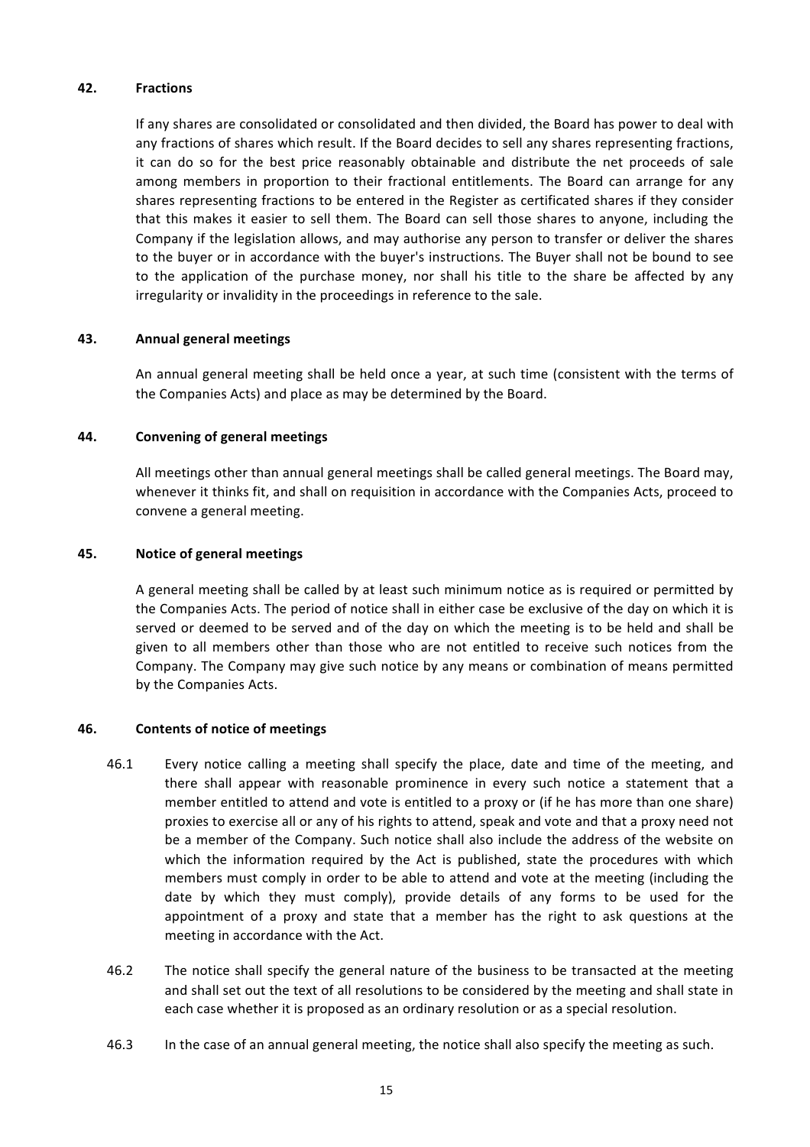### **42. Fractions**

If any shares are consolidated or consolidated and then divided, the Board has power to deal with any fractions of shares which result. If the Board decides to sell any shares representing fractions, it can do so for the best price reasonably obtainable and distribute the net proceeds of sale among members in proportion to their fractional entitlements. The Board can arrange for any shares representing fractions to be entered in the Register as certificated shares if they consider that this makes it easier to sell them. The Board can sell those shares to anyone, including the Company if the legislation allows, and may authorise any person to transfer or deliver the shares to the buyer or in accordance with the buyer's instructions. The Buyer shall not be bound to see to the application of the purchase money, nor shall his title to the share be affected by any irregularity or invalidity in the proceedings in reference to the sale.

## **43. Annual general meetings**

An annual general meeting shall be held once a year, at such time (consistent with the terms of the Companies Acts) and place as may be determined by the Board.

## **44. Convening of general meetings**

All meetings other than annual general meetings shall be called general meetings. The Board may, whenever it thinks fit, and shall on requisition in accordance with the Companies Acts, proceed to convene a general meeting.

## **45. Notice of general meetings**

A general meeting shall be called by at least such minimum notice as is required or permitted by the Companies Acts. The period of notice shall in either case be exclusive of the day on which it is served or deemed to be served and of the day on which the meeting is to be held and shall be given to all members other than those who are not entitled to receive such notices from the Company. The Company may give such notice by any means or combination of means permitted by the Companies Acts.

### **46. Contents of notice of meetings**

- 46.1 Every notice calling a meeting shall specify the place, date and time of the meeting, and there shall appear with reasonable prominence in every such notice a statement that a member entitled to attend and vote is entitled to a proxy or (if he has more than one share) proxies to exercise all or any of his rights to attend, speak and vote and that a proxy need not be a member of the Company. Such notice shall also include the address of the website on which the information required by the Act is published, state the procedures with which members must comply in order to be able to attend and vote at the meeting (including the date by which they must comply), provide details of any forms to be used for the appointment of a proxy and state that a member has the right to ask questions at the meeting in accordance with the Act.
- 46.2 The notice shall specify the general nature of the business to be transacted at the meeting and shall set out the text of all resolutions to be considered by the meeting and shall state in each case whether it is proposed as an ordinary resolution or as a special resolution.
- 46.3 In the case of an annual general meeting, the notice shall also specify the meeting as such.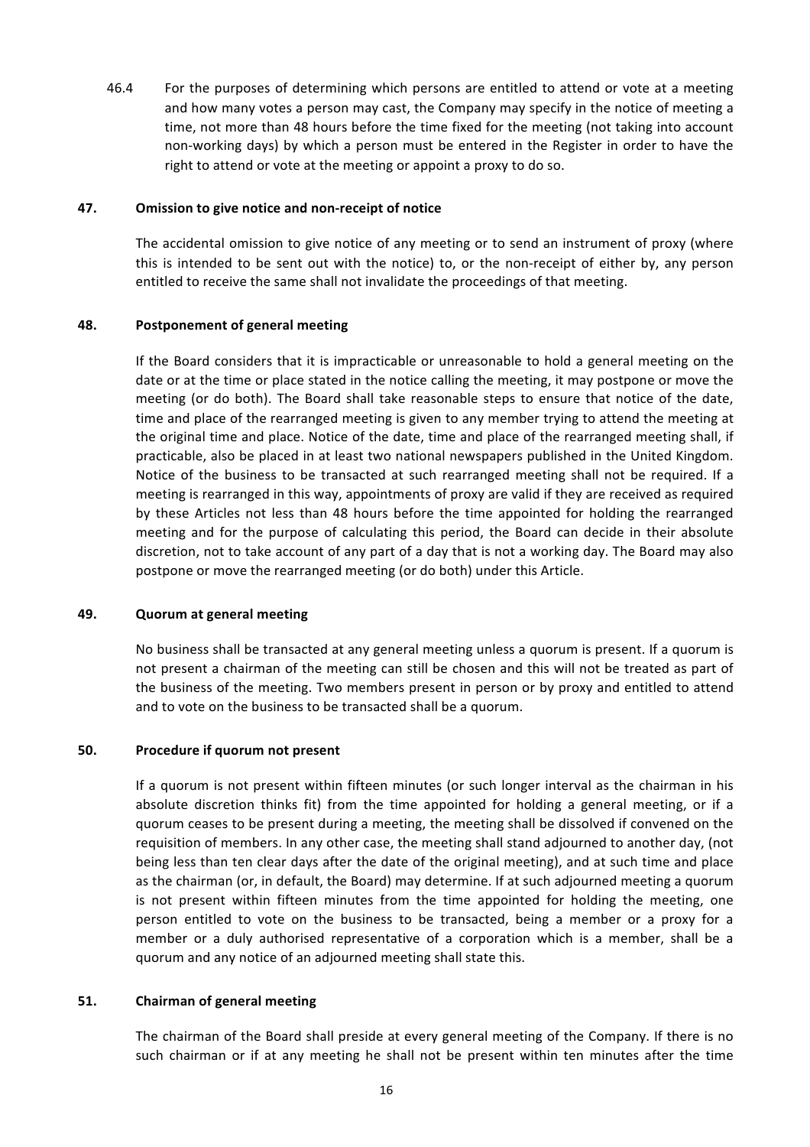46.4 For the purposes of determining which persons are entitled to attend or vote at a meeting and how many votes a person may cast, the Company may specify in the notice of meeting a time, not more than 48 hours before the time fixed for the meeting (not taking into account non-working days) by which a person must be entered in the Register in order to have the right to attend or vote at the meeting or appoint a proxy to do so.

### **47.** Omission to give notice and non-receipt of notice

The accidental omission to give notice of any meeting or to send an instrument of proxy (where this is intended to be sent out with the notice) to, or the non-receipt of either by, any person entitled to receive the same shall not invalidate the proceedings of that meeting.

#### **48. Postponement of general meeting**

If the Board considers that it is impracticable or unreasonable to hold a general meeting on the date or at the time or place stated in the notice calling the meeting, it may postpone or move the meeting (or do both). The Board shall take reasonable steps to ensure that notice of the date, time and place of the rearranged meeting is given to any member trying to attend the meeting at the original time and place. Notice of the date, time and place of the rearranged meeting shall, if practicable, also be placed in at least two national newspapers published in the United Kingdom. Notice of the business to be transacted at such rearranged meeting shall not be required. If a meeting is rearranged in this way, appointments of proxy are valid if they are received as required by these Articles not less than 48 hours before the time appointed for holding the rearranged meeting and for the purpose of calculating this period, the Board can decide in their absolute discretion, not to take account of any part of a day that is not a working day. The Board may also postpone or move the rearranged meeting (or do both) under this Article.

#### **49. Quorum at general meeting**

No business shall be transacted at any general meeting unless a quorum is present. If a quorum is not present a chairman of the meeting can still be chosen and this will not be treated as part of the business of the meeting. Two members present in person or by proxy and entitled to attend and to vote on the business to be transacted shall be a quorum.

### **50.** Procedure if quorum not present

If a quorum is not present within fifteen minutes (or such longer interval as the chairman in his absolute discretion thinks fit) from the time appointed for holding a general meeting, or if a quorum ceases to be present during a meeting, the meeting shall be dissolved if convened on the requisition of members. In any other case, the meeting shall stand adjourned to another day, (not being less than ten clear days after the date of the original meeting), and at such time and place as the chairman (or, in default, the Board) may determine. If at such adjourned meeting a quorum is not present within fifteen minutes from the time appointed for holding the meeting, one person entitled to vote on the business to be transacted, being a member or a proxy for a member or a duly authorised representative of a corporation which is a member, shall be a quorum and any notice of an adjourned meeting shall state this.

### **51.** Chairman of general meeting

The chairman of the Board shall preside at every general meeting of the Company. If there is no such chairman or if at any meeting he shall not be present within ten minutes after the time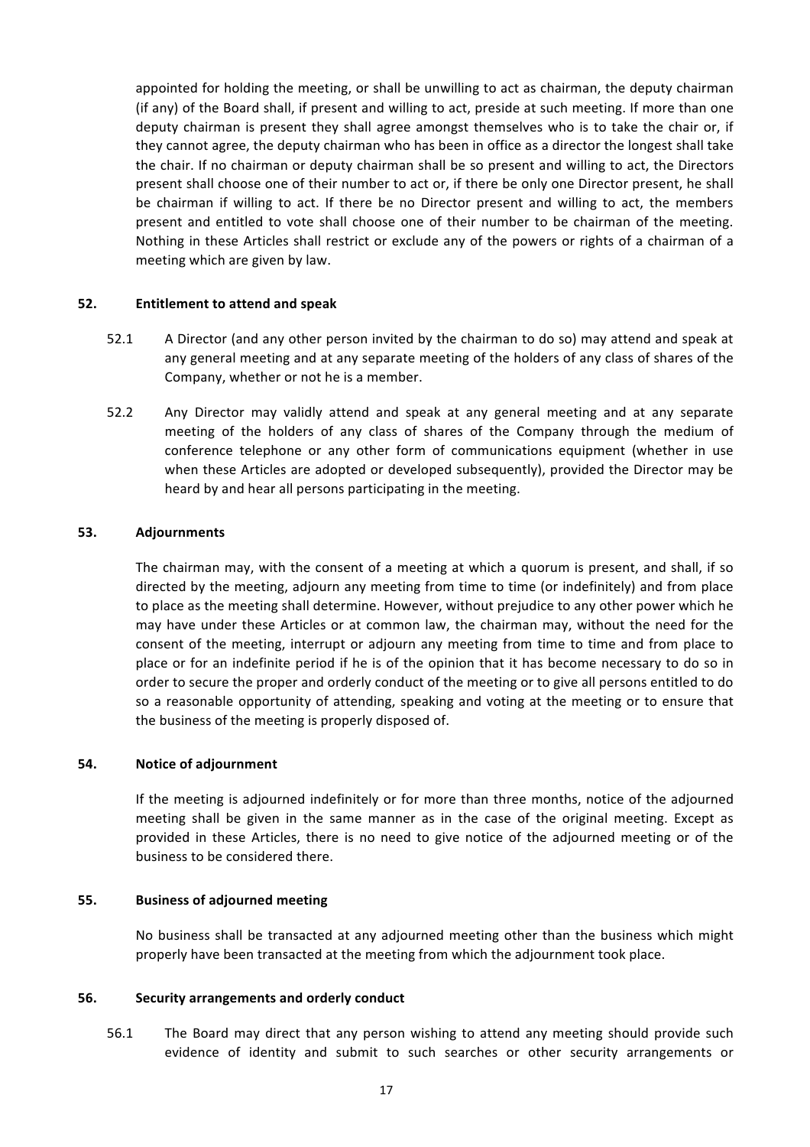appointed for holding the meeting, or shall be unwilling to act as chairman, the deputy chairman (if any) of the Board shall, if present and willing to act, preside at such meeting. If more than one deputy chairman is present they shall agree amongst themselves who is to take the chair or, if they cannot agree, the deputy chairman who has been in office as a director the longest shall take the chair. If no chairman or deputy chairman shall be so present and willing to act, the Directors present shall choose one of their number to act or, if there be only one Director present, he shall be chairman if willing to act. If there be no Director present and willing to act, the members present and entitled to vote shall choose one of their number to be chairman of the meeting. Nothing in these Articles shall restrict or exclude any of the powers or rights of a chairman of a meeting which are given by law.

### **52. Entitlement to attend and speak**

- 52.1 A Director (and any other person invited by the chairman to do so) may attend and speak at any general meeting and at any separate meeting of the holders of any class of shares of the Company, whether or not he is a member.
- 52.2 Any Director may validly attend and speak at any general meeting and at any separate meeting of the holders of any class of shares of the Company through the medium of conference telephone or any other form of communications equipment (whether in use when these Articles are adopted or developed subsequently), provided the Director may be heard by and hear all persons participating in the meeting.

## **53. Adjournments**

The chairman may, with the consent of a meeting at which a quorum is present, and shall, if so directed by the meeting, adjourn any meeting from time to time (or indefinitely) and from place to place as the meeting shall determine. However, without prejudice to any other power which he may have under these Articles or at common law, the chairman may, without the need for the consent of the meeting, interrupt or adjourn any meeting from time to time and from place to place or for an indefinite period if he is of the opinion that it has become necessary to do so in order to secure the proper and orderly conduct of the meeting or to give all persons entitled to do so a reasonable opportunity of attending, speaking and voting at the meeting or to ensure that the business of the meeting is properly disposed of.

### **54. Notice of adjournment**

If the meeting is adjourned indefinitely or for more than three months, notice of the adjourned meeting shall be given in the same manner as in the case of the original meeting. Except as provided in these Articles, there is no need to give notice of the adjourned meeting or of the business to be considered there.

### **55. Business of adjourned meeting**

No business shall be transacted at any adjourned meeting other than the business which might properly have been transacted at the meeting from which the adjournment took place.

### **56. Security arrangements and orderly conduct**

56.1 The Board may direct that any person wishing to attend any meeting should provide such evidence of identity and submit to such searches or other security arrangements or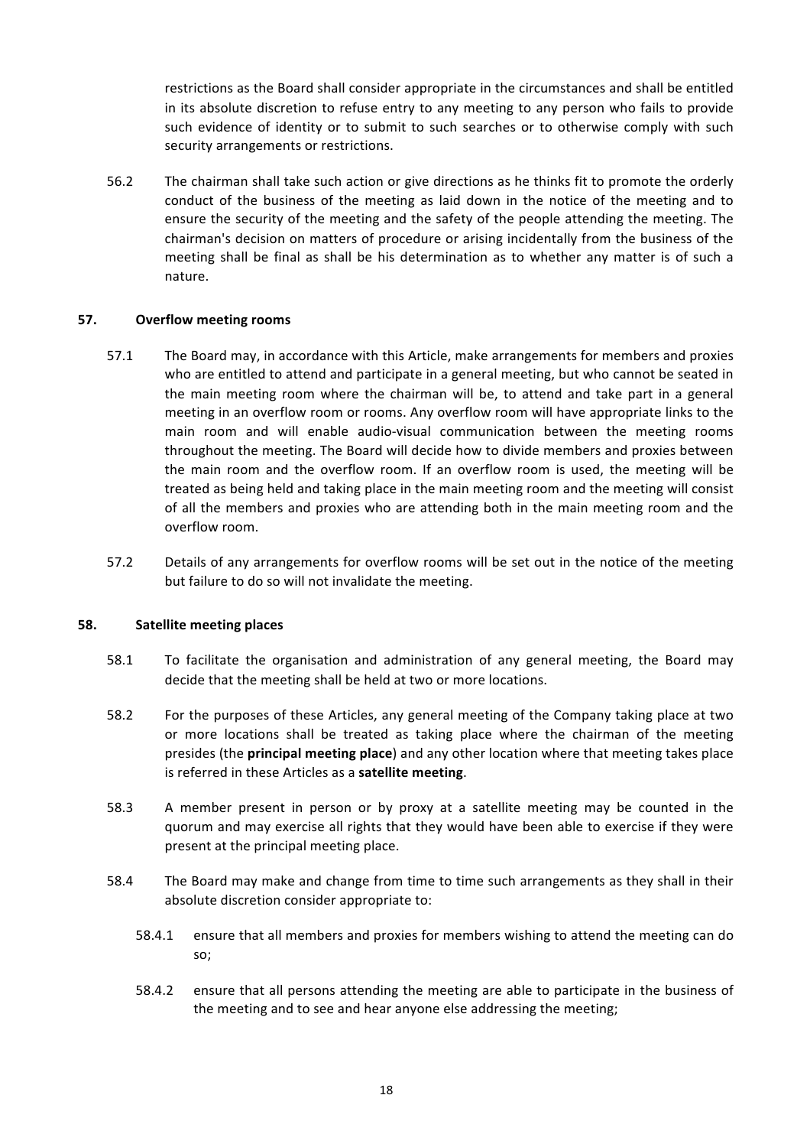restrictions as the Board shall consider appropriate in the circumstances and shall be entitled in its absolute discretion to refuse entry to any meeting to any person who fails to provide such evidence of identity or to submit to such searches or to otherwise comply with such security arrangements or restrictions.

56.2 The chairman shall take such action or give directions as he thinks fit to promote the orderly conduct of the business of the meeting as laid down in the notice of the meeting and to ensure the security of the meeting and the safety of the people attending the meeting. The chairman's decision on matters of procedure or arising incidentally from the business of the meeting shall be final as shall be his determination as to whether any matter is of such a nature.

## **57. Overflow meeting rooms**

- 57.1 The Board may, in accordance with this Article, make arrangements for members and proxies who are entitled to attend and participate in a general meeting, but who cannot be seated in the main meeting room where the chairman will be, to attend and take part in a general meeting in an overflow room or rooms. Any overflow room will have appropriate links to the main room and will enable audio-visual communication between the meeting rooms throughout the meeting. The Board will decide how to divide members and proxies between the main room and the overflow room. If an overflow room is used, the meeting will be treated as being held and taking place in the main meeting room and the meeting will consist of all the members and proxies who are attending both in the main meeting room and the overflow room.
- 57.2 Details of any arrangements for overflow rooms will be set out in the notice of the meeting but failure to do so will not invalidate the meeting.

### **58.** Satellite meeting places

- 58.1 To facilitate the organisation and administration of any general meeting, the Board may decide that the meeting shall be held at two or more locations.
- 58.2 For the purposes of these Articles, any general meeting of the Company taking place at two or more locations shall be treated as taking place where the chairman of the meeting presides (the **principal meeting place**) and any other location where that meeting takes place is referred in these Articles as a **satellite meeting**.
- 58.3 A member present in person or by proxy at a satellite meeting may be counted in the quorum and may exercise all rights that they would have been able to exercise if they were present at the principal meeting place.
- 58.4 The Board may make and change from time to time such arrangements as they shall in their absolute discretion consider appropriate to:
	- 58.4.1 ensure that all members and proxies for members wishing to attend the meeting can do so;
	- 58.4.2 ensure that all persons attending the meeting are able to participate in the business of the meeting and to see and hear anyone else addressing the meeting;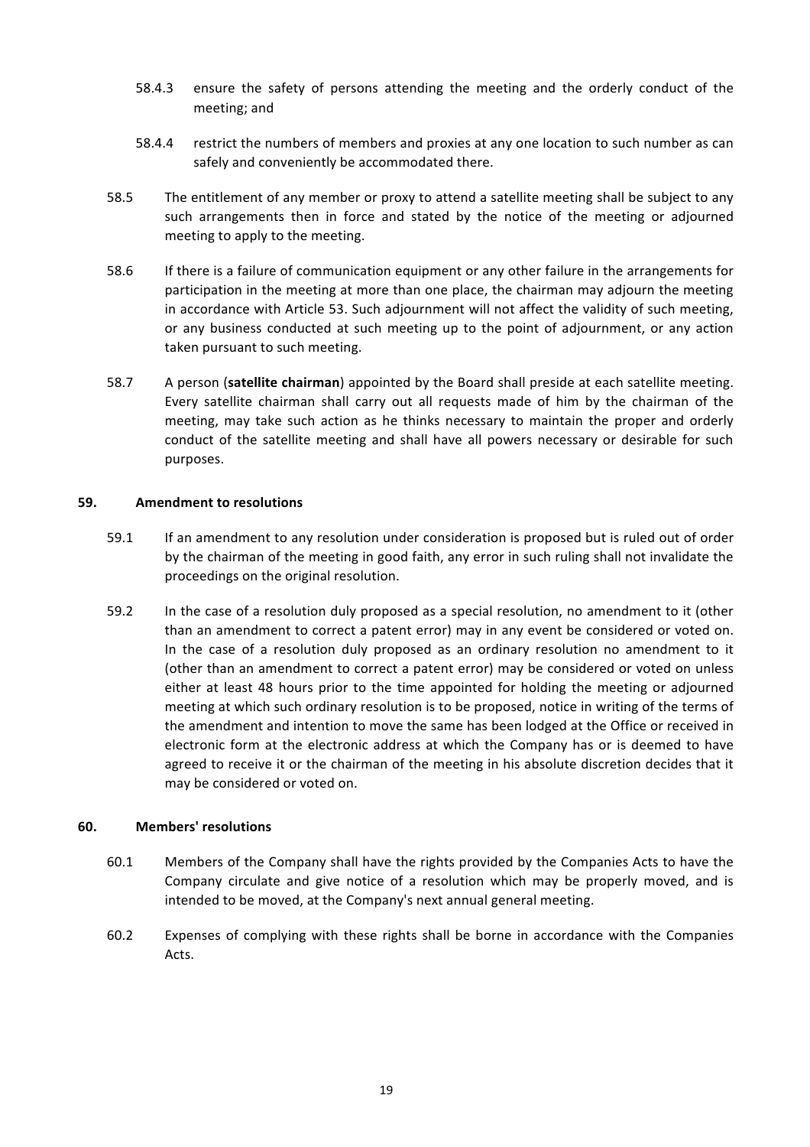- 58.4.3 ensure the safety of persons attending the meeting and the orderly conduct of the meeting; and
- 58.4.4 restrict the numbers of members and proxies at any one location to such number as can safely and conveniently be accommodated there.
- 58.5 The entitlement of any member or proxy to attend a satellite meeting shall be subject to any such arrangements then in force and stated by the notice of the meeting or adjourned meeting to apply to the meeting.
- 58.6 If there is a failure of communication equipment or any other failure in the arrangements for participation in the meeting at more than one place, the chairman may adjourn the meeting in accordance with Article 53. Such adjournment will not affect the validity of such meeting, or any business conducted at such meeting up to the point of adjournment, or any action taken pursuant to such meeting.
- 58.7 A person (**satellite chairman**) appointed by the Board shall preside at each satellite meeting. Every satellite chairman shall carry out all requests made of him by the chairman of the meeting, may take such action as he thinks necessary to maintain the proper and orderly conduct of the satellite meeting and shall have all powers necessary or desirable for such purposes.

### **59.** Amendment to resolutions

- 59.1 If an amendment to any resolution under consideration is proposed but is ruled out of order by the chairman of the meeting in good faith, any error in such ruling shall not invalidate the proceedings on the original resolution.
- 59.2 In the case of a resolution duly proposed as a special resolution, no amendment to it (other than an amendment to correct a patent error) may in any event be considered or voted on. In the case of a resolution duly proposed as an ordinary resolution no amendment to it (other than an amendment to correct a patent error) may be considered or voted on unless either at least 48 hours prior to the time appointed for holding the meeting or adjourned meeting at which such ordinary resolution is to be proposed, notice in writing of the terms of the amendment and intention to move the same has been lodged at the Office or received in electronic form at the electronic address at which the Company has or is deemed to have agreed to receive it or the chairman of the meeting in his absolute discretion decides that it may be considered or voted on.

### **60. Members' resolutions**

- 60.1 Members of the Company shall have the rights provided by the Companies Acts to have the Company circulate and give notice of a resolution which may be properly moved, and is intended to be moved, at the Company's next annual general meeting.
- 60.2 Expenses of complying with these rights shall be borne in accordance with the Companies Acts.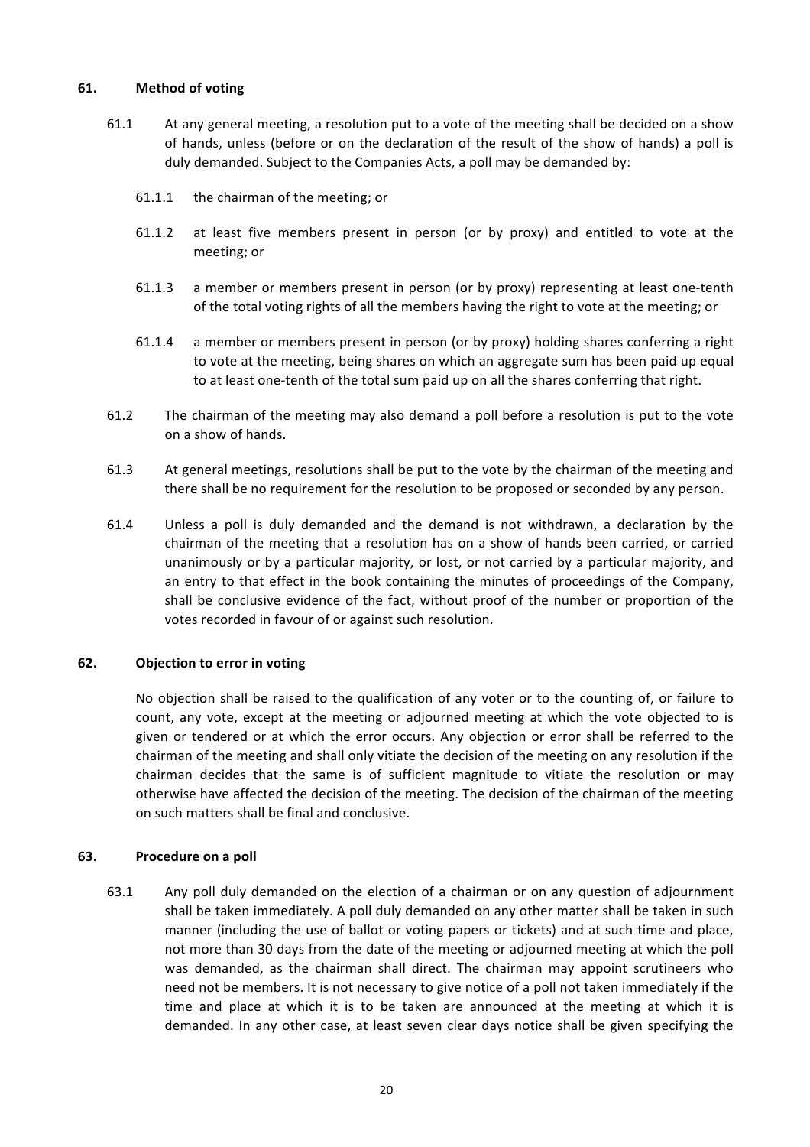### **61. Method of voting**

- 61.1 At any general meeting, a resolution put to a vote of the meeting shall be decided on a show of hands, unless (before or on the declaration of the result of the show of hands) a poll is duly demanded. Subject to the Companies Acts, a poll may be demanded by:
	- 61.1.1 the chairman of the meeting; or
	- 61.1.2 at least five members present in person (or by proxy) and entitled to vote at the meeting; or
	- 61.1.3 a member or members present in person (or by proxy) representing at least one-tenth of the total voting rights of all the members having the right to vote at the meeting; or
	- 61.1.4 a member or members present in person (or by proxy) holding shares conferring a right to vote at the meeting, being shares on which an aggregate sum has been paid up equal to at least one-tenth of the total sum paid up on all the shares conferring that right.
- 61.2 The chairman of the meeting may also demand a poll before a resolution is put to the vote on a show of hands.
- 61.3 At general meetings, resolutions shall be put to the vote by the chairman of the meeting and there shall be no requirement for the resolution to be proposed or seconded by any person.
- 61.4 Unless a poll is duly demanded and the demand is not withdrawn, a declaration by the chairman of the meeting that a resolution has on a show of hands been carried, or carried unanimously or by a particular majority, or lost, or not carried by a particular majority, and an entry to that effect in the book containing the minutes of proceedings of the Company, shall be conclusive evidence of the fact, without proof of the number or proportion of the votes recorded in favour of or against such resolution.

# **62. Objection to error in voting**

No objection shall be raised to the qualification of any voter or to the counting of, or failure to count, any vote, except at the meeting or adjourned meeting at which the vote objected to is given or tendered or at which the error occurs. Any objection or error shall be referred to the chairman of the meeting and shall only vitiate the decision of the meeting on any resolution if the chairman decides that the same is of sufficient magnitude to vitiate the resolution or may otherwise have affected the decision of the meeting. The decision of the chairman of the meeting on such matters shall be final and conclusive.

# **63.** Procedure on a poll

63.1 Any poll duly demanded on the election of a chairman or on any question of adjournment shall be taken immediately. A poll duly demanded on any other matter shall be taken in such manner (including the use of ballot or voting papers or tickets) and at such time and place, not more than 30 days from the date of the meeting or adjourned meeting at which the poll was demanded, as the chairman shall direct. The chairman may appoint scrutineers who need not be members. It is not necessary to give notice of a poll not taken immediately if the time and place at which it is to be taken are announced at the meeting at which it is demanded. In any other case, at least seven clear days notice shall be given specifying the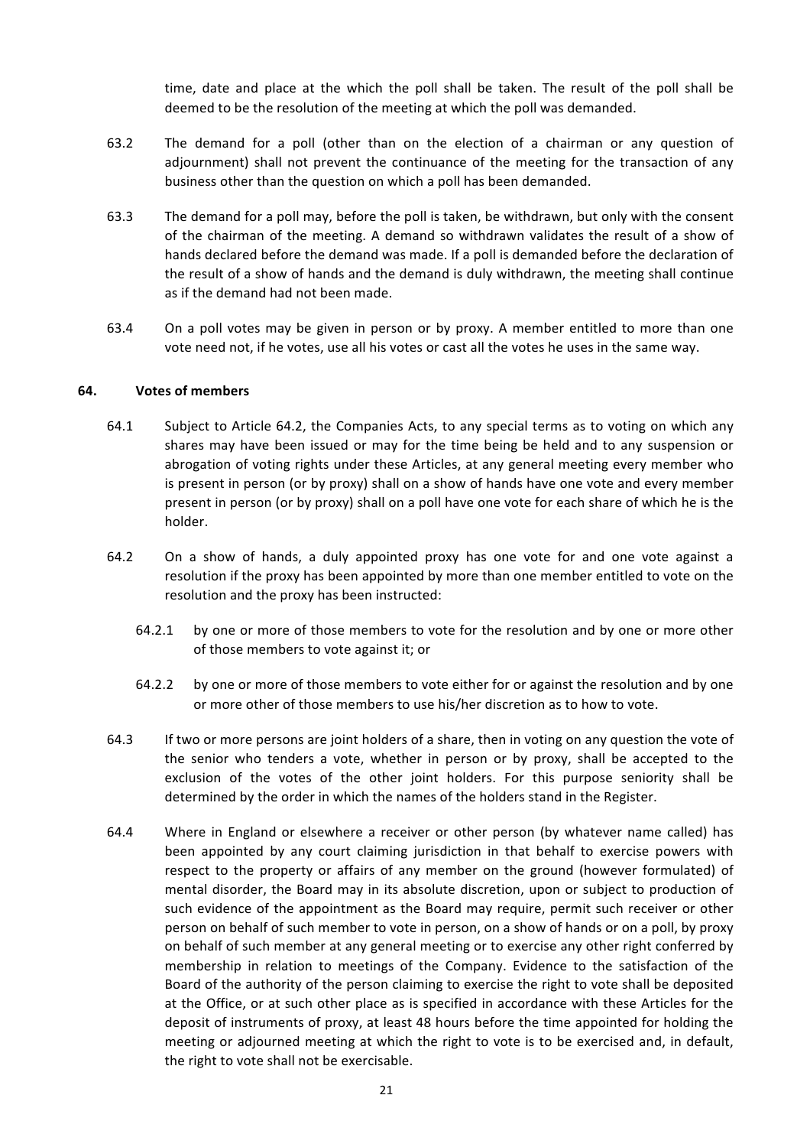time, date and place at the which the poll shall be taken. The result of the poll shall be deemed to be the resolution of the meeting at which the poll was demanded.

- 63.2 The demand for a poll (other than on the election of a chairman or any question of adjournment) shall not prevent the continuance of the meeting for the transaction of any business other than the question on which a poll has been demanded.
- 63.3 The demand for a poll may, before the poll is taken, be withdrawn, but only with the consent of the chairman of the meeting. A demand so withdrawn validates the result of a show of hands declared before the demand was made. If a poll is demanded before the declaration of the result of a show of hands and the demand is duly withdrawn, the meeting shall continue as if the demand had not been made.
- 63.4 On a poll votes may be given in person or by proxy. A member entitled to more than one vote need not, if he votes, use all his votes or cast all the votes he uses in the same way.

### **64. Votes of members**

- 64.1 Subject to Article 64.2, the Companies Acts, to any special terms as to voting on which any shares may have been issued or may for the time being be held and to any suspension or abrogation of voting rights under these Articles, at any general meeting every member who is present in person (or by proxy) shall on a show of hands have one vote and every member present in person (or by proxy) shall on a poll have one vote for each share of which he is the holder.
- 64.2 On a show of hands, a duly appointed proxy has one vote for and one vote against a resolution if the proxy has been appointed by more than one member entitled to vote on the resolution and the proxy has been instructed:
	- 64.2.1 by one or more of those members to vote for the resolution and by one or more other of those members to vote against it; or
	- 64.2.2 by one or more of those members to vote either for or against the resolution and by one or more other of those members to use his/her discretion as to how to vote.
- 64.3 If two or more persons are joint holders of a share, then in voting on any question the vote of the senior who tenders a vote, whether in person or by proxy, shall be accepted to the exclusion of the votes of the other joint holders. For this purpose seniority shall be determined by the order in which the names of the holders stand in the Register.
- 64.4 Where in England or elsewhere a receiver or other person (by whatever name called) has been appointed by any court claiming jurisdiction in that behalf to exercise powers with respect to the property or affairs of any member on the ground (however formulated) of mental disorder, the Board may in its absolute discretion, upon or subject to production of such evidence of the appointment as the Board may require, permit such receiver or other person on behalf of such member to vote in person, on a show of hands or on a poll, by proxy on behalf of such member at any general meeting or to exercise any other right conferred by membership in relation to meetings of the Company. Evidence to the satisfaction of the Board of the authority of the person claiming to exercise the right to vote shall be deposited at the Office, or at such other place as is specified in accordance with these Articles for the deposit of instruments of proxy, at least 48 hours before the time appointed for holding the meeting or adjourned meeting at which the right to vote is to be exercised and, in default, the right to vote shall not be exercisable.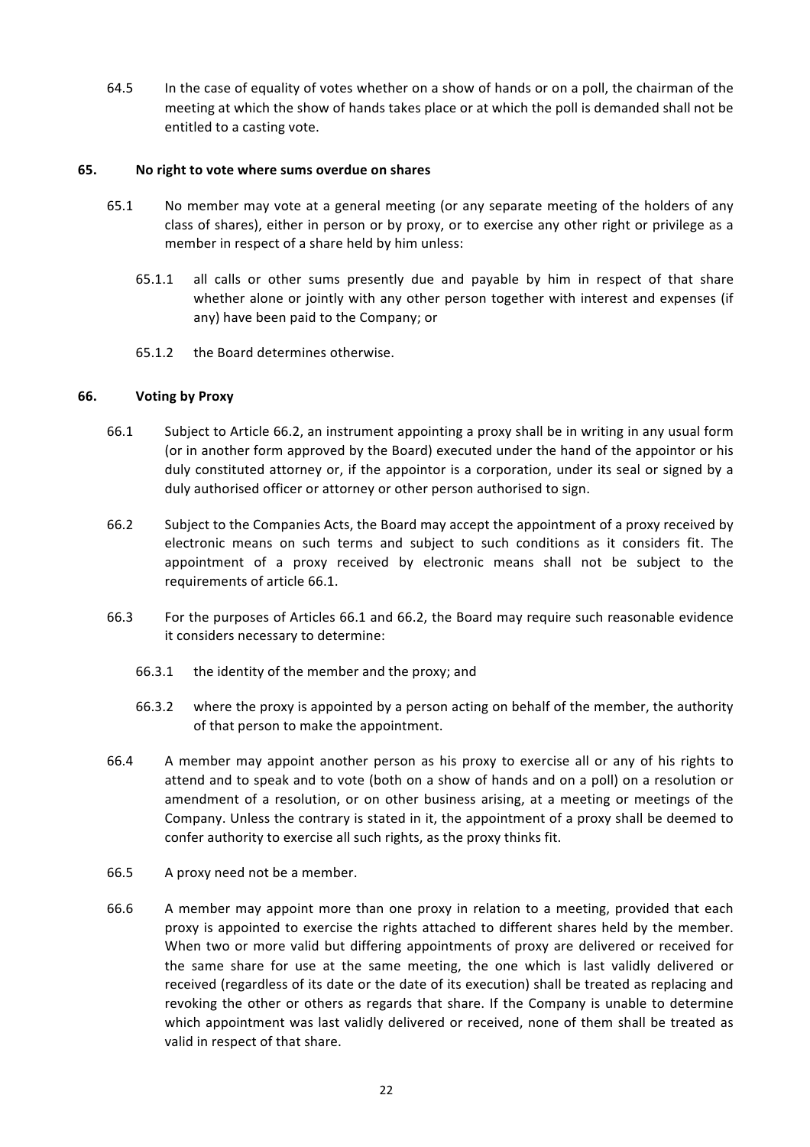64.5 In the case of equality of votes whether on a show of hands or on a poll, the chairman of the meeting at which the show of hands takes place or at which the poll is demanded shall not be entitled to a casting vote.

### **65.** No right to vote where sums overdue on shares

- 65.1 No member may vote at a general meeting (or any separate meeting of the holders of any class of shares), either in person or by proxy, or to exercise any other right or privilege as a member in respect of a share held by him unless:
	- 65.1.1 all calls or other sums presently due and payable by him in respect of that share whether alone or jointly with any other person together with interest and expenses (if any) have been paid to the Company; or
	- 65.1.2 the Board determines otherwise.

### **66. Voting by Proxy**

- 66.1 Subject to Article 66.2, an instrument appointing a proxy shall be in writing in any usual form (or in another form approved by the Board) executed under the hand of the appointor or his duly constituted attorney or, if the appointor is a corporation, under its seal or signed by a duly authorised officer or attorney or other person authorised to sign.
- 66.2 Subject to the Companies Acts, the Board may accept the appointment of a proxy received by electronic means on such terms and subject to such conditions as it considers fit. The appointment of a proxy received by electronic means shall not be subject to the requirements of article 66.1.
- 66.3 For the purposes of Articles 66.1 and 66.2, the Board may require such reasonable evidence it considers necessary to determine:
	- 66.3.1 the identity of the member and the proxy; and
	- 66.3.2 where the proxy is appointed by a person acting on behalf of the member, the authority of that person to make the appointment.
- 66.4 A member may appoint another person as his proxy to exercise all or any of his rights to attend and to speak and to vote (both on a show of hands and on a poll) on a resolution or amendment of a resolution, or on other business arising, at a meeting or meetings of the Company. Unless the contrary is stated in it, the appointment of a proxy shall be deemed to confer authority to exercise all such rights, as the proxy thinks fit.
- 66.5 A proxy need not be a member.
- 66.6 A member may appoint more than one proxy in relation to a meeting, provided that each proxy is appointed to exercise the rights attached to different shares held by the member. When two or more valid but differing appointments of proxy are delivered or received for the same share for use at the same meeting, the one which is last validly delivered or received (regardless of its date or the date of its execution) shall be treated as replacing and revoking the other or others as regards that share. If the Company is unable to determine which appointment was last validly delivered or received, none of them shall be treated as valid in respect of that share.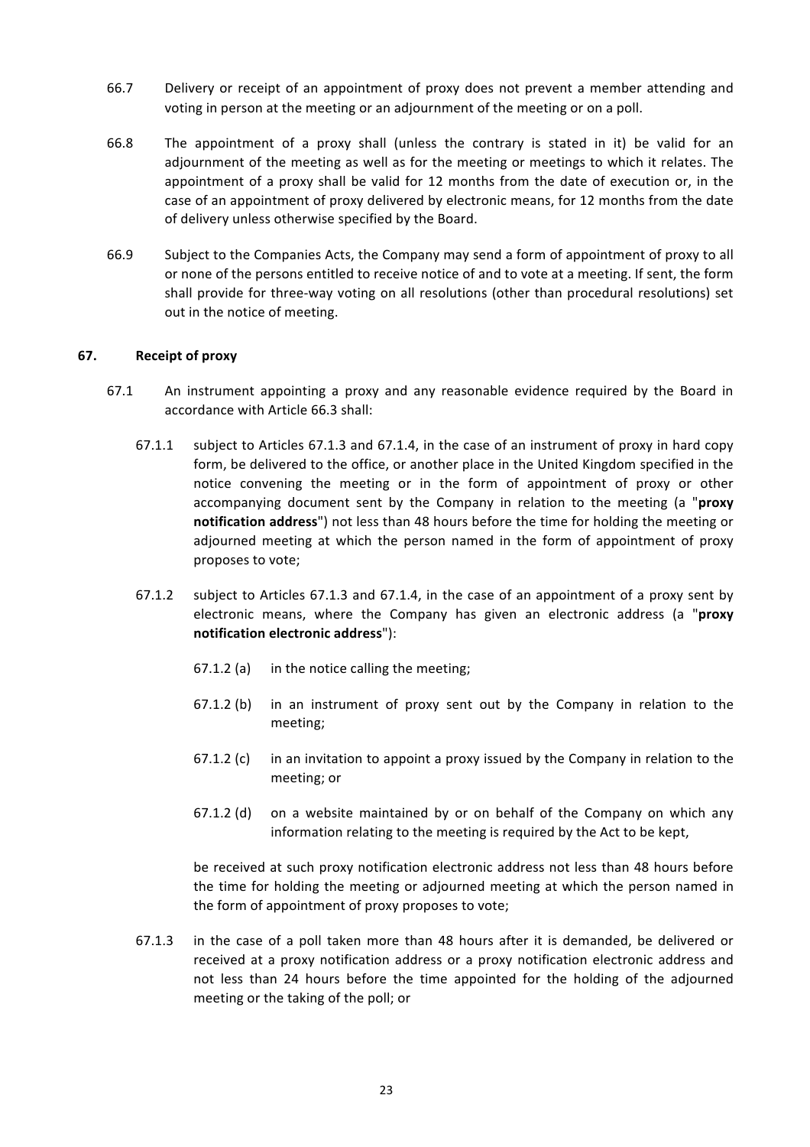- 66.7 Delivery or receipt of an appointment of proxy does not prevent a member attending and voting in person at the meeting or an adjournment of the meeting or on a poll.
- 66.8 The appointment of a proxy shall (unless the contrary is stated in it) be valid for an adjournment of the meeting as well as for the meeting or meetings to which it relates. The appointment of a proxy shall be valid for 12 months from the date of execution or, in the case of an appointment of proxy delivered by electronic means, for 12 months from the date of delivery unless otherwise specified by the Board.
- 66.9 Subject to the Companies Acts, the Company may send a form of appointment of proxy to all or none of the persons entitled to receive notice of and to vote at a meeting. If sent, the form shall provide for three-way voting on all resolutions (other than procedural resolutions) set out in the notice of meeting.

### **67. Receipt of proxy**

- 67.1 An instrument appointing a proxy and any reasonable evidence required by the Board in accordance with Article 66.3 shall:
	- 67.1.1 subject to Articles 67.1.3 and 67.1.4, in the case of an instrument of proxy in hard copy form, be delivered to the office, or another place in the United Kingdom specified in the notice convening the meeting or in the form of appointment of proxy or other accompanying document sent by the Company in relation to the meeting (a "**proxy notification address**") not less than 48 hours before the time for holding the meeting or adjourned meeting at which the person named in the form of appointment of proxy proposes to vote;
	- 67.1.2 subject to Articles 67.1.3 and 67.1.4, in the case of an appointment of a proxy sent by electronic means, where the Company has given an electronic address (a "proxy **notification electronic address**"):
		- $67.1.2$  (a) in the notice calling the meeting;
		- $67.1.2$  (b) in an instrument of proxy sent out by the Company in relation to the meeting;
		- 67.1.2 (c) in an invitation to appoint a proxy issued by the Company in relation to the meeting; or
		- $67.1.2$  (d) on a website maintained by or on behalf of the Company on which any information relating to the meeting is required by the Act to be kept,

be received at such proxy notification electronic address not less than 48 hours before the time for holding the meeting or adjourned meeting at which the person named in the form of appointment of proxy proposes to vote;

67.1.3 in the case of a poll taken more than 48 hours after it is demanded, be delivered or received at a proxy notification address or a proxy notification electronic address and not less than 24 hours before the time appointed for the holding of the adjourned meeting or the taking of the poll; or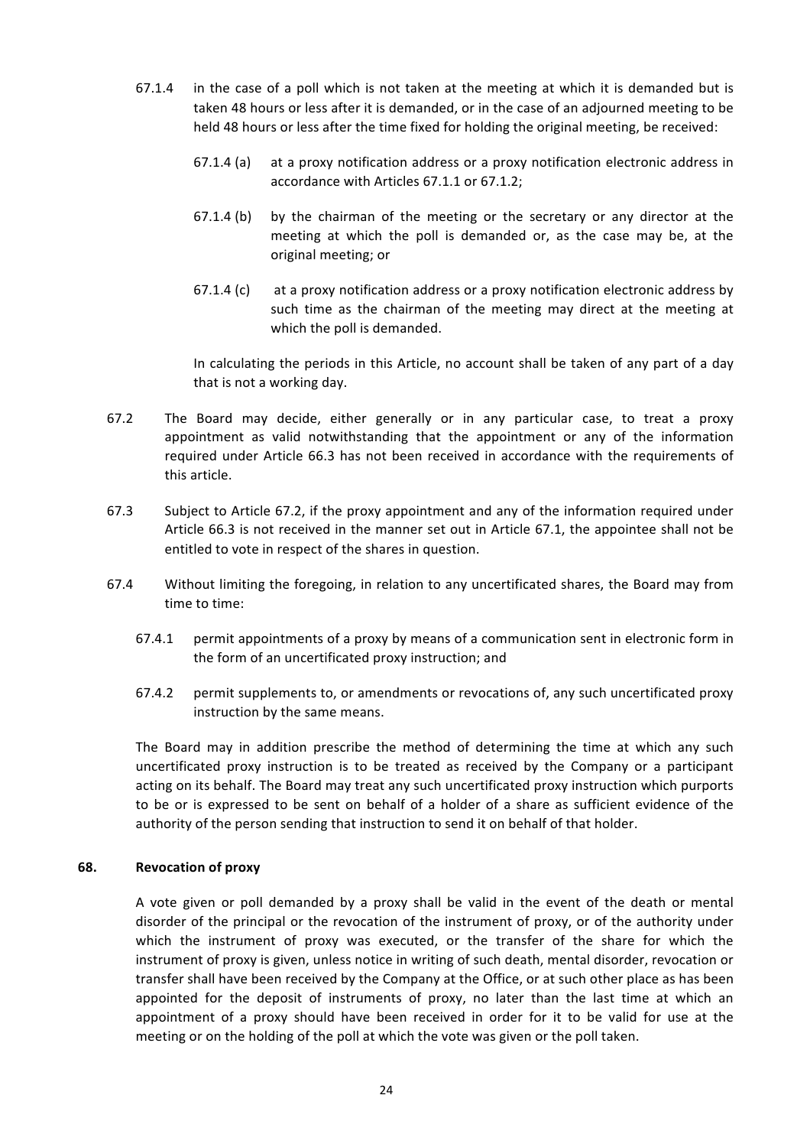- $67.1.4$  in the case of a poll which is not taken at the meeting at which it is demanded but is taken 48 hours or less after it is demanded, or in the case of an adjourned meeting to be held 48 hours or less after the time fixed for holding the original meeting, be received:
	- $67.1.4$  (a) at a proxy notification address or a proxy notification electronic address in accordance with Articles 67.1.1 or 67.1.2;
	- $67.1.4$  (b) by the chairman of the meeting or the secretary or any director at the meeting at which the poll is demanded or, as the case may be, at the original meeting; or
	- $67.1.4$  (c) at a proxy notification address or a proxy notification electronic address by such time as the chairman of the meeting may direct at the meeting at which the poll is demanded.

In calculating the periods in this Article, no account shall be taken of any part of a day that is not a working day.

- 67.2 The Board may decide, either generally or in any particular case, to treat a proxy appointment as valid notwithstanding that the appointment or any of the information required under Article 66.3 has not been received in accordance with the requirements of this article.
- 67.3 Subject to Article 67.2, if the proxy appointment and any of the information required under Article 66.3 is not received in the manner set out in Article 67.1, the appointee shall not be entitled to vote in respect of the shares in question.
- 67.4 Without limiting the foregoing, in relation to any uncertificated shares, the Board may from time to time:
	- 67.4.1 permit appointments of a proxy by means of a communication sent in electronic form in the form of an uncertificated proxy instruction; and
	- 67.4.2 permit supplements to, or amendments or revocations of, any such uncertificated proxy instruction by the same means.

The Board may in addition prescribe the method of determining the time at which any such uncertificated proxy instruction is to be treated as received by the Company or a participant acting on its behalf. The Board may treat any such uncertificated proxy instruction which purports to be or is expressed to be sent on behalf of a holder of a share as sufficient evidence of the authority of the person sending that instruction to send it on behalf of that holder.

### **68. Revocation of proxy**

A vote given or poll demanded by a proxy shall be valid in the event of the death or mental disorder of the principal or the revocation of the instrument of proxy, or of the authority under which the instrument of proxy was executed, or the transfer of the share for which the instrument of proxy is given, unless notice in writing of such death, mental disorder, revocation or transfer shall have been received by the Company at the Office, or at such other place as has been appointed for the deposit of instruments of proxy, no later than the last time at which an appointment of a proxy should have been received in order for it to be valid for use at the meeting or on the holding of the poll at which the vote was given or the poll taken.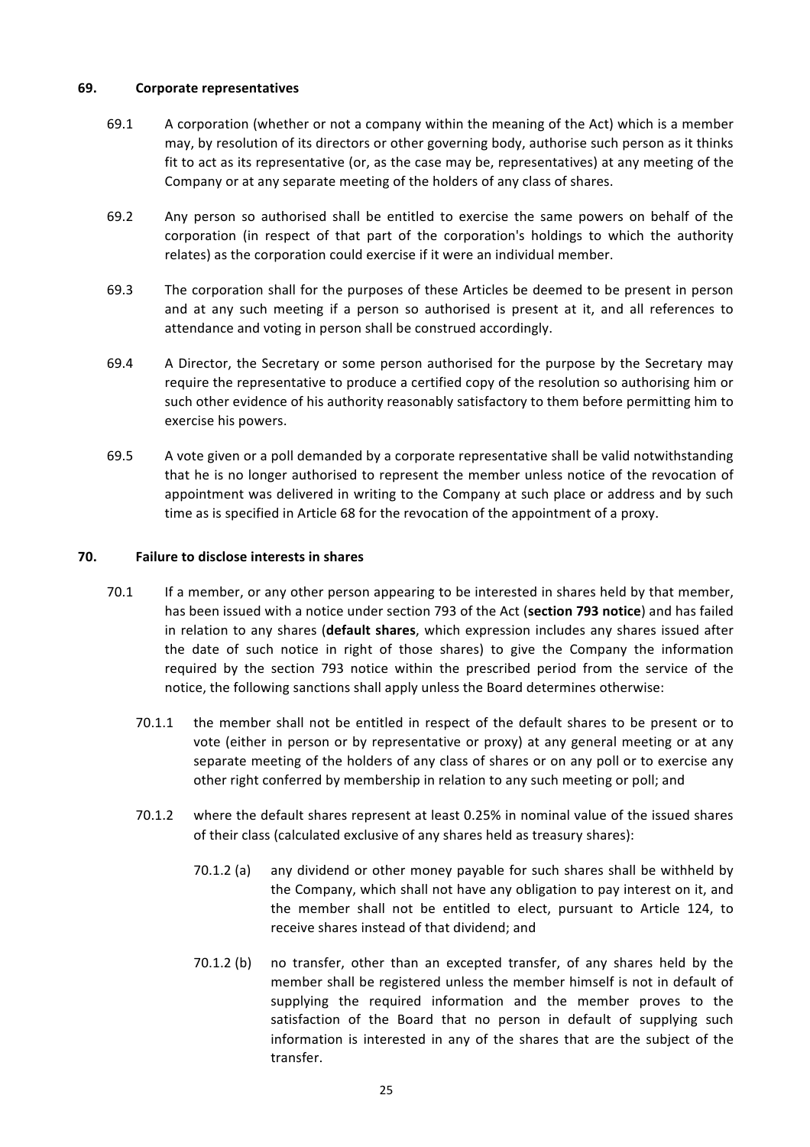### **69. Corporate representatives**

- 69.1 A corporation (whether or not a company within the meaning of the Act) which is a member may, by resolution of its directors or other governing body, authorise such person as it thinks fit to act as its representative (or, as the case may be, representatives) at any meeting of the Company or at any separate meeting of the holders of any class of shares.
- 69.2 Any person so authorised shall be entitled to exercise the same powers on behalf of the corporation (in respect of that part of the corporation's holdings to which the authority relates) as the corporation could exercise if it were an individual member.
- 69.3 The corporation shall for the purposes of these Articles be deemed to be present in person and at any such meeting if a person so authorised is present at it, and all references to attendance and voting in person shall be construed accordingly.
- 69.4 A Director, the Secretary or some person authorised for the purpose by the Secretary may require the representative to produce a certified copy of the resolution so authorising him or such other evidence of his authority reasonably satisfactory to them before permitting him to exercise his powers.
- 69.5 A vote given or a poll demanded by a corporate representative shall be valid notwithstanding that he is no longer authorised to represent the member unless notice of the revocation of appointment was delivered in writing to the Company at such place or address and by such time as is specified in Article 68 for the revocation of the appointment of a proxy.

## **70. Failure to disclose interests in shares**

- 70.1 If a member, or any other person appearing to be interested in shares held by that member, has been issued with a notice under section 793 of the Act (**section 793 notice**) and has failed in relation to any shares (default shares, which expression includes any shares issued after the date of such notice in right of those shares) to give the Company the information required by the section 793 notice within the prescribed period from the service of the notice, the following sanctions shall apply unless the Board determines otherwise:
	- 70.1.1 the member shall not be entitled in respect of the default shares to be present or to vote (either in person or by representative or proxy) at any general meeting or at any separate meeting of the holders of any class of shares or on any poll or to exercise any other right conferred by membership in relation to any such meeting or poll; and
	- 70.1.2 where the default shares represent at least 0.25% in nominal value of the issued shares of their class (calculated exclusive of any shares held as treasury shares):
		- 70.1.2 (a) any dividend or other money payable for such shares shall be withheld by the Company, which shall not have any obligation to pay interest on it, and the member shall not be entitled to elect, pursuant to Article 124, to receive shares instead of that dividend; and
		- 70.1.2 (b) no transfer, other than an excepted transfer, of any shares held by the member shall be registered unless the member himself is not in default of supplying the required information and the member proves to the satisfaction of the Board that no person in default of supplying such information is interested in any of the shares that are the subject of the transfer.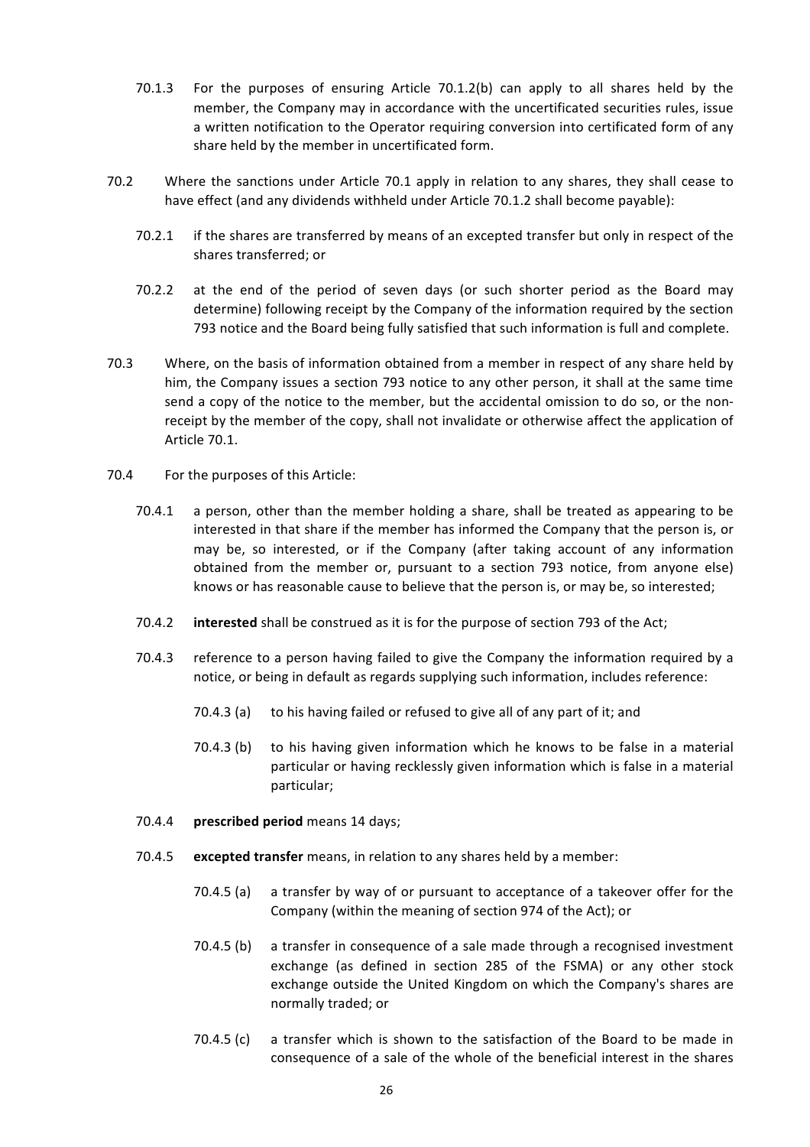- 70.1.3 For the purposes of ensuring Article  $70.1.2(b)$  can apply to all shares held by the member, the Company may in accordance with the uncertificated securities rules, issue a written notification to the Operator requiring conversion into certificated form of any share held by the member in uncertificated form.
- 70.2 Where the sanctions under Article 70.1 apply in relation to any shares, they shall cease to have effect (and any dividends withheld under Article 70.1.2 shall become payable):
	- 70.2.1 if the shares are transferred by means of an excepted transfer but only in respect of the shares transferred; or
	- 70.2.2 at the end of the period of seven days (or such shorter period as the Board may determine) following receipt by the Company of the information required by the section 793 notice and the Board being fully satisfied that such information is full and complete.
- 70.3 Where, on the basis of information obtained from a member in respect of any share held by him, the Company issues a section 793 notice to any other person, it shall at the same time send a copy of the notice to the member, but the accidental omission to do so, or the nonreceipt by the member of the copy, shall not invalidate or otherwise affect the application of Article 70.1.
- 70.4 For the purposes of this Article:
	- 70.4.1 a person, other than the member holding a share, shall be treated as appearing to be interested in that share if the member has informed the Company that the person is, or may be, so interested, or if the Company (after taking account of any information obtained from the member or, pursuant to a section 793 notice, from anyone else) knows or has reasonable cause to believe that the person is, or may be, so interested;
	- 70.4.2 **interested** shall be construed as it is for the purpose of section 793 of the Act;
	- 70.4.3 reference to a person having failed to give the Company the information required by a notice, or being in default as regards supplying such information, includes reference:
		- 70.4.3 (a) to his having failed or refused to give all of any part of it; and
		- 70.4.3 (b) to his having given information which he knows to be false in a material particular or having recklessly given information which is false in a material particular;
	- 70.4.4 **prescribed period** means 14 days;
	- 70.4.5 **excepted transfer** means, in relation to any shares held by a member:
		- 70.4.5 (a) a transfer by way of or pursuant to acceptance of a takeover offer for the Company (within the meaning of section 974 of the Act); or
		- $70.4.5$  (b) a transfer in consequence of a sale made through a recognised investment exchange (as defined in section 285 of the FSMA) or any other stock exchange outside the United Kingdom on which the Company's shares are normally traded; or
		- 70.4.5 (c) a transfer which is shown to the satisfaction of the Board to be made in consequence of a sale of the whole of the beneficial interest in the shares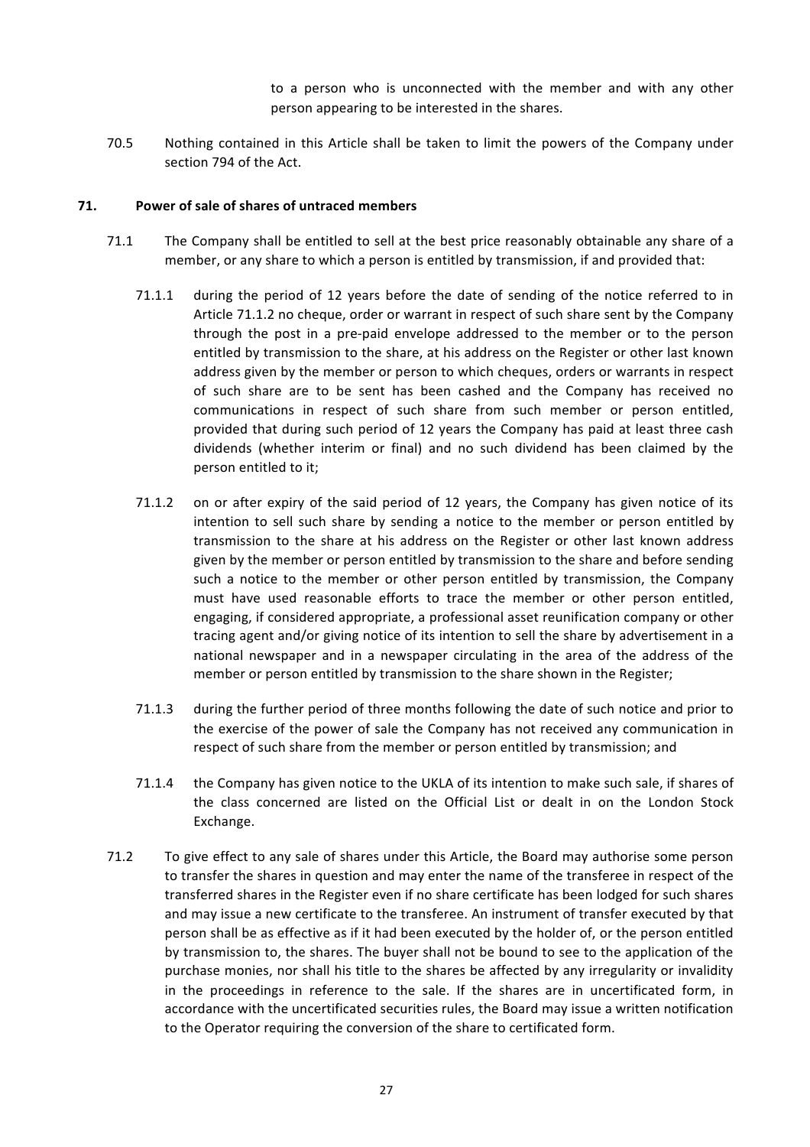to a person who is unconnected with the member and with any other person appearing to be interested in the shares.

70.5 Nothing contained in this Article shall be taken to limit the powers of the Company under section 794 of the Act.

#### **71.** Power of sale of shares of untraced members

- 71.1 The Company shall be entitled to sell at the best price reasonably obtainable any share of a member, or any share to which a person is entitled by transmission, if and provided that:
	- 71.1.1 during the period of 12 years before the date of sending of the notice referred to in Article 71.1.2 no cheque, order or warrant in respect of such share sent by the Company through the post in a pre-paid envelope addressed to the member or to the person entitled by transmission to the share, at his address on the Register or other last known address given by the member or person to which cheques, orders or warrants in respect of such share are to be sent has been cashed and the Company has received no communications in respect of such share from such member or person entitled, provided that during such period of 12 years the Company has paid at least three cash dividends (whether interim or final) and no such dividend has been claimed by the person entitled to it;
	- 71.1.2 on or after expiry of the said period of 12 years, the Company has given notice of its intention to sell such share by sending a notice to the member or person entitled by transmission to the share at his address on the Register or other last known address given by the member or person entitled by transmission to the share and before sending such a notice to the member or other person entitled by transmission, the Company must have used reasonable efforts to trace the member or other person entitled, engaging, if considered appropriate, a professional asset reunification company or other tracing agent and/or giving notice of its intention to sell the share by advertisement in a national newspaper and in a newspaper circulating in the area of the address of the member or person entitled by transmission to the share shown in the Register;
	- 71.1.3 during the further period of three months following the date of such notice and prior to the exercise of the power of sale the Company has not received any communication in respect of such share from the member or person entitled by transmission; and
	- 71.1.4 the Company has given notice to the UKLA of its intention to make such sale, if shares of the class concerned are listed on the Official List or dealt in on the London Stock Exchange.
- 71.2 To give effect to any sale of shares under this Article, the Board may authorise some person to transfer the shares in question and may enter the name of the transferee in respect of the transferred shares in the Register even if no share certificate has been lodged for such shares and may issue a new certificate to the transferee. An instrument of transfer executed by that person shall be as effective as if it had been executed by the holder of, or the person entitled by transmission to, the shares. The buyer shall not be bound to see to the application of the purchase monies, nor shall his title to the shares be affected by any irregularity or invalidity in the proceedings in reference to the sale. If the shares are in uncertificated form, in accordance with the uncertificated securities rules, the Board may issue a written notification to the Operator requiring the conversion of the share to certificated form.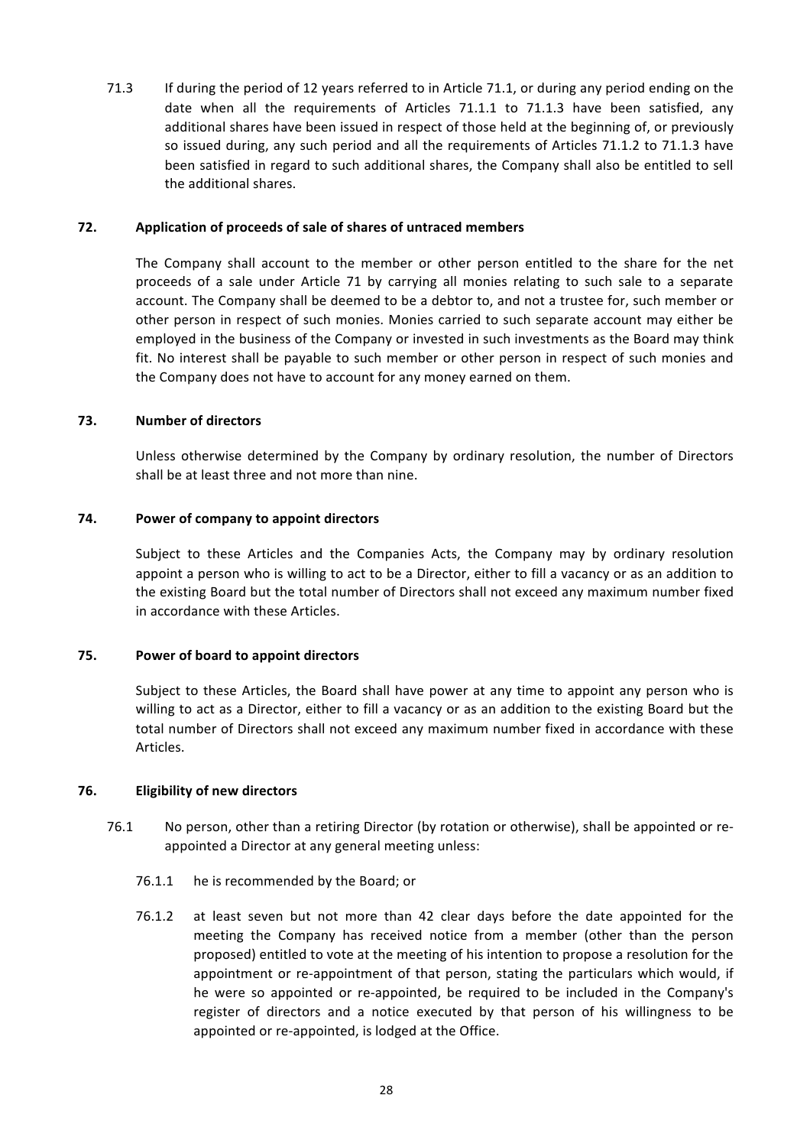71.3 If during the period of 12 years referred to in Article 71.1, or during any period ending on the date when all the requirements of Articles 71.1.1 to 71.1.3 have been satisfied, any additional shares have been issued in respect of those held at the beginning of, or previously so issued during, any such period and all the requirements of Articles 71.1.2 to 71.1.3 have been satisfied in regard to such additional shares, the Company shall also be entitled to sell the additional shares.

### **72.** Application of proceeds of sale of shares of untraced members

The Company shall account to the member or other person entitled to the share for the net proceeds of a sale under Article 71 by carrying all monies relating to such sale to a separate account. The Company shall be deemed to be a debtor to, and not a trustee for, such member or other person in respect of such monies. Monies carried to such separate account may either be employed in the business of the Company or invested in such investments as the Board may think fit. No interest shall be payable to such member or other person in respect of such monies and the Company does not have to account for any money earned on them.

## **73. Number of directors**

Unless otherwise determined by the Company by ordinary resolution, the number of Directors shall be at least three and not more than nine.

## **74.** Power of company to appoint directors

Subject to these Articles and the Companies Acts, the Company may by ordinary resolution appoint a person who is willing to act to be a Director, either to fill a vacancy or as an addition to the existing Board but the total number of Directors shall not exceed any maximum number fixed in accordance with these Articles.

# **75. Power of board to appoint directors**

Subject to these Articles, the Board shall have power at any time to appoint any person who is willing to act as a Director, either to fill a vacancy or as an addition to the existing Board but the total number of Directors shall not exceed any maximum number fixed in accordance with these Articles.

### **76. Eligibility of new directors**

- 76.1 No person, other than a retiring Director (by rotation or otherwise), shall be appointed or reappointed a Director at any general meeting unless:
	- 76.1.1 he is recommended by the Board; or
	- 76.1.2 at least seven but not more than 42 clear days before the date appointed for the meeting the Company has received notice from a member (other than the person proposed) entitled to vote at the meeting of his intention to propose a resolution for the appointment or re-appointment of that person, stating the particulars which would, if he were so appointed or re-appointed, be required to be included in the Company's register of directors and a notice executed by that person of his willingness to be appointed or re-appointed, is lodged at the Office.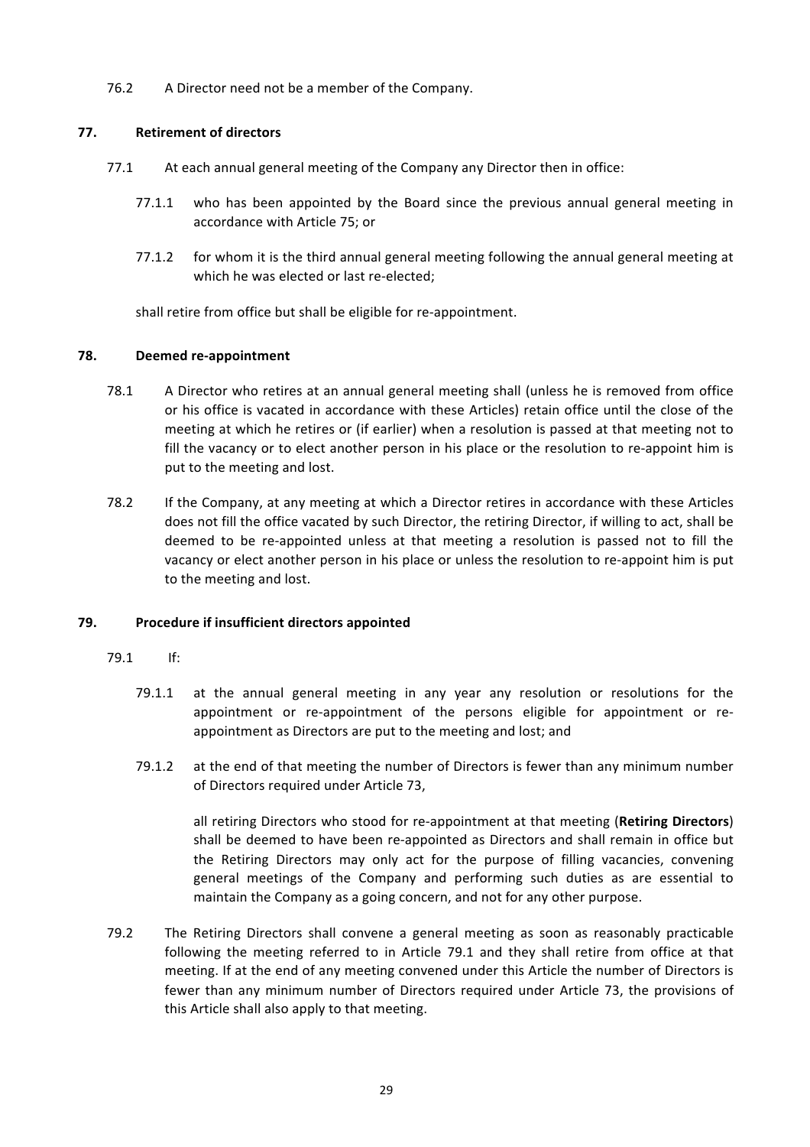76.2 A Director need not be a member of the Company.

# **77. Retirement of directors**

- 77.1 At each annual general meeting of the Company any Director then in office:
	- $77.1.1$  who has been appointed by the Board since the previous annual general meeting in accordance with Article 75; or
	- 77.1.2 for whom it is the third annual general meeting following the annual general meeting at which he was elected or last re-elected:

shall retire from office but shall be eligible for re-appointment.

## **78. Deemed re-appointment**

- 78.1 A Director who retires at an annual general meeting shall (unless he is removed from office or his office is vacated in accordance with these Articles) retain office until the close of the meeting at which he retires or (if earlier) when a resolution is passed at that meeting not to fill the vacancy or to elect another person in his place or the resolution to re-appoint him is put to the meeting and lost.
- 78.2 If the Company, at any meeting at which a Director retires in accordance with these Articles does not fill the office vacated by such Director, the retiring Director, if willing to act, shall be deemed to be re-appointed unless at that meeting a resolution is passed not to fill the vacancy or elect another person in his place or unless the resolution to re-appoint him is put to the meeting and lost.

# **79.** Procedure if insufficient directors appointed

### 79.1 If:

- 79.1.1 at the annual general meeting in any year any resolution or resolutions for the appointment or re-appointment of the persons eligible for appointment or reappointment as Directors are put to the meeting and lost; and
- 79.1.2 at the end of that meeting the number of Directors is fewer than any minimum number of Directors required under Article 73,

all retiring Directors who stood for re-appointment at that meeting (**Retiring Directors**) shall be deemed to have been re-appointed as Directors and shall remain in office but the Retiring Directors may only act for the purpose of filling vacancies, convening general meetings of the Company and performing such duties as are essential to maintain the Company as a going concern, and not for any other purpose.

79.2 The Retiring Directors shall convene a general meeting as soon as reasonably practicable following the meeting referred to in Article 79.1 and they shall retire from office at that meeting. If at the end of any meeting convened under this Article the number of Directors is fewer than any minimum number of Directors required under Article 73, the provisions of this Article shall also apply to that meeting.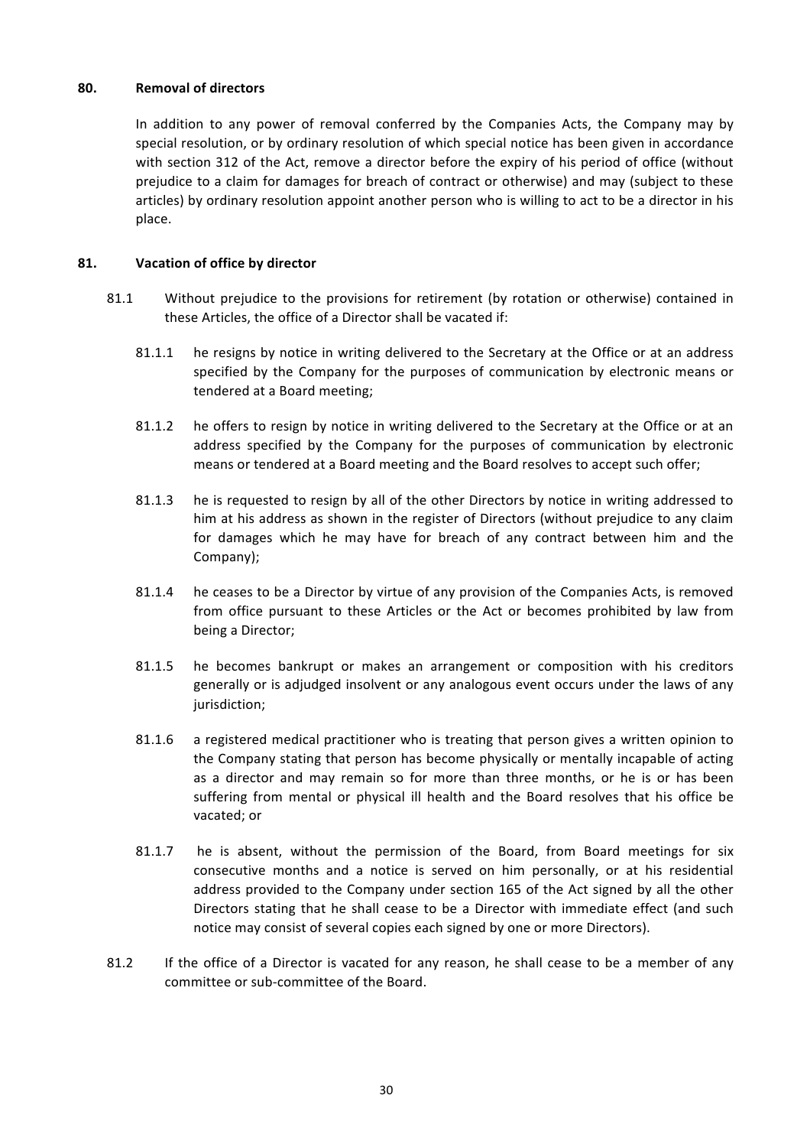### **80. Removal of directors**

In addition to any power of removal conferred by the Companies Acts, the Company may by special resolution, or by ordinary resolution of which special notice has been given in accordance with section 312 of the Act, remove a director before the expiry of his period of office (without prejudice to a claim for damages for breach of contract or otherwise) and may (subject to these articles) by ordinary resolution appoint another person who is willing to act to be a director in his place.

### **81. Vacation of office by director**

- 81.1 Without prejudice to the provisions for retirement (by rotation or otherwise) contained in these Articles, the office of a Director shall be vacated if:
	- 81.1.1 he resigns by notice in writing delivered to the Secretary at the Office or at an address specified by the Company for the purposes of communication by electronic means or tendered at a Board meeting;
	- 81.1.2 he offers to resign by notice in writing delivered to the Secretary at the Office or at an address specified by the Company for the purposes of communication by electronic means or tendered at a Board meeting and the Board resolves to accept such offer;
	- 81.1.3 he is requested to resign by all of the other Directors by notice in writing addressed to him at his address as shown in the register of Directors (without prejudice to any claim for damages which he may have for breach of any contract between him and the Company);
	- 81.1.4 he ceases to be a Director by virtue of any provision of the Companies Acts, is removed from office pursuant to these Articles or the Act or becomes prohibited by law from being a Director;
	- 81.1.5 he becomes bankrupt or makes an arrangement or composition with his creditors generally or is adjudged insolvent or any analogous event occurs under the laws of any jurisdiction;
	- 81.1.6 a registered medical practitioner who is treating that person gives a written opinion to the Company stating that person has become physically or mentally incapable of acting as a director and may remain so for more than three months, or he is or has been suffering from mental or physical ill health and the Board resolves that his office be vacated; or
	- 81.1.7 he is absent, without the permission of the Board, from Board meetings for six consecutive months and a notice is served on him personally, or at his residential address provided to the Company under section 165 of the Act signed by all the other Directors stating that he shall cease to be a Director with immediate effect (and such notice may consist of several copies each signed by one or more Directors).
- 81.2 If the office of a Director is vacated for any reason, he shall cease to be a member of any committee or sub-committee of the Board.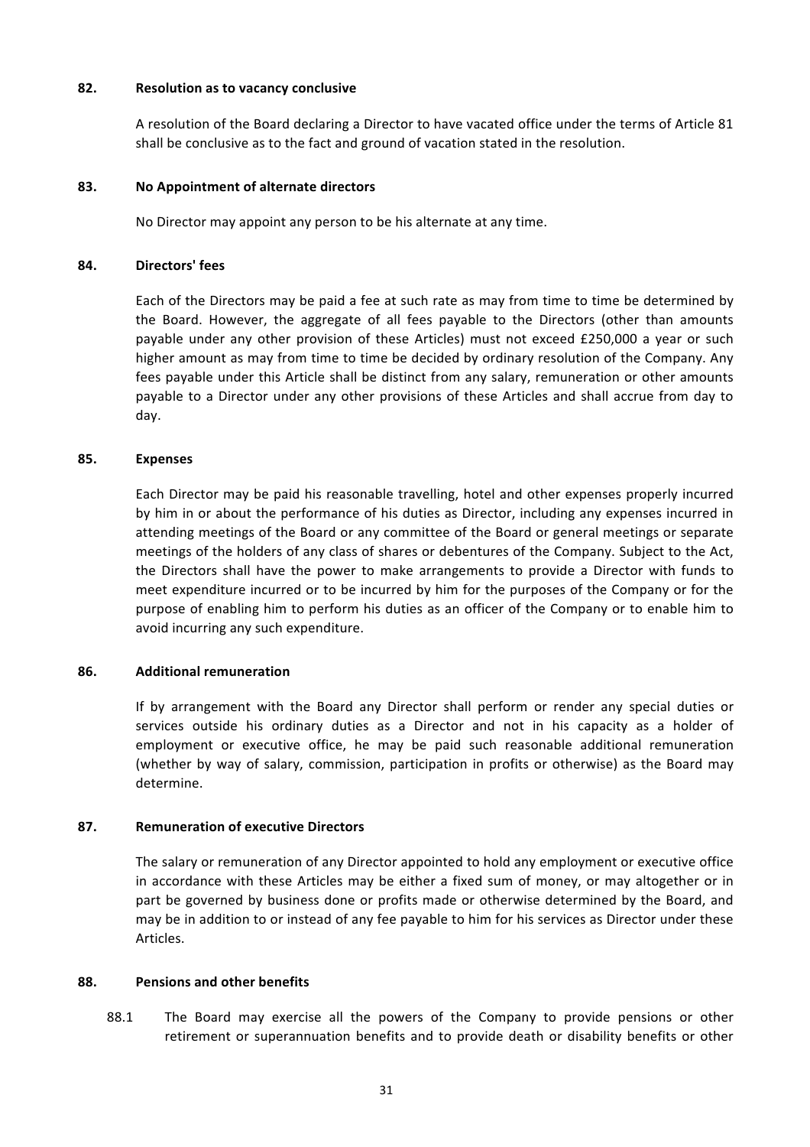### **82. Resolution as to vacancy conclusive**

A resolution of the Board declaring a Director to have vacated office under the terms of Article 81 shall be conclusive as to the fact and ground of vacation stated in the resolution.

### **83. No Appointment of alternate directors**

No Director may appoint any person to be his alternate at any time.

### **84. Directors' fees**

Each of the Directors may be paid a fee at such rate as may from time to time be determined by the Board. However, the aggregate of all fees payable to the Directors (other than amounts payable under any other provision of these Articles) must not exceed £250,000 a year or such higher amount as may from time to time be decided by ordinary resolution of the Company. Any fees payable under this Article shall be distinct from any salary, remuneration or other amounts payable to a Director under any other provisions of these Articles and shall accrue from day to day.

### **85. Expenses**

Each Director may be paid his reasonable travelling, hotel and other expenses properly incurred by him in or about the performance of his duties as Director, including any expenses incurred in attending meetings of the Board or any committee of the Board or general meetings or separate meetings of the holders of any class of shares or debentures of the Company. Subject to the Act, the Directors shall have the power to make arrangements to provide a Director with funds to meet expenditure incurred or to be incurred by him for the purposes of the Company or for the purpose of enabling him to perform his duties as an officer of the Company or to enable him to avoid incurring any such expenditure.

### **86. Additional remuneration**

If by arrangement with the Board any Director shall perform or render any special duties or services outside his ordinary duties as a Director and not in his capacity as a holder of employment or executive office, he may be paid such reasonable additional remuneration (whether by way of salary, commission, participation in profits or otherwise) as the Board may determine.

### **87. Remuneration of executive Directors**

The salary or remuneration of any Director appointed to hold any employment or executive office in accordance with these Articles may be either a fixed sum of money, or may altogether or in part be governed by business done or profits made or otherwise determined by the Board, and may be in addition to or instead of any fee payable to him for his services as Director under these Articles.

### **88. Pensions and other benefits**

88.1 The Board may exercise all the powers of the Company to provide pensions or other retirement or superannuation benefits and to provide death or disability benefits or other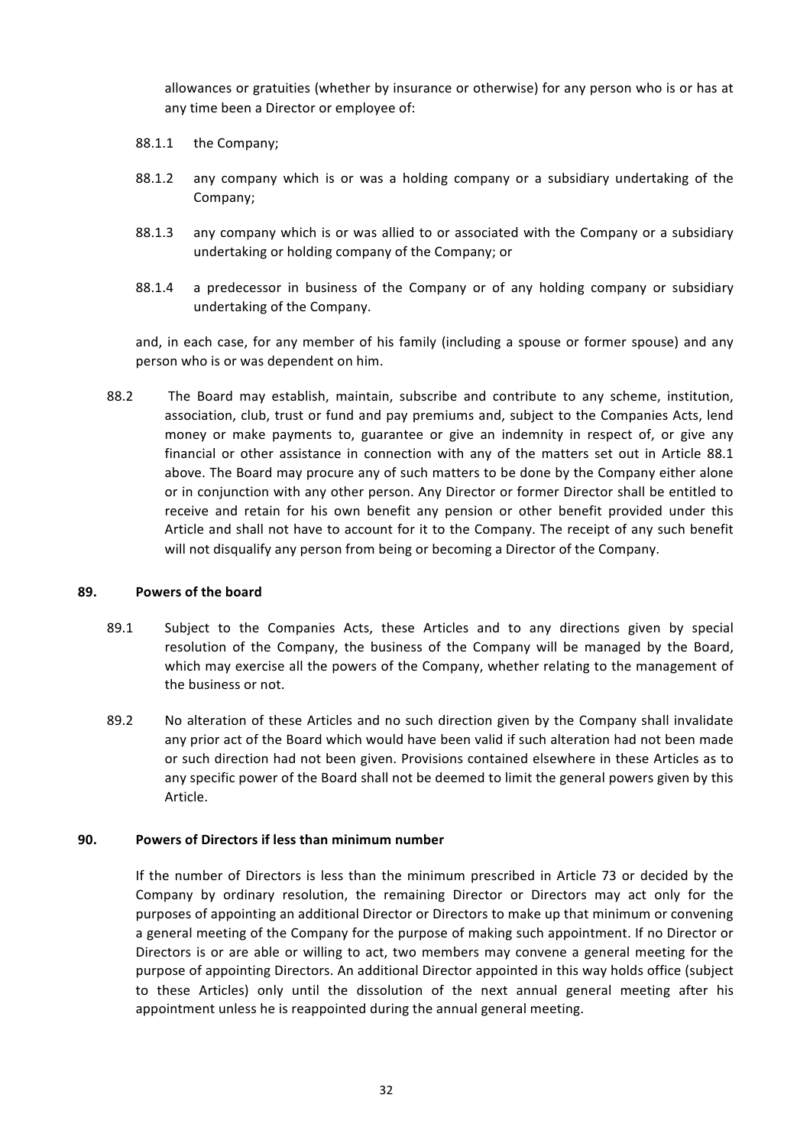allowances or gratuities (whether by insurance or otherwise) for any person who is or has at any time been a Director or employee of:

- 88.1.1 the Company;
- 88.1.2 any company which is or was a holding company or a subsidiary undertaking of the Company;
- 88.1.3 any company which is or was allied to or associated with the Company or a subsidiary undertaking or holding company of the Company; or
- 88.1.4 a predecessor in business of the Company or of any holding company or subsidiary undertaking of the Company.

and, in each case, for any member of his family (including a spouse or former spouse) and any person who is or was dependent on him.

88.2 The Board may establish, maintain, subscribe and contribute to any scheme, institution, association, club, trust or fund and pay premiums and, subject to the Companies Acts, lend money or make payments to, guarantee or give an indemnity in respect of, or give any financial or other assistance in connection with any of the matters set out in Article 88.1 above. The Board may procure any of such matters to be done by the Company either alone or in conjunction with any other person. Any Director or former Director shall be entitled to receive and retain for his own benefit any pension or other benefit provided under this Article and shall not have to account for it to the Company. The receipt of any such benefit will not disqualify any person from being or becoming a Director of the Company.

### **89.** Powers of the board

- 89.1 Subject to the Companies Acts, these Articles and to any directions given by special resolution of the Company, the business of the Company will be managed by the Board, which may exercise all the powers of the Company, whether relating to the management of the business or not.
- 89.2 No alteration of these Articles and no such direction given by the Company shall invalidate any prior act of the Board which would have been valid if such alteration had not been made or such direction had not been given. Provisions contained elsewhere in these Articles as to any specific power of the Board shall not be deemed to limit the general powers given by this Article.

### **90. Powers of Directors if less than minimum number**

If the number of Directors is less than the minimum prescribed in Article 73 or decided by the Company by ordinary resolution, the remaining Director or Directors may act only for the purposes of appointing an additional Director or Directors to make up that minimum or convening a general meeting of the Company for the purpose of making such appointment. If no Director or Directors is or are able or willing to act, two members may convene a general meeting for the purpose of appointing Directors. An additional Director appointed in this way holds office (subject to these Articles) only until the dissolution of the next annual general meeting after his appointment unless he is reappointed during the annual general meeting.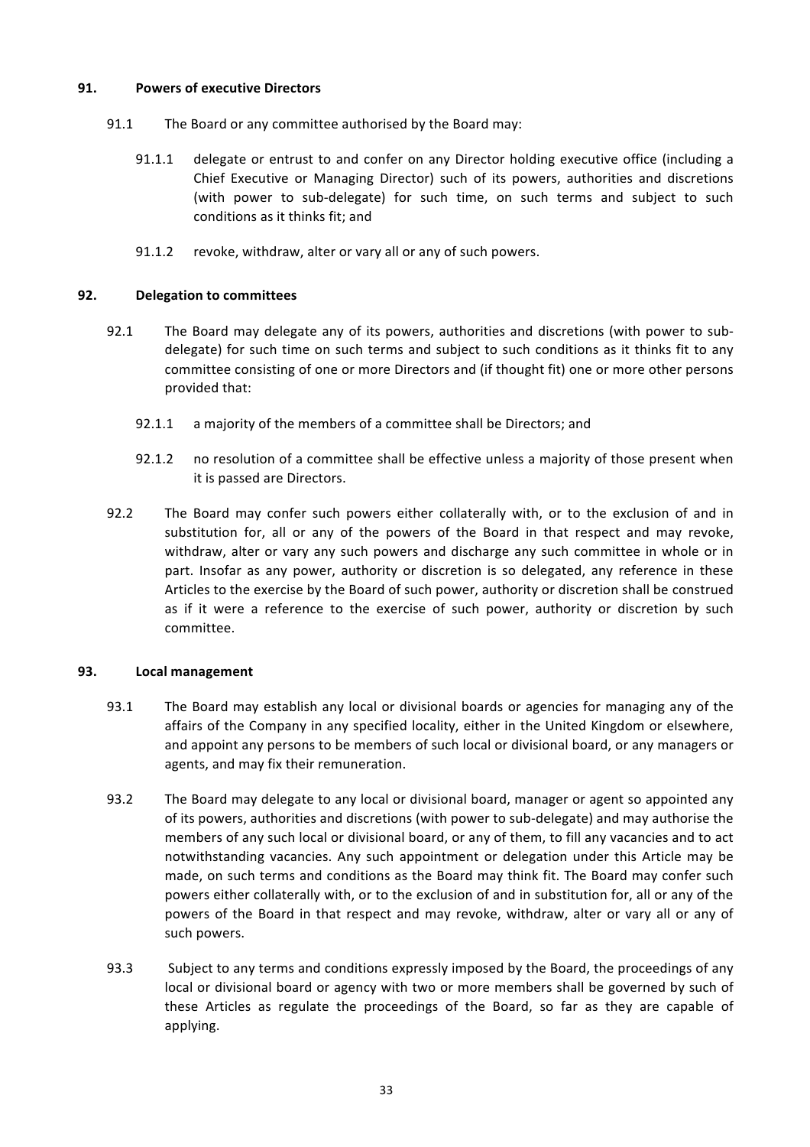### **91. Powers of executive Directors**

- 91.1 The Board or any committee authorised by the Board may:
	- 91.1.1 delegate or entrust to and confer on any Director holding executive office (including a Chief Executive or Managing Director) such of its powers, authorities and discretions (with power to sub-delegate) for such time, on such terms and subject to such conditions as it thinks fit; and
	- 91.1.2 revoke, withdraw, alter or vary all or any of such powers.

## **92. Delegation to committees**

- 92.1 The Board may delegate any of its powers, authorities and discretions (with power to subdelegate) for such time on such terms and subject to such conditions as it thinks fit to any committee consisting of one or more Directors and (if thought fit) one or more other persons provided that:
	- 92.1.1 a majority of the members of a committee shall be Directors; and
	- 92.1.2 no resolution of a committee shall be effective unless a majority of those present when it is passed are Directors.
- 92.2 The Board may confer such powers either collaterally with, or to the exclusion of and in substitution for, all or any of the powers of the Board in that respect and may revoke, withdraw, alter or vary any such powers and discharge any such committee in whole or in part. Insofar as any power, authority or discretion is so delegated, any reference in these Articles to the exercise by the Board of such power, authority or discretion shall be construed as if it were a reference to the exercise of such power, authority or discretion by such committee.

### **93. Local management**

- 93.1 The Board may establish any local or divisional boards or agencies for managing any of the affairs of the Company in any specified locality, either in the United Kingdom or elsewhere, and appoint any persons to be members of such local or divisional board, or any managers or agents, and may fix their remuneration.
- 93.2 The Board may delegate to any local or divisional board, manager or agent so appointed any of its powers, authorities and discretions (with power to sub-delegate) and may authorise the members of any such local or divisional board, or any of them, to fill any vacancies and to act notwithstanding vacancies. Any such appointment or delegation under this Article may be made, on such terms and conditions as the Board may think fit. The Board may confer such powers either collaterally with, or to the exclusion of and in substitution for, all or any of the powers of the Board in that respect and may revoke, withdraw, alter or vary all or any of such powers.
- 93.3 Subject to any terms and conditions expressly imposed by the Board, the proceedings of any local or divisional board or agency with two or more members shall be governed by such of these Articles as regulate the proceedings of the Board, so far as they are capable of applying.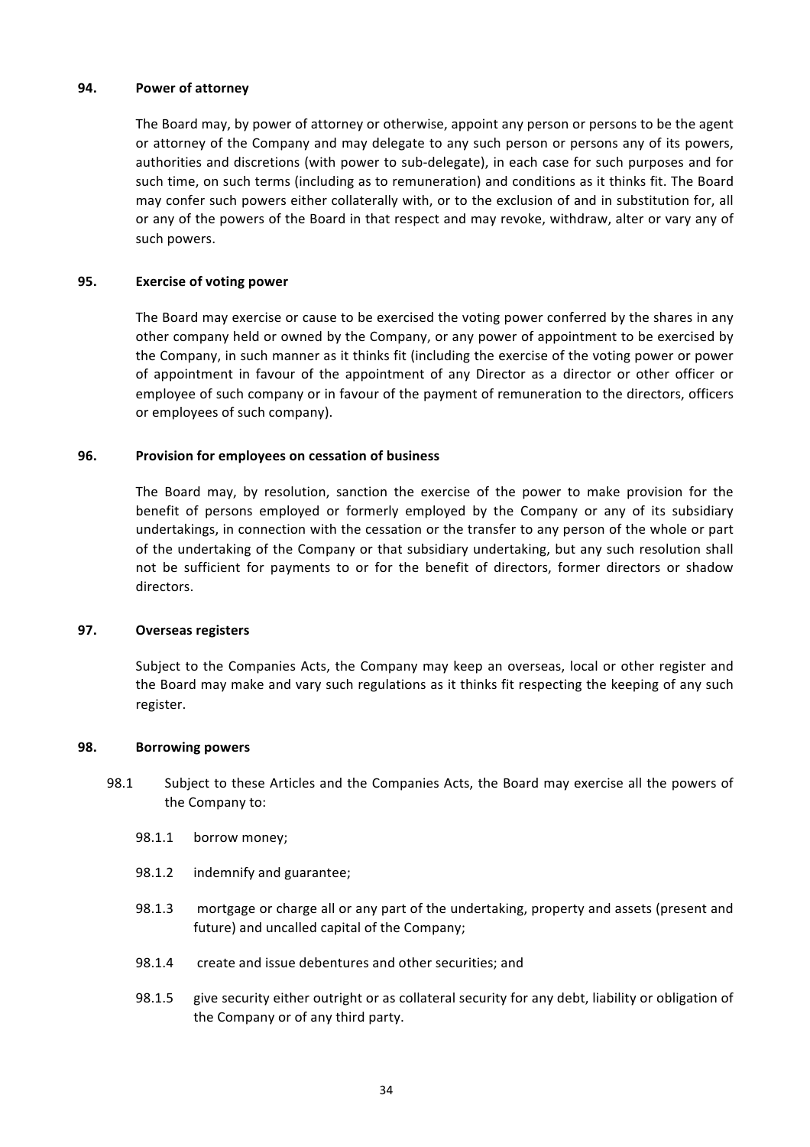### **94. Power of attorney**

The Board may, by power of attorney or otherwise, appoint any person or persons to be the agent or attorney of the Company and may delegate to any such person or persons any of its powers, authorities and discretions (with power to sub-delegate), in each case for such purposes and for such time, on such terms (including as to remuneration) and conditions as it thinks fit. The Board may confer such powers either collaterally with, or to the exclusion of and in substitution for, all or any of the powers of the Board in that respect and may revoke, withdraw, alter or vary any of such powers.

### **95. Exercise of voting power**

The Board may exercise or cause to be exercised the voting power conferred by the shares in any other company held or owned by the Company, or any power of appointment to be exercised by the Company, in such manner as it thinks fit (including the exercise of the voting power or power of appointment in favour of the appointment of any Director as a director or other officer or employee of such company or in favour of the payment of remuneration to the directors, officers or employees of such company).

#### **96.** Provision for employees on cessation of business

The Board may, by resolution, sanction the exercise of the power to make provision for the benefit of persons employed or formerly employed by the Company or any of its subsidiary undertakings, in connection with the cessation or the transfer to any person of the whole or part of the undertaking of the Company or that subsidiary undertaking, but any such resolution shall not be sufficient for payments to or for the benefit of directors, former directors or shadow directors.

#### **97. Overseas registers**

Subject to the Companies Acts, the Company may keep an overseas, local or other register and the Board may make and vary such regulations as it thinks fit respecting the keeping of any such register.

#### **98. Borrowing powers**

- 98.1 Subject to these Articles and the Companies Acts, the Board may exercise all the powers of the Company to:
	- 98.1.1 borrow money;
	- 98.1.2 indemnify and guarantee;
	- 98.1.3 mortgage or charge all or any part of the undertaking, property and assets (present and future) and uncalled capital of the Company;
	- 98.1.4 create and issue debentures and other securities; and
	- 98.1.5 give security either outright or as collateral security for any debt, liability or obligation of the Company or of any third party.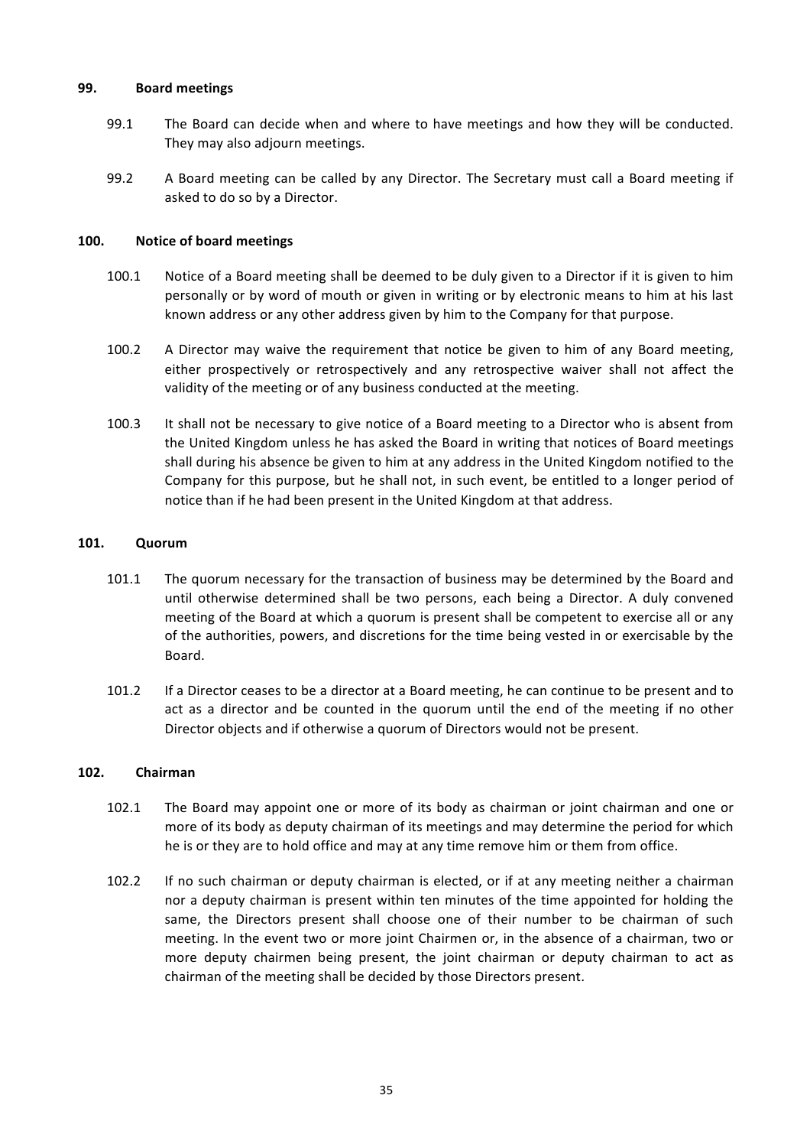### **99. Board meetings**

- 99.1 The Board can decide when and where to have meetings and how they will be conducted. They may also adjourn meetings.
- 99.2 A Board meeting can be called by any Director. The Secretary must call a Board meeting if asked to do so by a Director.

### 100. Notice of board meetings

- 100.1 Notice of a Board meeting shall be deemed to be duly given to a Director if it is given to him personally or by word of mouth or given in writing or by electronic means to him at his last known address or any other address given by him to the Company for that purpose.
- 100.2 A Director may waive the requirement that notice be given to him of any Board meeting, either prospectively or retrospectively and any retrospective waiver shall not affect the validity of the meeting or of any business conducted at the meeting.
- 100.3 It shall not be necessary to give notice of a Board meeting to a Director who is absent from the United Kingdom unless he has asked the Board in writing that notices of Board meetings shall during his absence be given to him at any address in the United Kingdom notified to the Company for this purpose, but he shall not, in such event, be entitled to a longer period of notice than if he had been present in the United Kingdom at that address.

### **101. Quorum**

- 101.1 The quorum necessary for the transaction of business may be determined by the Board and until otherwise determined shall be two persons, each being a Director. A duly convened meeting of the Board at which a quorum is present shall be competent to exercise all or any of the authorities, powers, and discretions for the time being vested in or exercisable by the Board.
- 101.2 If a Director ceases to be a director at a Board meeting, he can continue to be present and to act as a director and be counted in the quorum until the end of the meeting if no other Director objects and if otherwise a quorum of Directors would not be present.

### **102. Chairman**

- 102.1 The Board may appoint one or more of its body as chairman or joint chairman and one or more of its body as deputy chairman of its meetings and may determine the period for which he is or they are to hold office and may at any time remove him or them from office.
- 102.2 If no such chairman or deputy chairman is elected, or if at any meeting neither a chairman nor a deputy chairman is present within ten minutes of the time appointed for holding the same, the Directors present shall choose one of their number to be chairman of such meeting. In the event two or more joint Chairmen or, in the absence of a chairman, two or more deputy chairmen being present, the joint chairman or deputy chairman to act as chairman of the meeting shall be decided by those Directors present.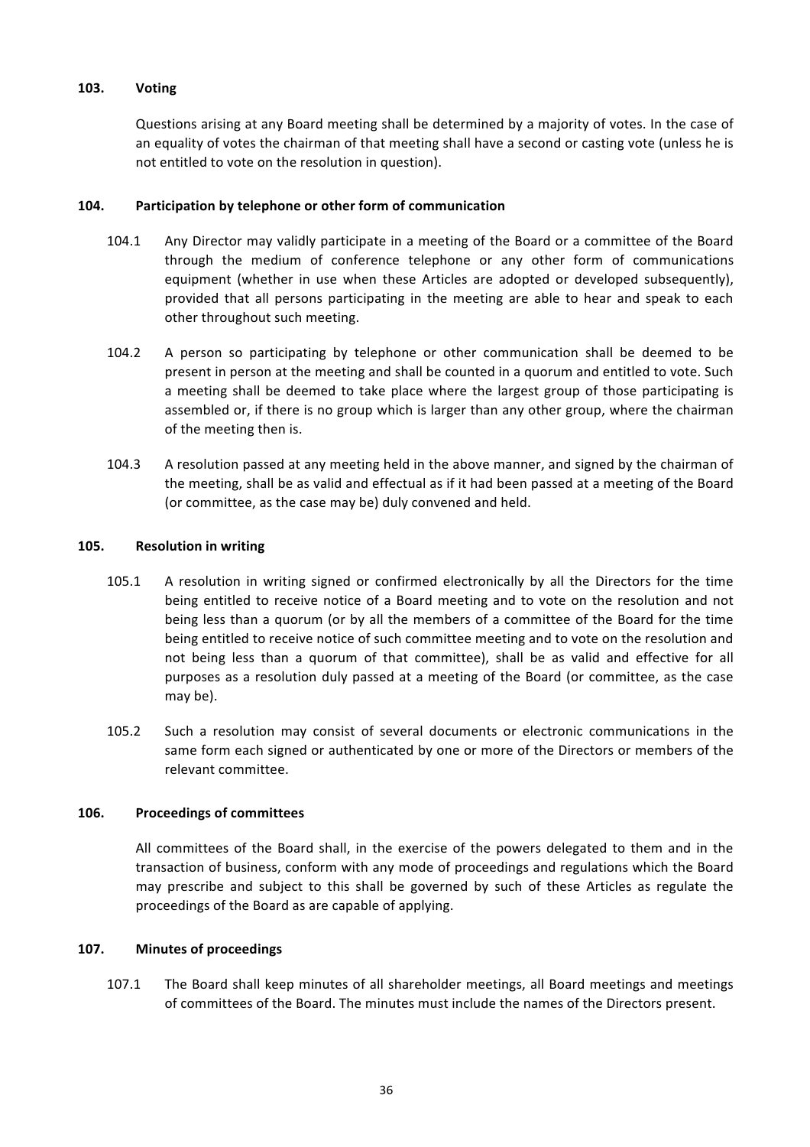### **103. Voting**

Questions arising at any Board meeting shall be determined by a majority of votes. In the case of an equality of votes the chairman of that meeting shall have a second or casting vote (unless he is not entitled to vote on the resolution in question).

### **104. Participation by telephone or other form of communication**

- 104.1 Any Director may validly participate in a meeting of the Board or a committee of the Board through the medium of conference telephone or any other form of communications equipment (whether in use when these Articles are adopted or developed subsequently), provided that all persons participating in the meeting are able to hear and speak to each other throughout such meeting.
- 104.2 A person so participating by telephone or other communication shall be deemed to be present in person at the meeting and shall be counted in a quorum and entitled to vote. Such a meeting shall be deemed to take place where the largest group of those participating is assembled or, if there is no group which is larger than any other group, where the chairman of the meeting then is.
- 104.3 A resolution passed at any meeting held in the above manner, and signed by the chairman of the meeting, shall be as valid and effectual as if it had been passed at a meeting of the Board (or committee, as the case may be) duly convened and held.

## **105. Resolution in writing**

- 105.1 A resolution in writing signed or confirmed electronically by all the Directors for the time being entitled to receive notice of a Board meeting and to vote on the resolution and not being less than a quorum (or by all the members of a committee of the Board for the time being entitled to receive notice of such committee meeting and to vote on the resolution and not being less than a quorum of that committee), shall be as valid and effective for all purposes as a resolution duly passed at a meeting of the Board (or committee, as the case may be).
- 105.2 Such a resolution may consist of several documents or electronic communications in the same form each signed or authenticated by one or more of the Directors or members of the relevant committee.

### **106. Proceedings of committees**

All committees of the Board shall, in the exercise of the powers delegated to them and in the transaction of business, conform with any mode of proceedings and regulations which the Board may prescribe and subject to this shall be governed by such of these Articles as regulate the proceedings of the Board as are capable of applying.

### 107. Minutes of proceedings

107.1 The Board shall keep minutes of all shareholder meetings, all Board meetings and meetings of committees of the Board. The minutes must include the names of the Directors present.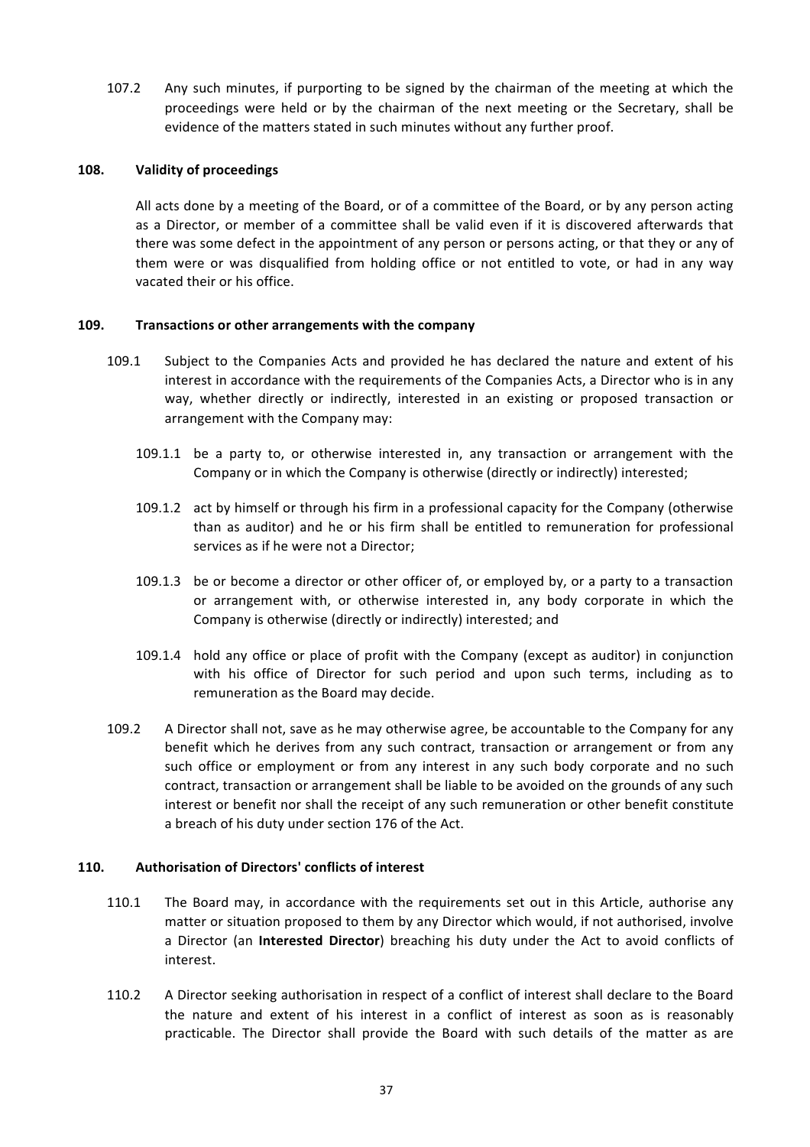107.2 Any such minutes, if purporting to be signed by the chairman of the meeting at which the proceedings were held or by the chairman of the next meeting or the Secretary, shall be evidence of the matters stated in such minutes without any further proof.

### 108. Validity of proceedings

All acts done by a meeting of the Board, or of a committee of the Board, or by any person acting as a Director, or member of a committee shall be valid even if it is discovered afterwards that there was some defect in the appointment of any person or persons acting, or that they or any of them were or was disqualified from holding office or not entitled to vote, or had in any way vacated their or his office.

### **109. Transactions or other arrangements with the company**

- 109.1 Subject to the Companies Acts and provided he has declared the nature and extent of his interest in accordance with the requirements of the Companies Acts, a Director who is in any way, whether directly or indirectly, interested in an existing or proposed transaction or arrangement with the Company may:
	- 109.1.1 be a party to, or otherwise interested in, any transaction or arrangement with the Company or in which the Company is otherwise (directly or indirectly) interested;
	- 109.1.2 act by himself or through his firm in a professional capacity for the Company (otherwise than as auditor) and he or his firm shall be entitled to remuneration for professional services as if he were not a Director:
	- 109.1.3 be or become a director or other officer of, or employed by, or a party to a transaction or arrangement with, or otherwise interested in, any body corporate in which the Company is otherwise (directly or indirectly) interested; and
	- 109.1.4 hold any office or place of profit with the Company (except as auditor) in conjunction with his office of Director for such period and upon such terms, including as to remuneration as the Board may decide.
- 109.2 A Director shall not, save as he may otherwise agree, be accountable to the Company for any benefit which he derives from any such contract, transaction or arrangement or from any such office or employment or from any interest in any such body corporate and no such contract, transaction or arrangement shall be liable to be avoided on the grounds of any such interest or benefit nor shall the receipt of any such remuneration or other benefit constitute a breach of his duty under section 176 of the Act.

#### **110. Authorisation of Directors' conflicts of interest**

- 110.1 The Board may, in accordance with the requirements set out in this Article, authorise any matter or situation proposed to them by any Director which would, if not authorised, involve a Director (an **Interested Director**) breaching his duty under the Act to avoid conflicts of interest.
- 110.2 A Director seeking authorisation in respect of a conflict of interest shall declare to the Board the nature and extent of his interest in a conflict of interest as soon as is reasonably practicable. The Director shall provide the Board with such details of the matter as are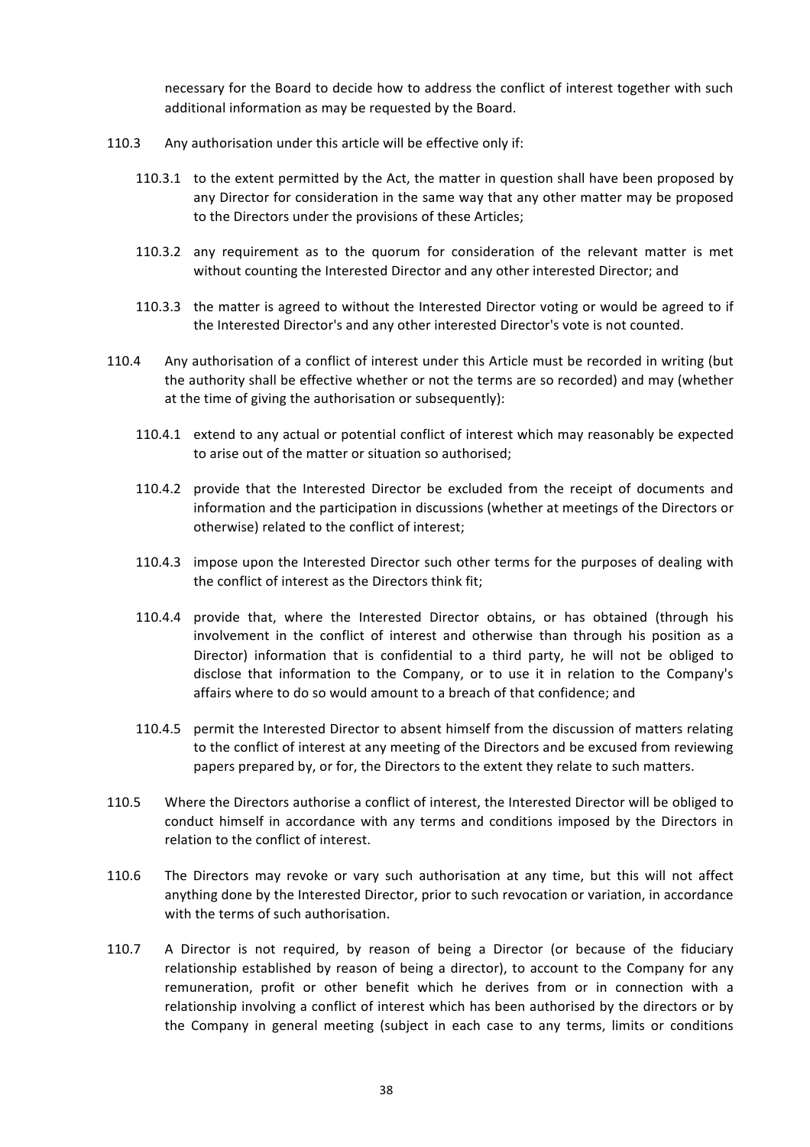necessary for the Board to decide how to address the conflict of interest together with such additional information as may be requested by the Board.

- 110.3 Any authorisation under this article will be effective only if:
	- 110.3.1 to the extent permitted by the Act, the matter in question shall have been proposed by any Director for consideration in the same way that any other matter may be proposed to the Directors under the provisions of these Articles;
	- 110.3.2 any requirement as to the quorum for consideration of the relevant matter is met without counting the Interested Director and any other interested Director; and
	- 110.3.3 the matter is agreed to without the Interested Director voting or would be agreed to if the Interested Director's and any other interested Director's vote is not counted.
- 110.4 Any authorisation of a conflict of interest under this Article must be recorded in writing (but the authority shall be effective whether or not the terms are so recorded) and may (whether at the time of giving the authorisation or subsequently):
	- 110.4.1 extend to any actual or potential conflict of interest which may reasonably be expected to arise out of the matter or situation so authorised;
	- 110.4.2 provide that the Interested Director be excluded from the receipt of documents and information and the participation in discussions (whether at meetings of the Directors or otherwise) related to the conflict of interest;
	- 110.4.3 impose upon the Interested Director such other terms for the purposes of dealing with the conflict of interest as the Directors think fit;
	- 110.4.4 provide that, where the Interested Director obtains, or has obtained (through his involvement in the conflict of interest and otherwise than through his position as a Director) information that is confidential to a third party, he will not be obliged to disclose that information to the Company, or to use it in relation to the Company's affairs where to do so would amount to a breach of that confidence; and
	- 110.4.5 permit the Interested Director to absent himself from the discussion of matters relating to the conflict of interest at any meeting of the Directors and be excused from reviewing papers prepared by, or for, the Directors to the extent they relate to such matters.
- 110.5 Where the Directors authorise a conflict of interest, the Interested Director will be obliged to conduct himself in accordance with any terms and conditions imposed by the Directors in relation to the conflict of interest.
- 110.6 The Directors may revoke or vary such authorisation at any time, but this will not affect anything done by the Interested Director, prior to such revocation or variation, in accordance with the terms of such authorisation.
- 110.7 A Director is not required, by reason of being a Director (or because of the fiduciary relationship established by reason of being a director), to account to the Company for any remuneration, profit or other benefit which he derives from or in connection with a relationship involving a conflict of interest which has been authorised by the directors or by the Company in general meeting (subject in each case to any terms, limits or conditions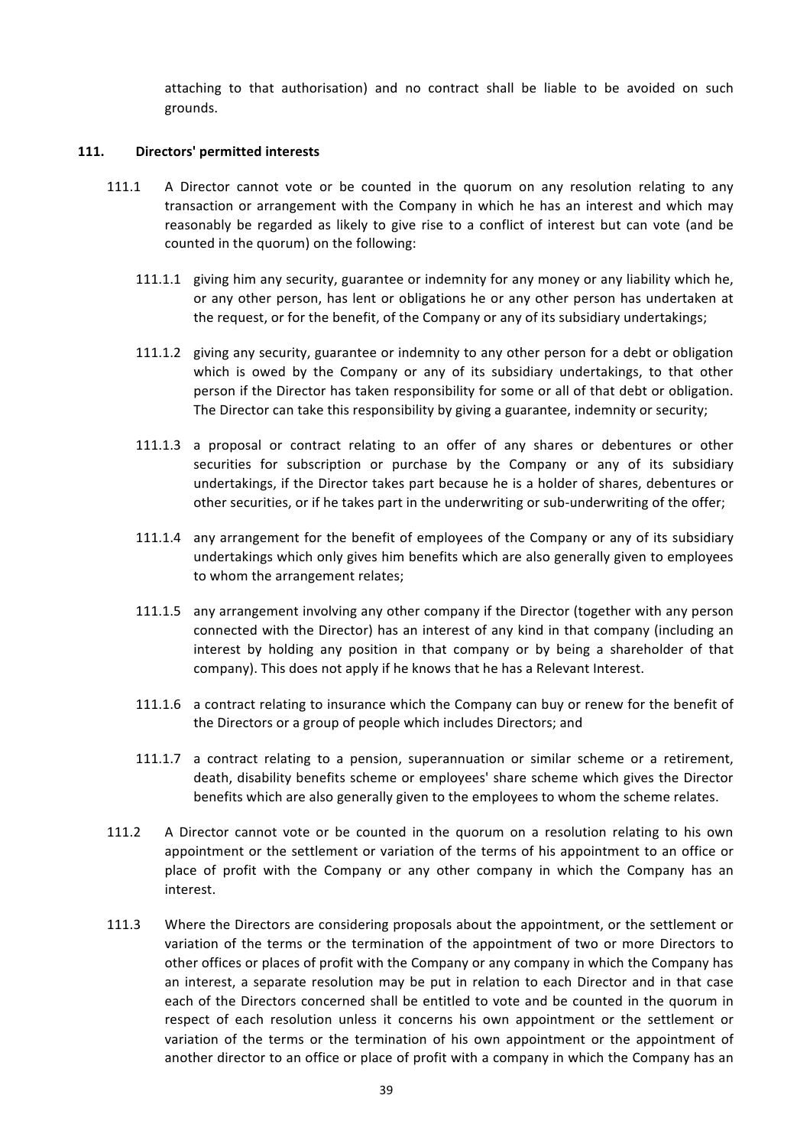attaching to that authorisation) and no contract shall be liable to be avoided on such grounds.

#### 111. **Directors' permitted interests**

- 111.1 A Director cannot vote or be counted in the quorum on any resolution relating to any transaction or arrangement with the Company in which he has an interest and which may reasonably be regarded as likely to give rise to a conflict of interest but can vote (and be counted in the quorum) on the following:
	- 111.1.1 giving him any security, guarantee or indemnity for any money or any liability which he, or any other person, has lent or obligations he or any other person has undertaken at the request, or for the benefit, of the Company or any of its subsidiary undertakings;
	- 111.1.2 giving any security, guarantee or indemnity to any other person for a debt or obligation which is owed by the Company or any of its subsidiary undertakings, to that other person if the Director has taken responsibility for some or all of that debt or obligation. The Director can take this responsibility by giving a guarantee, indemnity or security;
	- 111.1.3 a proposal or contract relating to an offer of any shares or debentures or other securities for subscription or purchase by the Company or any of its subsidiary undertakings, if the Director takes part because he is a holder of shares, debentures or other securities, or if he takes part in the underwriting or sub-underwriting of the offer;
	- 111.1.4 any arrangement for the benefit of employees of the Company or any of its subsidiary undertakings which only gives him benefits which are also generally given to employees to whom the arrangement relates;
	- 111.1.5 any arrangement involving any other company if the Director (together with any person connected with the Director) has an interest of any kind in that company (including an interest by holding any position in that company or by being a shareholder of that company). This does not apply if he knows that he has a Relevant Interest.
	- 111.1.6 a contract relating to insurance which the Company can buy or renew for the benefit of the Directors or a group of people which includes Directors; and
	- 111.1.7 a contract relating to a pension, superannuation or similar scheme or a retirement, death, disability benefits scheme or employees' share scheme which gives the Director benefits which are also generally given to the employees to whom the scheme relates.
- 111.2 A Director cannot vote or be counted in the quorum on a resolution relating to his own appointment or the settlement or variation of the terms of his appointment to an office or place of profit with the Company or any other company in which the Company has an interest.
- 111.3 Where the Directors are considering proposals about the appointment, or the settlement or variation of the terms or the termination of the appointment of two or more Directors to other offices or places of profit with the Company or any company in which the Company has an interest, a separate resolution may be put in relation to each Director and in that case each of the Directors concerned shall be entitled to vote and be counted in the quorum in respect of each resolution unless it concerns his own appointment or the settlement or variation of the terms or the termination of his own appointment or the appointment of another director to an office or place of profit with a company in which the Company has an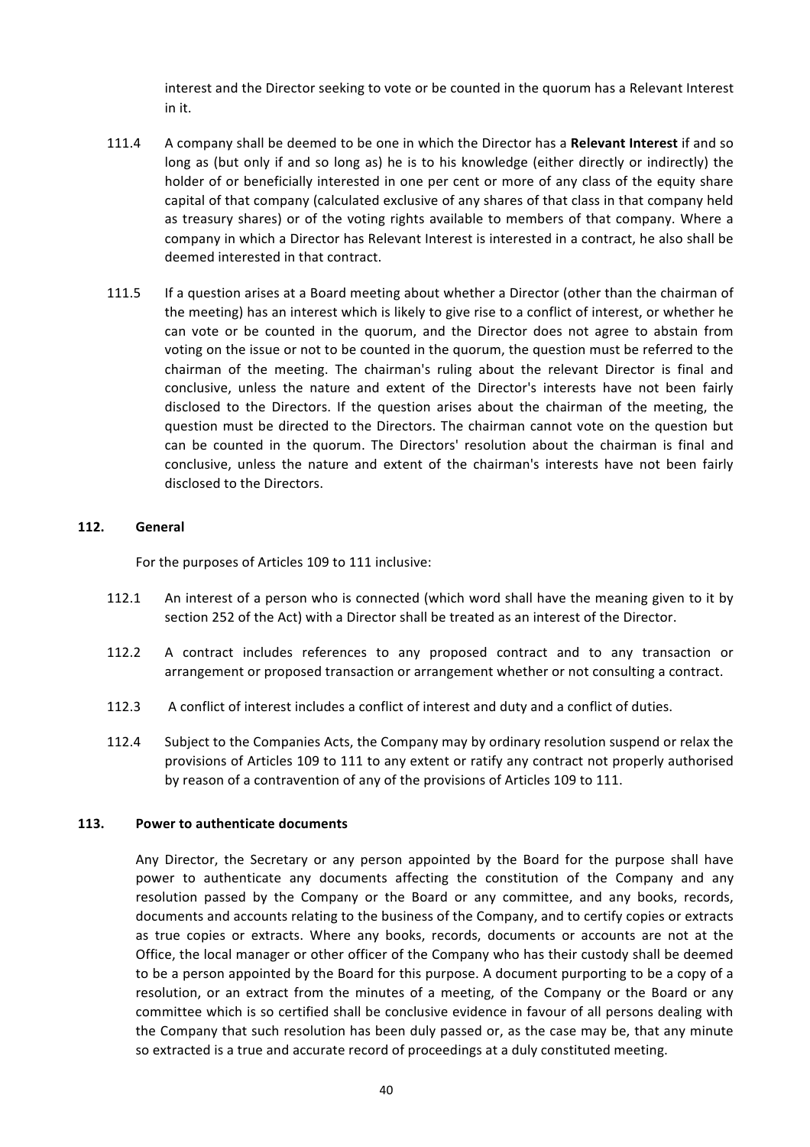interest and the Director seeking to vote or be counted in the quorum has a Relevant Interest in it.

- 111.4 A company shall be deemed to be one in which the Director has a Relevant Interest if and so long as (but only if and so long as) he is to his knowledge (either directly or indirectly) the holder of or beneficially interested in one per cent or more of any class of the equity share capital of that company (calculated exclusive of any shares of that class in that company held as treasury shares) or of the voting rights available to members of that company. Where a company in which a Director has Relevant Interest is interested in a contract, he also shall be deemed interested in that contract.
- 111.5 If a question arises at a Board meeting about whether a Director (other than the chairman of the meeting) has an interest which is likely to give rise to a conflict of interest, or whether he can vote or be counted in the quorum, and the Director does not agree to abstain from voting on the issue or not to be counted in the quorum, the question must be referred to the chairman of the meeting. The chairman's ruling about the relevant Director is final and conclusive, unless the nature and extent of the Director's interests have not been fairly disclosed to the Directors. If the question arises about the chairman of the meeting, the question must be directed to the Directors. The chairman cannot vote on the question but can be counted in the quorum. The Directors' resolution about the chairman is final and conclusive, unless the nature and extent of the chairman's interests have not been fairly disclosed to the Directors.

#### **112. General**

For the purposes of Articles 109 to 111 inclusive:

- 112.1 An interest of a person who is connected (which word shall have the meaning given to it by section 252 of the Act) with a Director shall be treated as an interest of the Director.
- 112.2 A contract includes references to any proposed contract and to any transaction or arrangement or proposed transaction or arrangement whether or not consulting a contract.
- 112.3 A conflict of interest includes a conflict of interest and duty and a conflict of duties.
- 112.4 Subject to the Companies Acts, the Company may by ordinary resolution suspend or relax the provisions of Articles 109 to 111 to any extent or ratify any contract not properly authorised by reason of a contravention of any of the provisions of Articles 109 to 111.

#### **113.** Power to authenticate documents

Any Director, the Secretary or any person appointed by the Board for the purpose shall have power to authenticate any documents affecting the constitution of the Company and any resolution passed by the Company or the Board or any committee, and any books, records, documents and accounts relating to the business of the Company, and to certify copies or extracts as true copies or extracts. Where any books, records, documents or accounts are not at the Office, the local manager or other officer of the Company who has their custody shall be deemed to be a person appointed by the Board for this purpose. A document purporting to be a copy of a resolution, or an extract from the minutes of a meeting, of the Company or the Board or any committee which is so certified shall be conclusive evidence in favour of all persons dealing with the Company that such resolution has been duly passed or, as the case may be, that any minute so extracted is a true and accurate record of proceedings at a duly constituted meeting.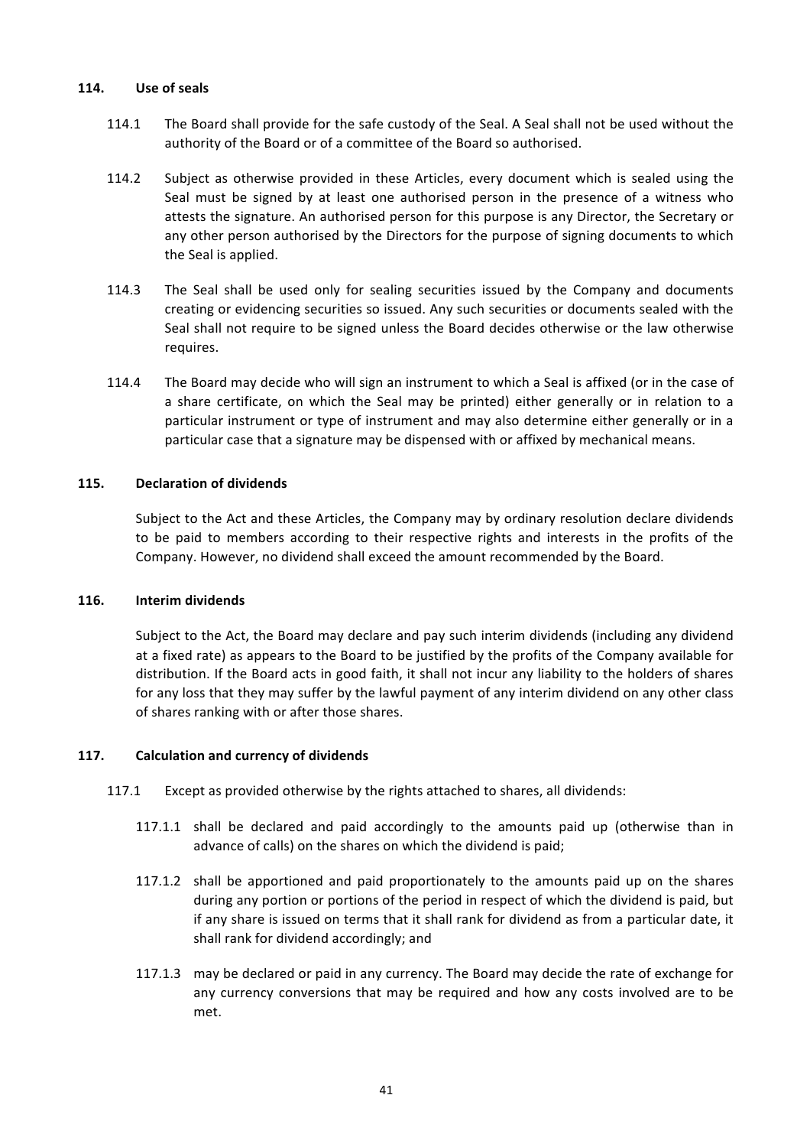### **114. Use of seals**

- 114.1 The Board shall provide for the safe custody of the Seal. A Seal shall not be used without the authority of the Board or of a committee of the Board so authorised.
- 114.2 Subject as otherwise provided in these Articles, every document which is sealed using the Seal must be signed by at least one authorised person in the presence of a witness who attests the signature. An authorised person for this purpose is any Director, the Secretary or any other person authorised by the Directors for the purpose of signing documents to which the Seal is applied.
- 114.3 The Seal shall be used only for sealing securities issued by the Company and documents creating or evidencing securities so issued. Any such securities or documents sealed with the Seal shall not require to be signed unless the Board decides otherwise or the law otherwise requires.
- 114.4 The Board may decide who will sign an instrument to which a Seal is affixed (or in the case of a share certificate, on which the Seal may be printed) either generally or in relation to a particular instrument or type of instrument and may also determine either generally or in a particular case that a signature may be dispensed with or affixed by mechanical means.

### **115. Declaration of dividends**

Subject to the Act and these Articles, the Company may by ordinary resolution declare dividends to be paid to members according to their respective rights and interests in the profits of the Company. However, no dividend shall exceed the amount recommended by the Board.

#### **116. Interim dividends**

Subject to the Act, the Board may declare and pay such interim dividends (including any dividend at a fixed rate) as appears to the Board to be justified by the profits of the Company available for distribution. If the Board acts in good faith, it shall not incur any liability to the holders of shares for any loss that they may suffer by the lawful payment of any interim dividend on any other class of shares ranking with or after those shares.

### **117. Calculation and currency of dividends**

- 117.1 Except as provided otherwise by the rights attached to shares, all dividends:
	- 117.1.1 shall be declared and paid accordingly to the amounts paid up (otherwise than in advance of calls) on the shares on which the dividend is paid;
	- 117.1.2 shall be apportioned and paid proportionately to the amounts paid up on the shares during any portion or portions of the period in respect of which the dividend is paid, but if any share is issued on terms that it shall rank for dividend as from a particular date, it shall rank for dividend accordingly; and
	- 117.1.3 may be declared or paid in any currency. The Board may decide the rate of exchange for any currency conversions that may be required and how any costs involved are to be met.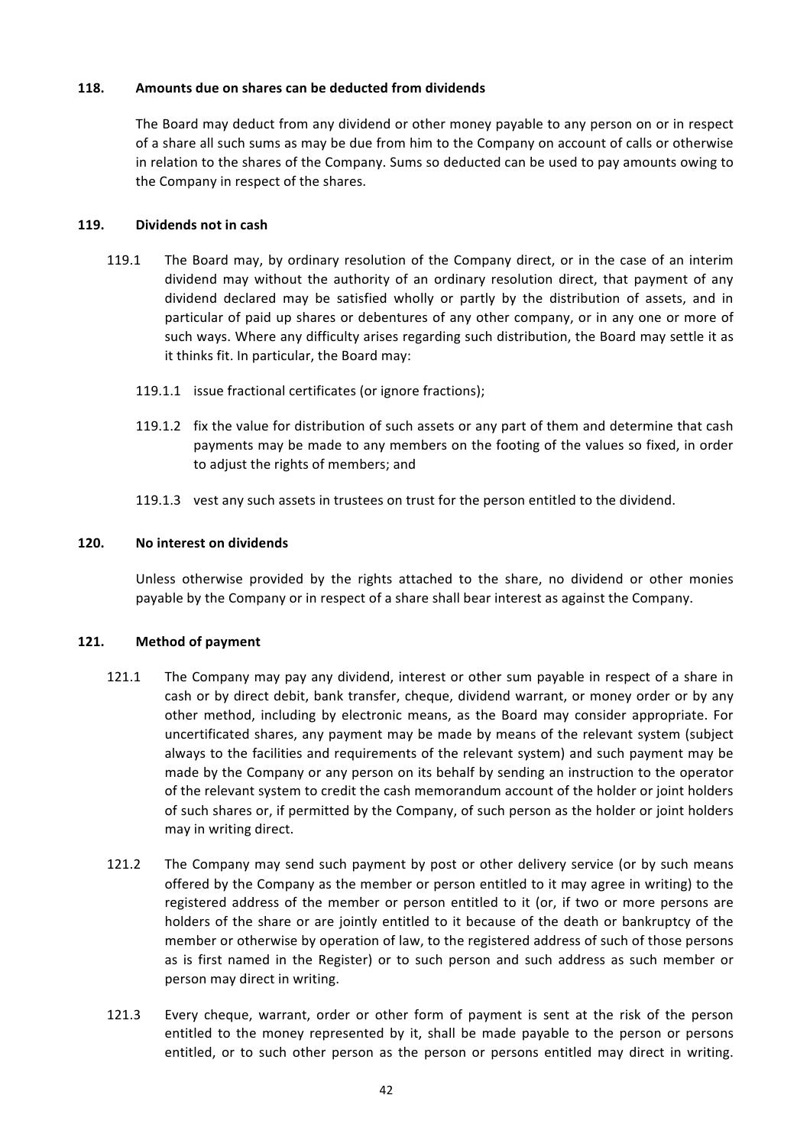### **118. Amounts due on shares can be deducted from dividends**

The Board may deduct from any dividend or other money payable to any person on or in respect of a share all such sums as may be due from him to the Company on account of calls or otherwise in relation to the shares of the Company. Sums so deducted can be used to pay amounts owing to the Company in respect of the shares.

## 119. **Dividends not in cash**

- 119.1 The Board may, by ordinary resolution of the Company direct, or in the case of an interim dividend may without the authority of an ordinary resolution direct, that payment of any dividend declared may be satisfied wholly or partly by the distribution of assets, and in particular of paid up shares or debentures of any other company, or in any one or more of such ways. Where any difficulty arises regarding such distribution, the Board may settle it as it thinks fit. In particular, the Board may:
	- 119.1.1 issue fractional certificates (or ignore fractions);
	- 119.1.2 fix the value for distribution of such assets or any part of them and determine that cash payments may be made to any members on the footing of the values so fixed, in order to adjust the rights of members; and
	- 119.1.3 vest any such assets in trustees on trust for the person entitled to the dividend.

## 120. No interest on dividends

Unless otherwise provided by the rights attached to the share, no dividend or other monies payable by the Company or in respect of a share shall bear interest as against the Company.

# 121. Method of payment

- 121.1 The Company may pay any dividend, interest or other sum payable in respect of a share in cash or by direct debit, bank transfer, cheque, dividend warrant, or money order or by any other method, including by electronic means, as the Board may consider appropriate. For uncertificated shares, any payment may be made by means of the relevant system (subject always to the facilities and requirements of the relevant system) and such payment may be made by the Company or any person on its behalf by sending an instruction to the operator of the relevant system to credit the cash memorandum account of the holder or joint holders of such shares or, if permitted by the Company, of such person as the holder or joint holders may in writing direct.
- 121.2 The Company may send such payment by post or other delivery service (or by such means offered by the Company as the member or person entitled to it may agree in writing) to the registered address of the member or person entitled to it (or, if two or more persons are holders of the share or are jointly entitled to it because of the death or bankruptcy of the member or otherwise by operation of law, to the registered address of such of those persons as is first named in the Register) or to such person and such address as such member or person may direct in writing.
- 121.3 Every cheque, warrant, order or other form of payment is sent at the risk of the person entitled to the money represented by it, shall be made payable to the person or persons entitled, or to such other person as the person or persons entitled may direct in writing.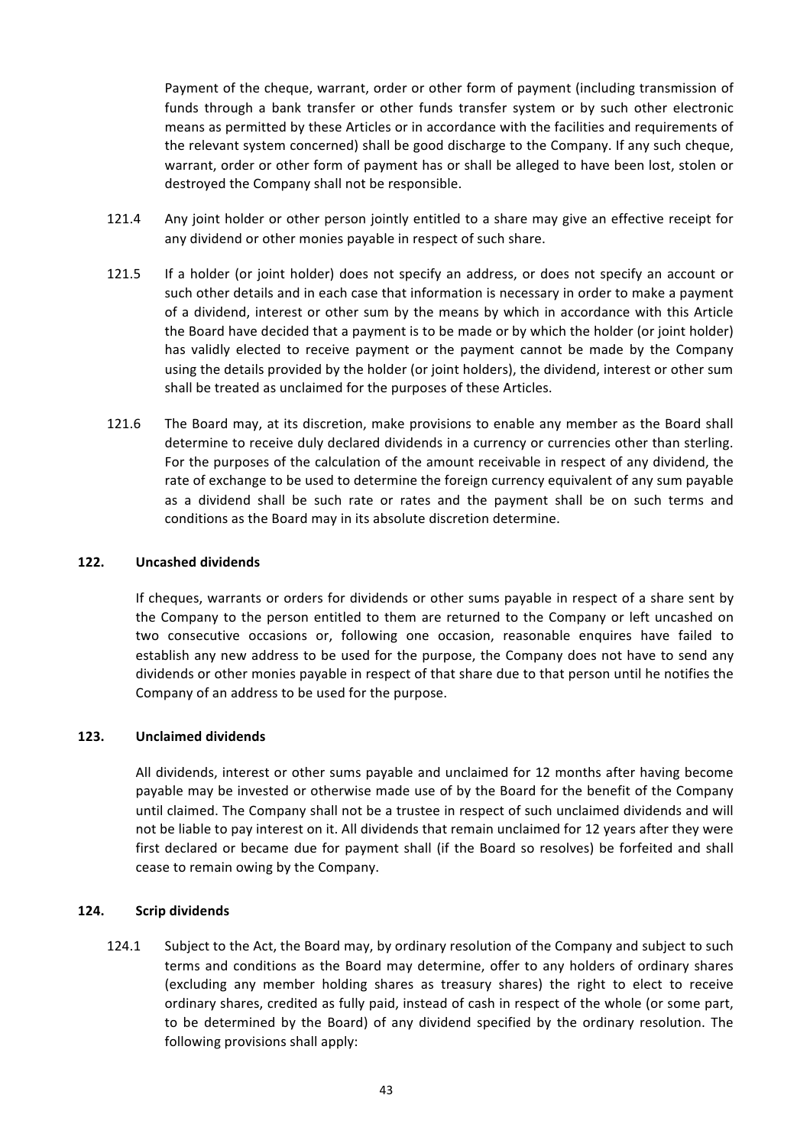Payment of the cheque, warrant, order or other form of payment (including transmission of funds through a bank transfer or other funds transfer system or by such other electronic means as permitted by these Articles or in accordance with the facilities and requirements of the relevant system concerned) shall be good discharge to the Company. If any such cheque, warrant, order or other form of payment has or shall be alleged to have been lost, stolen or destroyed the Company shall not be responsible.

- 121.4 Any joint holder or other person jointly entitled to a share may give an effective receipt for any dividend or other monies payable in respect of such share.
- 121.5 If a holder (or joint holder) does not specify an address, or does not specify an account or such other details and in each case that information is necessary in order to make a payment of a dividend, interest or other sum by the means by which in accordance with this Article the Board have decided that a payment is to be made or by which the holder (or joint holder) has validly elected to receive payment or the payment cannot be made by the Company using the details provided by the holder (or joint holders), the dividend, interest or other sum shall be treated as unclaimed for the purposes of these Articles.
- 121.6 The Board may, at its discretion, make provisions to enable any member as the Board shall determine to receive duly declared dividends in a currency or currencies other than sterling. For the purposes of the calculation of the amount receivable in respect of any dividend, the rate of exchange to be used to determine the foreign currency equivalent of any sum payable as a dividend shall be such rate or rates and the payment shall be on such terms and conditions as the Board may in its absolute discretion determine.

### **122. Uncashed dividends**

If cheques, warrants or orders for dividends or other sums payable in respect of a share sent by the Company to the person entitled to them are returned to the Company or left uncashed on two consecutive occasions or, following one occasion, reasonable enquires have failed to establish any new address to be used for the purpose, the Company does not have to send any dividends or other monies payable in respect of that share due to that person until he notifies the Company of an address to be used for the purpose.

# **123. Unclaimed dividends**

All dividends, interest or other sums payable and unclaimed for 12 months after having become payable may be invested or otherwise made use of by the Board for the benefit of the Company until claimed. The Company shall not be a trustee in respect of such unclaimed dividends and will not be liable to pay interest on it. All dividends that remain unclaimed for 12 years after they were first declared or became due for payment shall (if the Board so resolves) be forfeited and shall cease to remain owing by the Company.

### **124. Scrip dividends**

124.1 Subject to the Act, the Board may, by ordinary resolution of the Company and subject to such terms and conditions as the Board may determine, offer to any holders of ordinary shares (excluding any member holding shares as treasury shares) the right to elect to receive ordinary shares, credited as fully paid, instead of cash in respect of the whole (or some part, to be determined by the Board) of any dividend specified by the ordinary resolution. The following provisions shall apply: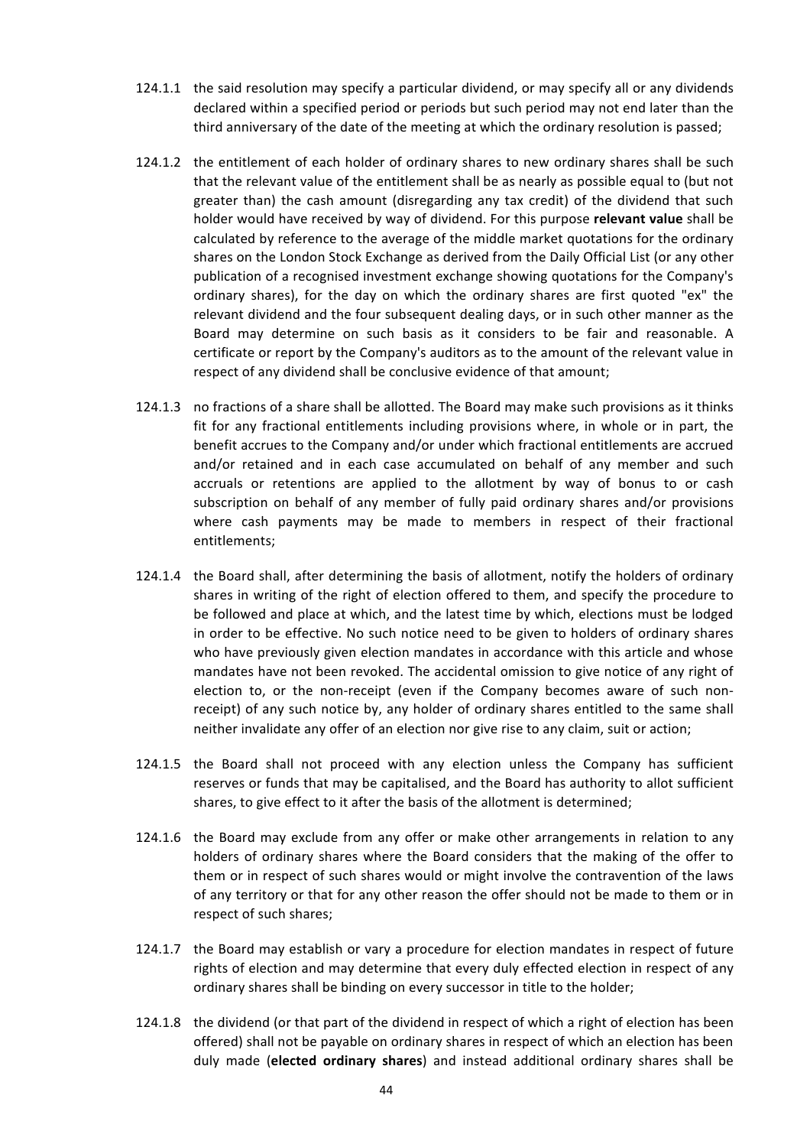- 124.1.1 the said resolution may specify a particular dividend, or may specify all or any dividends declared within a specified period or periods but such period may not end later than the third anniversary of the date of the meeting at which the ordinary resolution is passed;
- 124.1.2 the entitlement of each holder of ordinary shares to new ordinary shares shall be such that the relevant value of the entitlement shall be as nearly as possible equal to (but not greater than) the cash amount (disregarding any tax credit) of the dividend that such holder would have received by way of dividend. For this purpose relevant value shall be calculated by reference to the average of the middle market quotations for the ordinary shares on the London Stock Exchange as derived from the Daily Official List (or any other publication of a recognised investment exchange showing quotations for the Company's ordinary shares), for the day on which the ordinary shares are first quoted "ex" the relevant dividend and the four subsequent dealing days, or in such other manner as the Board may determine on such basis as it considers to be fair and reasonable. A certificate or report by the Company's auditors as to the amount of the relevant value in respect of any dividend shall be conclusive evidence of that amount;
- 124.1.3 no fractions of a share shall be allotted. The Board may make such provisions as it thinks fit for any fractional entitlements including provisions where, in whole or in part, the benefit accrues to the Company and/or under which fractional entitlements are accrued and/or retained and in each case accumulated on behalf of any member and such accruals or retentions are applied to the allotment by way of bonus to or cash subscription on behalf of any member of fully paid ordinary shares and/or provisions where cash payments may be made to members in respect of their fractional entitlements;
- 124.1.4 the Board shall, after determining the basis of allotment, notify the holders of ordinary shares in writing of the right of election offered to them, and specify the procedure to be followed and place at which, and the latest time by which, elections must be lodged in order to be effective. No such notice need to be given to holders of ordinary shares who have previously given election mandates in accordance with this article and whose mandates have not been revoked. The accidental omission to give notice of any right of election to, or the non-receipt (even if the Company becomes aware of such nonreceipt) of any such notice by, any holder of ordinary shares entitled to the same shall neither invalidate any offer of an election nor give rise to any claim, suit or action;
- 124.1.5 the Board shall not proceed with any election unless the Company has sufficient reserves or funds that may be capitalised, and the Board has authority to allot sufficient shares, to give effect to it after the basis of the allotment is determined;
- 124.1.6 the Board may exclude from any offer or make other arrangements in relation to any holders of ordinary shares where the Board considers that the making of the offer to them or in respect of such shares would or might involve the contravention of the laws of any territory or that for any other reason the offer should not be made to them or in respect of such shares;
- 124.1.7 the Board may establish or vary a procedure for election mandates in respect of future rights of election and may determine that every duly effected election in respect of any ordinary shares shall be binding on every successor in title to the holder;
- 124.1.8 the dividend (or that part of the dividend in respect of which a right of election has been offered) shall not be payable on ordinary shares in respect of which an election has been duly made (elected ordinary shares) and instead additional ordinary shares shall be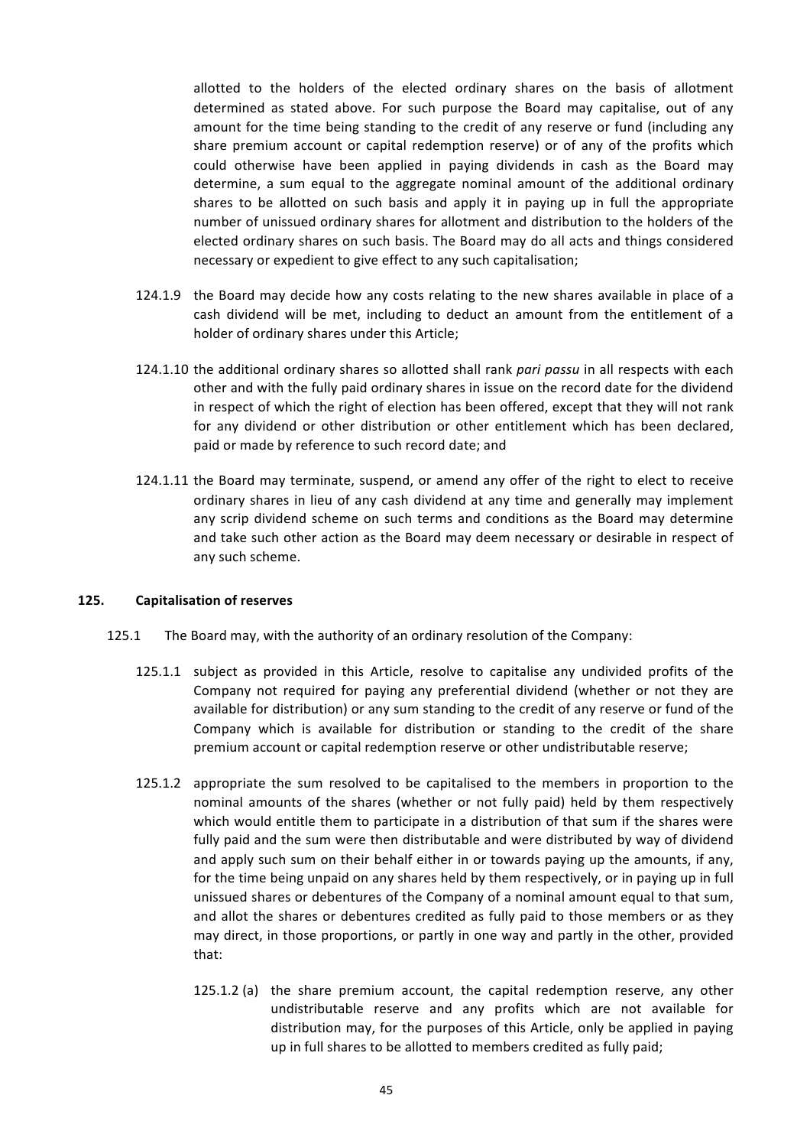allotted to the holders of the elected ordinary shares on the basis of allotment determined as stated above. For such purpose the Board may capitalise, out of any amount for the time being standing to the credit of any reserve or fund (including any share premium account or capital redemption reserve) or of any of the profits which could otherwise have been applied in paying dividends in cash as the Board may determine, a sum equal to the aggregate nominal amount of the additional ordinary shares to be allotted on such basis and apply it in paying up in full the appropriate number of unissued ordinary shares for allotment and distribution to the holders of the elected ordinary shares on such basis. The Board may do all acts and things considered necessary or expedient to give effect to any such capitalisation;

- 124.1.9 the Board may decide how any costs relating to the new shares available in place of a cash dividend will be met, including to deduct an amount from the entitlement of a holder of ordinary shares under this Article;
- 124.1.10 the additional ordinary shares so allotted shall rank *pari passu* in all respects with each other and with the fully paid ordinary shares in issue on the record date for the dividend in respect of which the right of election has been offered, except that they will not rank for any dividend or other distribution or other entitlement which has been declared, paid or made by reference to such record date; and
- 124.1.11 the Board may terminate, suspend, or amend any offer of the right to elect to receive ordinary shares in lieu of any cash dividend at any time and generally may implement any scrip dividend scheme on such terms and conditions as the Board may determine and take such other action as the Board may deem necessary or desirable in respect of any such scheme.

### **125. Capitalisation of reserves**

- 125.1 The Board may, with the authority of an ordinary resolution of the Company:
	- 125.1.1 subject as provided in this Article, resolve to capitalise any undivided profits of the Company not required for paying any preferential dividend (whether or not they are available for distribution) or any sum standing to the credit of any reserve or fund of the Company which is available for distribution or standing to the credit of the share premium account or capital redemption reserve or other undistributable reserve;
	- 125.1.2 appropriate the sum resolved to be capitalised to the members in proportion to the nominal amounts of the shares (whether or not fully paid) held by them respectively which would entitle them to participate in a distribution of that sum if the shares were fully paid and the sum were then distributable and were distributed by way of dividend and apply such sum on their behalf either in or towards paying up the amounts, if any, for the time being unpaid on any shares held by them respectively, or in paying up in full unissued shares or debentures of the Company of a nominal amount equal to that sum, and allot the shares or debentures credited as fully paid to those members or as they may direct, in those proportions, or partly in one way and partly in the other, provided that:
		- 125.1.2 (a) the share premium account, the capital redemption reserve, any other undistributable reserve and any profits which are not available for distribution may, for the purposes of this Article, only be applied in paying up in full shares to be allotted to members credited as fully paid;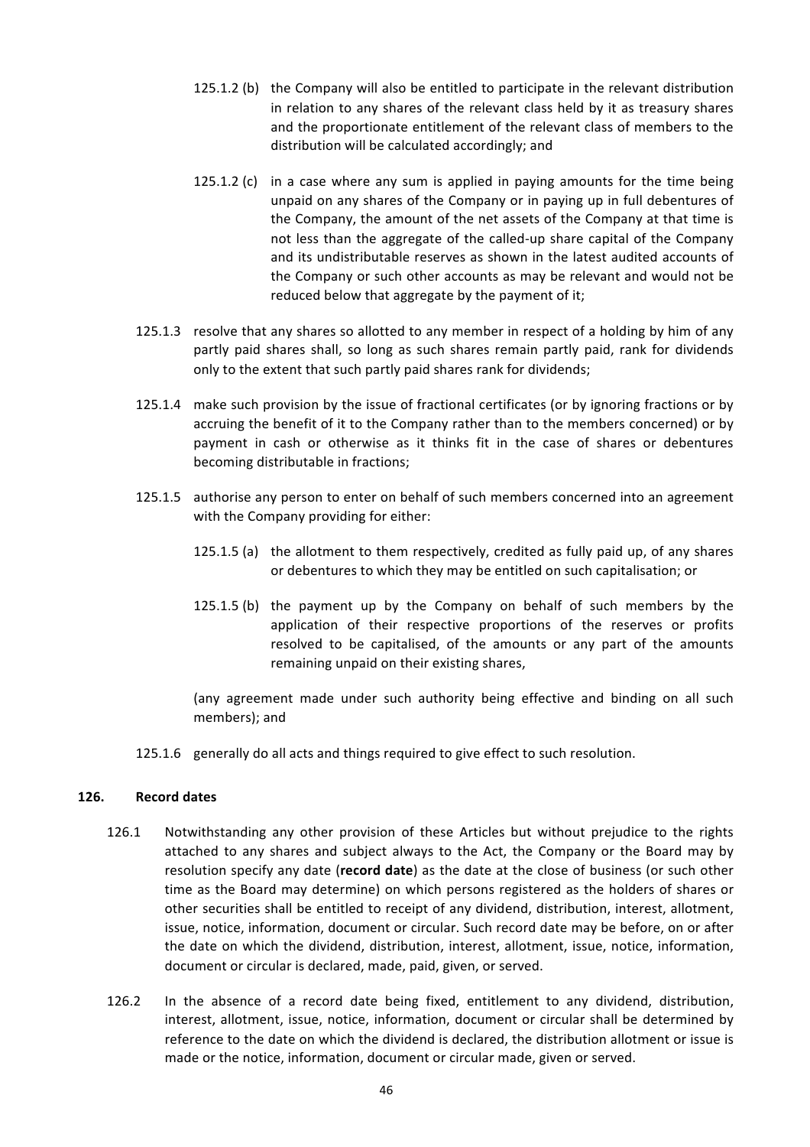- 125.1.2 (b) the Company will also be entitled to participate in the relevant distribution in relation to any shares of the relevant class held by it as treasury shares and the proportionate entitlement of the relevant class of members to the distribution will be calculated accordingly; and
- 125.1.2 (c) in a case where any sum is applied in paying amounts for the time being unpaid on any shares of the Company or in paying up in full debentures of the Company, the amount of the net assets of the Company at that time is not less than the aggregate of the called-up share capital of the Company and its undistributable reserves as shown in the latest audited accounts of the Company or such other accounts as may be relevant and would not be reduced below that aggregate by the payment of it;
- 125.1.3 resolve that any shares so allotted to any member in respect of a holding by him of any partly paid shares shall, so long as such shares remain partly paid, rank for dividends only to the extent that such partly paid shares rank for dividends;
- 125.1.4 make such provision by the issue of fractional certificates (or by ignoring fractions or by accruing the benefit of it to the Company rather than to the members concerned) or by payment in cash or otherwise as it thinks fit in the case of shares or debentures becoming distributable in fractions;
- 125.1.5 authorise any person to enter on behalf of such members concerned into an agreement with the Company providing for either:
	- 125.1.5 (a) the allotment to them respectively, credited as fully paid up, of any shares or debentures to which they may be entitled on such capitalisation; or
	- 125.1.5 (b) the payment up by the Company on behalf of such members by the application of their respective proportions of the reserves or profits resolved to be capitalised, of the amounts or any part of the amounts remaining unpaid on their existing shares,

(any agreement made under such authority being effective and binding on all such members); and

125.1.6 generally do all acts and things required to give effect to such resolution.

## **126. Record dates**

- 126.1 Notwithstanding any other provision of these Articles but without prejudice to the rights attached to any shares and subject always to the Act, the Company or the Board may by resolution specify any date (record date) as the date at the close of business (or such other time as the Board may determine) on which persons registered as the holders of shares or other securities shall be entitled to receipt of any dividend, distribution, interest, allotment, issue, notice, information, document or circular. Such record date may be before, on or after the date on which the dividend, distribution, interest, allotment, issue, notice, information, document or circular is declared, made, paid, given, or served.
- 126.2 In the absence of a record date being fixed, entitlement to any dividend, distribution, interest, allotment, issue, notice, information, document or circular shall be determined by reference to the date on which the dividend is declared, the distribution allotment or issue is made or the notice, information, document or circular made, given or served.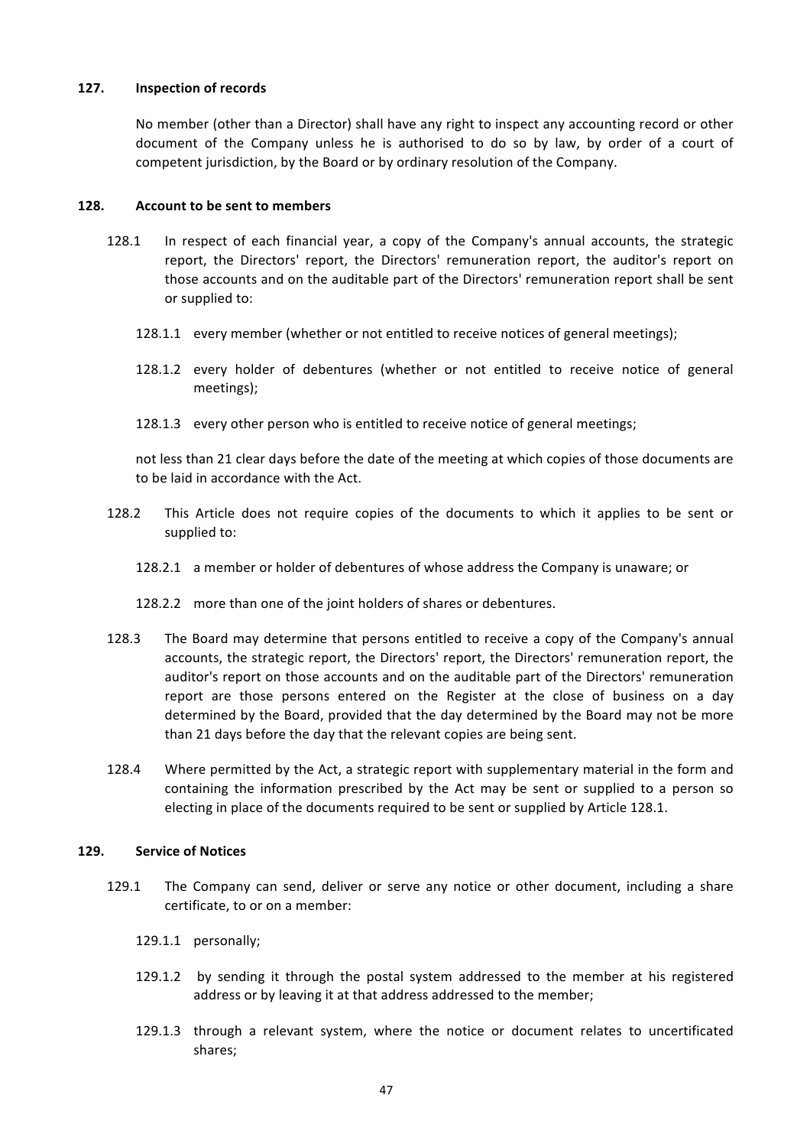### 127. **Inspection of records**

No member (other than a Director) shall have any right to inspect any accounting record or other document of the Company unless he is authorised to do so by law, by order of a court of competent jurisdiction, by the Board or by ordinary resolution of the Company.

#### **128. Account to be sent to members**

- 128.1 In respect of each financial year, a copy of the Company's annual accounts, the strategic report, the Directors' report, the Directors' remuneration report, the auditor's report on those accounts and on the auditable part of the Directors' remuneration report shall be sent or supplied to:
	- 128.1.1 every member (whether or not entitled to receive notices of general meetings);
	- 128.1.2 every holder of debentures (whether or not entitled to receive notice of general meetings);
	- 128.1.3 every other person who is entitled to receive notice of general meetings;

not less than 21 clear days before the date of the meeting at which copies of those documents are to be laid in accordance with the Act.

- 128.2 This Article does not require copies of the documents to which it applies to be sent or supplied to:
	- 128.2.1 a member or holder of debentures of whose address the Company is unaware; or
	- 128.2.2 more than one of the joint holders of shares or debentures.
- 128.3 The Board may determine that persons entitled to receive a copy of the Company's annual accounts, the strategic report, the Directors' report, the Directors' remuneration report, the auditor's report on those accounts and on the auditable part of the Directors' remuneration report are those persons entered on the Register at the close of business on a day determined by the Board, provided that the day determined by the Board may not be more than 21 days before the day that the relevant copies are being sent.
- 128.4 Where permitted by the Act, a strategic report with supplementary material in the form and containing the information prescribed by the Act may be sent or supplied to a person so electing in place of the documents required to be sent or supplied by Article 128.1.

### **129. Service of Notices**

- 129.1 The Company can send, deliver or serve any notice or other document, including a share certificate, to or on a member:
	- 129.1.1 personally;
	- 129.1.2 by sending it through the postal system addressed to the member at his registered address or by leaving it at that address addressed to the member;
	- 129.1.3 through a relevant system, where the notice or document relates to uncertificated shares;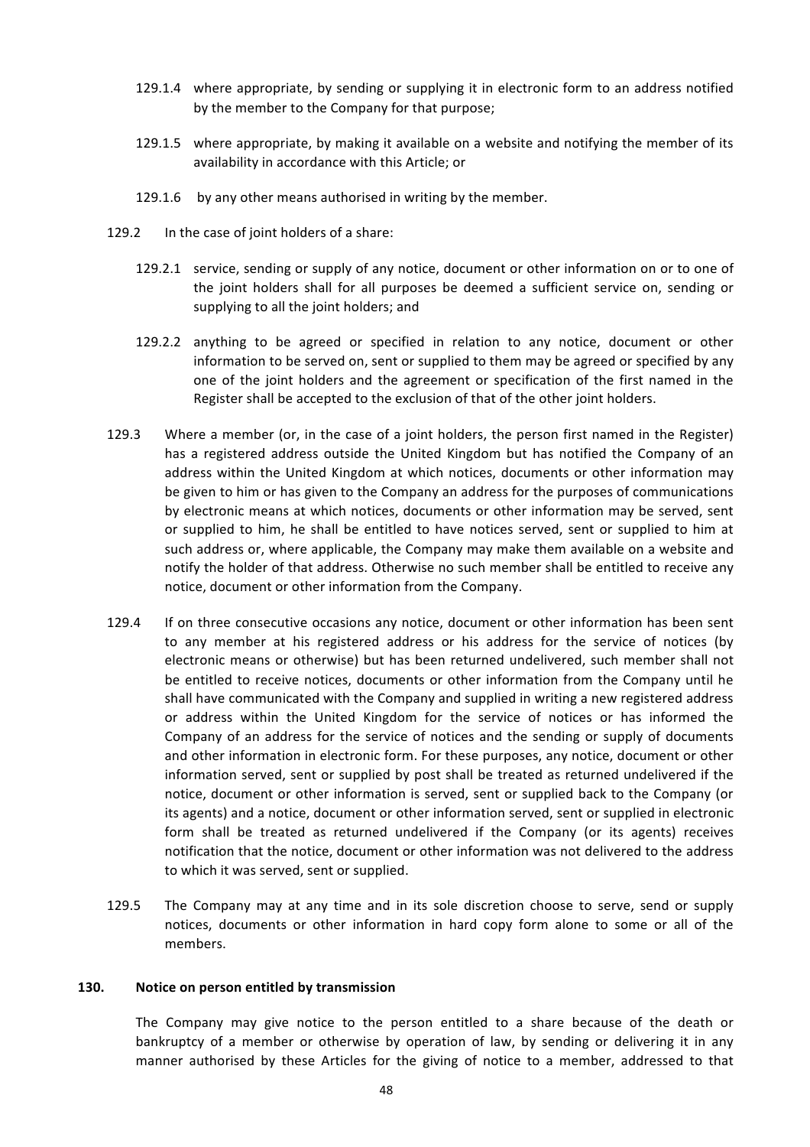- 129.1.4 where appropriate, by sending or supplying it in electronic form to an address notified by the member to the Company for that purpose;
- 129.1.5 where appropriate, by making it available on a website and notifying the member of its availability in accordance with this Article; or
- 129.1.6 by any other means authorised in writing by the member.
- 129.2 In the case of joint holders of a share:
	- 129.2.1 service, sending or supply of any notice, document or other information on or to one of the joint holders shall for all purposes be deemed a sufficient service on, sending or supplying to all the joint holders; and
	- 129.2.2 anything to be agreed or specified in relation to any notice, document or other information to be served on, sent or supplied to them may be agreed or specified by any one of the joint holders and the agreement or specification of the first named in the Register shall be accepted to the exclusion of that of the other joint holders.
- 129.3 Where a member (or, in the case of a joint holders, the person first named in the Register) has a registered address outside the United Kingdom but has notified the Company of an address within the United Kingdom at which notices, documents or other information may be given to him or has given to the Company an address for the purposes of communications by electronic means at which notices, documents or other information may be served, sent or supplied to him, he shall be entitled to have notices served, sent or supplied to him at such address or, where applicable, the Company may make them available on a website and notify the holder of that address. Otherwise no such member shall be entitled to receive any notice, document or other information from the Company.
- 129.4 If on three consecutive occasions any notice, document or other information has been sent to any member at his registered address or his address for the service of notices (by electronic means or otherwise) but has been returned undelivered, such member shall not be entitled to receive notices, documents or other information from the Company until he shall have communicated with the Company and supplied in writing a new registered address or address within the United Kingdom for the service of notices or has informed the Company of an address for the service of notices and the sending or supply of documents and other information in electronic form. For these purposes, any notice, document or other information served, sent or supplied by post shall be treated as returned undelivered if the notice, document or other information is served, sent or supplied back to the Company (or its agents) and a notice, document or other information served, sent or supplied in electronic form shall be treated as returned undelivered if the Company (or its agents) receives notification that the notice, document or other information was not delivered to the address to which it was served, sent or supplied.
- 129.5 The Company may at any time and in its sole discretion choose to serve, send or supply notices, documents or other information in hard copy form alone to some or all of the members.

#### **130.** Notice on person entitled by transmission

The Company may give notice to the person entitled to a share because of the death or bankruptcy of a member or otherwise by operation of law, by sending or delivering it in any manner authorised by these Articles for the giving of notice to a member, addressed to that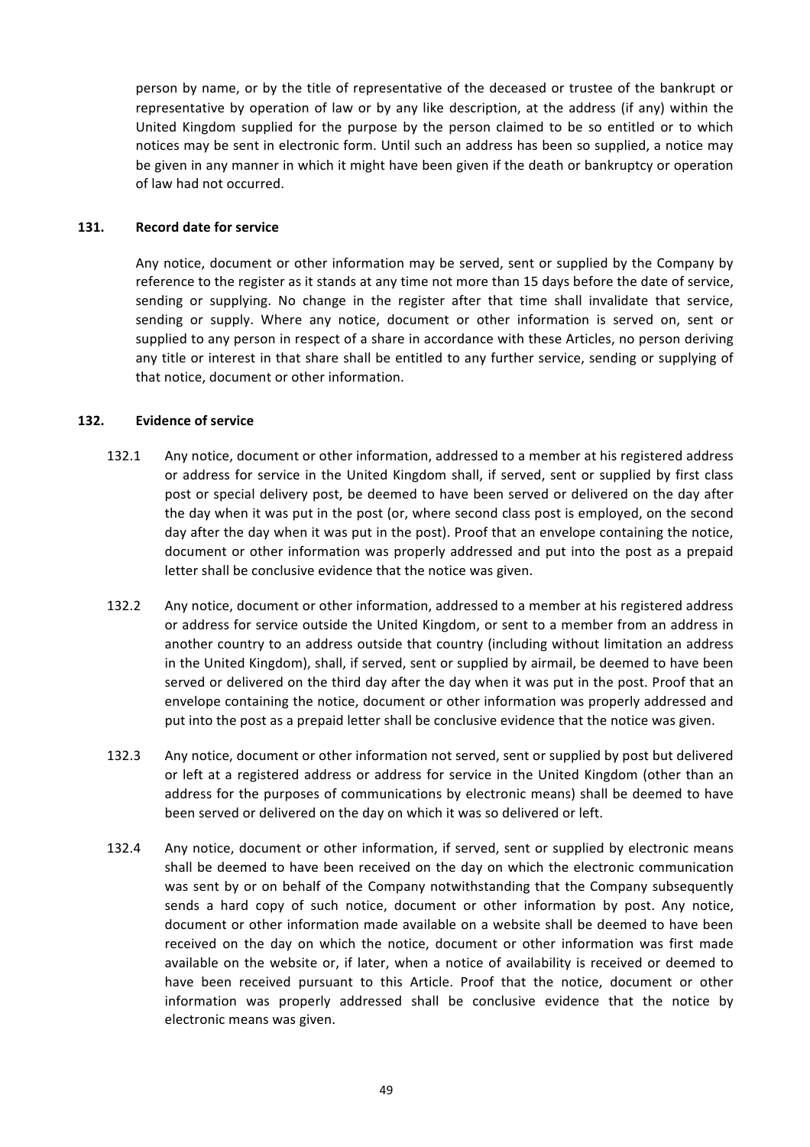person by name, or by the title of representative of the deceased or trustee of the bankrupt or representative by operation of law or by any like description, at the address (if any) within the United Kingdom supplied for the purpose by the person claimed to be so entitled or to which notices may be sent in electronic form. Until such an address has been so supplied, a notice may be given in any manner in which it might have been given if the death or bankruptcy or operation of law had not occurred.

### 131. **Record date for service**

Any notice, document or other information may be served, sent or supplied by the Company by reference to the register as it stands at any time not more than 15 days before the date of service, sending or supplying. No change in the register after that time shall invalidate that service, sending or supply. Where any notice, document or other information is served on, sent or supplied to any person in respect of a share in accordance with these Articles, no person deriving any title or interest in that share shall be entitled to any further service, sending or supplying of that notice, document or other information.

## 132. **Evidence of service**

- 132.1 Any notice, document or other information, addressed to a member at his registered address or address for service in the United Kingdom shall, if served, sent or supplied by first class post or special delivery post, be deemed to have been served or delivered on the day after the day when it was put in the post (or, where second class post is employed, on the second day after the day when it was put in the post). Proof that an envelope containing the notice, document or other information was properly addressed and put into the post as a prepaid letter shall be conclusive evidence that the notice was given.
- 132.2 Any notice, document or other information, addressed to a member at his registered address or address for service outside the United Kingdom, or sent to a member from an address in another country to an address outside that country (including without limitation an address in the United Kingdom), shall, if served, sent or supplied by airmail, be deemed to have been served or delivered on the third day after the day when it was put in the post. Proof that an envelope containing the notice, document or other information was properly addressed and put into the post as a prepaid letter shall be conclusive evidence that the notice was given.
- 132.3 Any notice, document or other information not served, sent or supplied by post but delivered or left at a registered address or address for service in the United Kingdom (other than an address for the purposes of communications by electronic means) shall be deemed to have been served or delivered on the day on which it was so delivered or left.
- 132.4 Any notice, document or other information, if served, sent or supplied by electronic means shall be deemed to have been received on the day on which the electronic communication was sent by or on behalf of the Company notwithstanding that the Company subsequently sends a hard copy of such notice, document or other information by post. Any notice, document or other information made available on a website shall be deemed to have been received on the day on which the notice, document or other information was first made available on the website or, if later, when a notice of availability is received or deemed to have been received pursuant to this Article. Proof that the notice, document or other information was properly addressed shall be conclusive evidence that the notice by electronic means was given.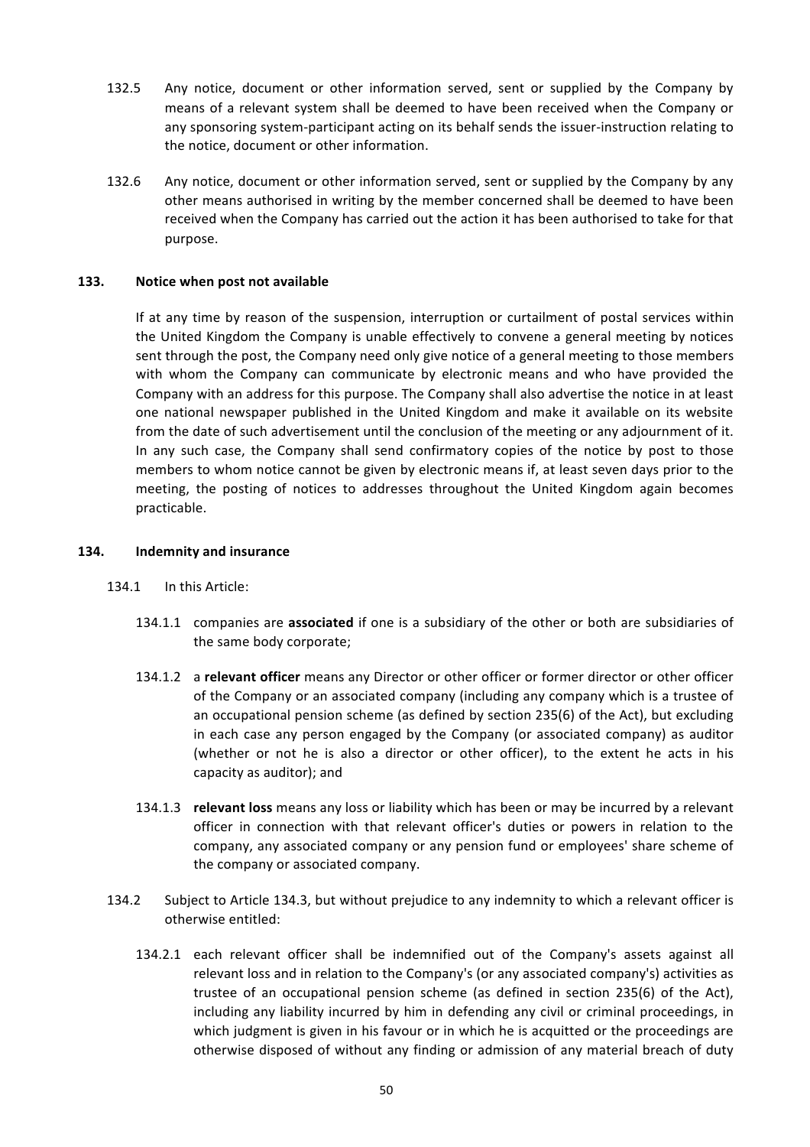- 132.5 Any notice, document or other information served, sent or supplied by the Company by means of a relevant system shall be deemed to have been received when the Company or any sponsoring system-participant acting on its behalf sends the issuer-instruction relating to the notice, document or other information.
- 132.6 Any notice, document or other information served, sent or supplied by the Company by any other means authorised in writing by the member concerned shall be deemed to have been received when the Company has carried out the action it has been authorised to take for that purpose.

### **133.** Notice when post not available

If at any time by reason of the suspension, interruption or curtailment of postal services within the United Kingdom the Company is unable effectively to convene a general meeting by notices sent through the post, the Company need only give notice of a general meeting to those members with whom the Company can communicate by electronic means and who have provided the Company with an address for this purpose. The Company shall also advertise the notice in at least one national newspaper published in the United Kingdom and make it available on its website from the date of such advertisement until the conclusion of the meeting or any adjournment of it. In any such case, the Company shall send confirmatory copies of the notice by post to those members to whom notice cannot be given by electronic means if, at least seven days prior to the meeting, the posting of notices to addresses throughout the United Kingdom again becomes practicable.

#### **134. Indemnity and insurance**

- 134.1 In this Article:
	- 134.1.1 companies are **associated** if one is a subsidiary of the other or both are subsidiaries of the same body corporate;
	- 134.1.2 a **relevant officer** means any Director or other officer or former director or other officer of the Company or an associated company (including any company which is a trustee of an occupational pension scheme (as defined by section  $235(6)$  of the Act), but excluding in each case any person engaged by the Company (or associated company) as auditor (whether or not he is also a director or other officer), to the extent he acts in his capacity as auditor); and
	- 134.1.3 **relevant loss** means any loss or liability which has been or may be incurred by a relevant officer in connection with that relevant officer's duties or powers in relation to the company, any associated company or any pension fund or employees' share scheme of the company or associated company.
- 134.2 Subject to Article 134.3, but without prejudice to any indemnity to which a relevant officer is otherwise entitled:
	- 134.2.1 each relevant officer shall be indemnified out of the Company's assets against all relevant loss and in relation to the Company's (or any associated company's) activities as trustee of an occupational pension scheme (as defined in section 235(6) of the Act), including any liability incurred by him in defending any civil or criminal proceedings, in which judgment is given in his favour or in which he is acquitted or the proceedings are otherwise disposed of without any finding or admission of any material breach of duty